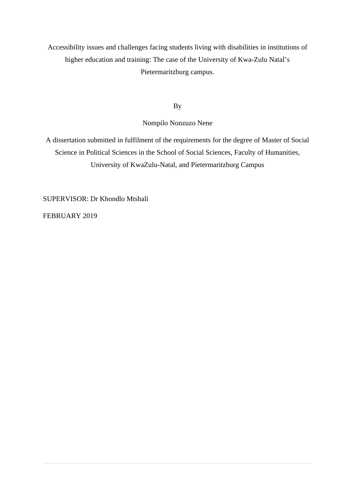Accessibility issues and challenges facing students living with disabilities in institutions of higher education and training: The case of the University of Kwa-Zulu Natal's Pietermaritzburg campus.

By

Nompilo Nonzuzo Nene

A dissertation submitted in fulfilment of the requirements for the degree of Master of Social Science in Political Sciences in the School of Social Sciences, Faculty of Humanities, University of KwaZulu-Natal, and Pietermaritzburg Campus

SUPERVISOR: Dr Khondlo Mtshali

FEBRUARY 2019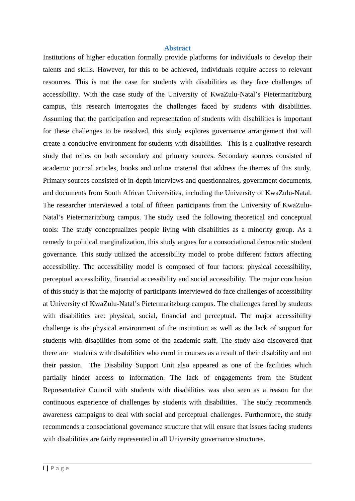#### <span id="page-1-0"></span>**Abstract**

Institutions of higher education formally provide platforms for individuals to develop their talents and skills. However, for this to be achieved, individuals require access to relevant resources. This is not the case for students with disabilities as they face challenges of accessibility. With the case study of the University of KwaZulu-Natal's Pietermaritzburg campus, this research interrogates the challenges faced by students with disabilities. Assuming that the participation and representation of students with disabilities is important for these challenges to be resolved, this study explores governance arrangement that will create a conducive environment for students with disabilities. This is a qualitative research study that relies on both secondary and primary sources. Secondary sources consisted of academic journal articles, books and online material that address the themes of this study. Primary sources consisted of in-depth interviews and questionnaires, government documents, and documents from South African Universities, including the University of KwaZulu-Natal. The researcher interviewed a total of fifteen participants from the University of KwaZulu-Natal's Pietermaritzburg campus. The study used the following theoretical and conceptual tools: The study conceptualizes people living with disabilities as a minority group. As a remedy to political marginalization, this study argues for a consociational democratic student governance. This study utilized the accessibility model to probe different factors affecting accessibility. The accessibility model is composed of four factors: physical accessibility, perceptual accessibility, financial accessibility and social accessibility. The major conclusion of this study is that the majority of participants interviewed do face challenges of accessibility at University of KwaZulu-Natal's Pietermaritzburg campus. The challenges faced by students with disabilities are: physical, social, financial and perceptual. The major accessibility challenge is the physical environment of the institution as well as the lack of support for students with disabilities from some of the academic staff. The study also discovered that there are students with disabilities who enrol in courses as a result of their disability and not their passion. The Disability Support Unit also appeared as one of the facilities which partially hinder access to information. The lack of engagements from the Student Representative Council with students with disabilities was also seen as a reason for the continuous experience of challenges by students with disabilities. The study recommends awareness campaigns to deal with social and perceptual challenges. Furthermore, the study recommends a consociational governance structure that will ensure that issues facing students with disabilities are fairly represented in all University governance structures.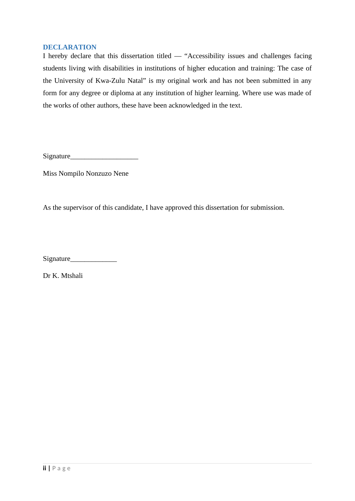#### <span id="page-2-0"></span>**DECLARATION**

I hereby declare that this dissertation titled ― "Accessibility issues and challenges facing students living with disabilities in institutions of higher education and training: The case of the University of Kwa-Zulu Natal" is my original work and has not been submitted in any form for any degree or diploma at any institution of higher learning. Where use was made of the works of other authors, these have been acknowledged in the text.

Signature\_\_\_\_\_\_\_\_\_\_\_\_\_\_\_\_\_\_\_

Miss Nompilo Nonzuzo Nene

As the supervisor of this candidate, I have approved this dissertation for submission.

Signature

Dr K. Mtshali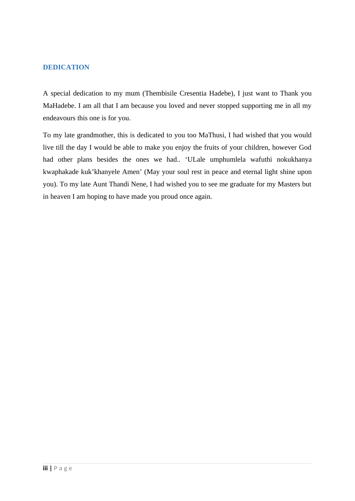#### <span id="page-3-0"></span>**DEDICATION**

A special dedication to my mum (Thembisile Cresentia Hadebe), I just want to Thank you MaHadebe. I am all that I am because you loved and never stopped supporting me in all my endeavours this one is for you.

To my late grandmother, this is dedicated to you too MaThusi, I had wished that you would live till the day I would be able to make you enjoy the fruits of your children, however God had other plans besides the ones we had.. 'ULale umphumlela wafuthi nokukhanya kwaphakade kuk'khanyele Amen' (May your soul rest in peace and eternal light shine upon you). To my late Aunt Thandi Nene, I had wished you to see me graduate for my Masters but in heaven I am hoping to have made you proud once again.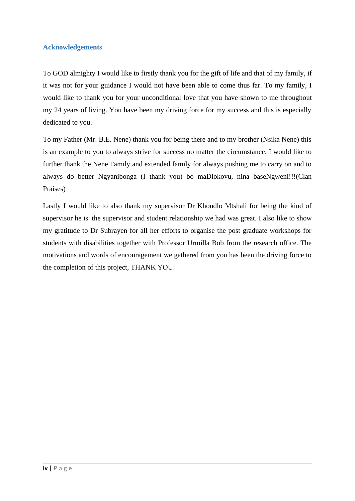#### <span id="page-4-0"></span>**Acknowledgements**

To GOD almighty I would like to firstly thank you for the gift of life and that of my family, if it was not for your guidance I would not have been able to come thus far. To my family, I would like to thank you for your unconditional love that you have shown to me throughout my 24 years of living. You have been my driving force for my success and this is especially dedicated to you.

To my Father (Mr. B.E. Nene) thank you for being there and to my brother (Nsika Nene) this is an example to you to always strive for success no matter the circumstance. I would like to further thank the Nene Family and extended family for always pushing me to carry on and to always do better Ngyanibonga (I thank you) bo maDlokovu, nina baseNgweni!!!(Clan Praises)

Lastly I would like to also thank my supervisor Dr Khondlo Mtshali for being the kind of supervisor he is .the supervisor and student relationship we had was great. I also like to show my gratitude to Dr Subrayen for all her efforts to organise the post graduate workshops for students with disabilities together with Professor Urmilla Bob from the research office. The motivations and words of encouragement we gathered from you has been the driving force to the completion of this project, THANK YOU.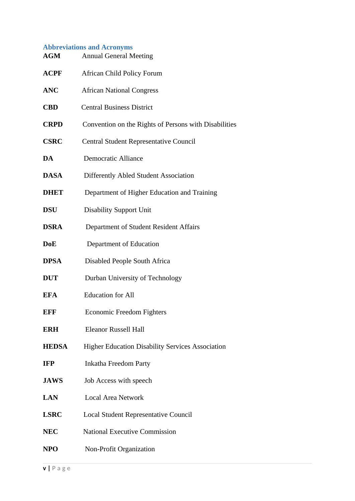# <span id="page-5-0"></span>**Abbreviations and Acronyms**

| AGM          | <b>Annual General Meeting</b>                           |
|--------------|---------------------------------------------------------|
| ACPF         | <b>African Child Policy Forum</b>                       |
| ANC          | <b>African National Congress</b>                        |
| <b>CBD</b>   | <b>Central Business District</b>                        |
| <b>CRPD</b>  | Convention on the Rights of Persons with Disabilities   |
| <b>CSRC</b>  | Central Student Representative Council                  |
| DA           | <b>Democratic Alliance</b>                              |
| DASA         | <b>Differently Abled Student Association</b>            |
| <b>DHET</b>  | Department of Higher Education and Training             |
| DSU          | <b>Disability Support Unit</b>                          |
| DSRA         | Department of Student Resident Affairs                  |
| $\bf{DoE}$   | Department of Education                                 |
| <b>DPSA</b>  | Disabled People South Africa                            |
| <b>DUT</b>   | Durban University of Technology                         |
| EFA          | <b>Education for All</b>                                |
| EFF          | <b>Economic Freedom Fighters</b>                        |
| <b>ERH</b>   | Eleanor Russell Hall                                    |
| <b>HEDSA</b> | <b>Higher Education Disability Services Association</b> |
| IFP          | Inkatha Freedom Party                                   |
| <b>JAWS</b>  | Job Access with speech                                  |
| <b>LAN</b>   | <b>Local Area Network</b>                               |
| <b>LSRC</b>  | <b>Local Student Representative Council</b>             |
| NEC          | <b>National Executive Commission</b>                    |
| <b>NPO</b>   | Non-Profit Organization                                 |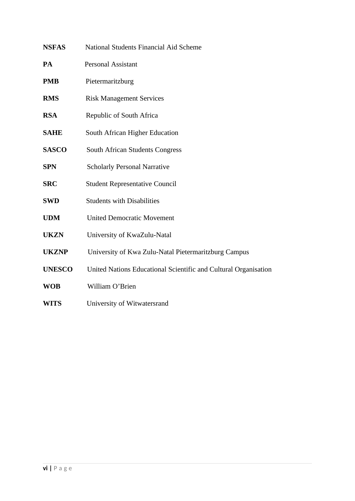| <b>NSFAS</b>  | National Students Financial Aid Scheme                          |
|---------------|-----------------------------------------------------------------|
| РA            | <b>Personal Assistant</b>                                       |
| PMB           | Pietermaritzburg                                                |
| <b>RMS</b>    | <b>Risk Management Services</b>                                 |
| RSA           | Republic of South Africa                                        |
| <b>SAHE</b>   | South African Higher Education                                  |
| <b>SASCO</b>  | South African Students Congress                                 |
| <b>SPN</b>    | <b>Scholarly Personal Narrative</b>                             |
| <b>SRC</b>    | <b>Student Representative Council</b>                           |
| SWD           | <b>Students with Disabilities</b>                               |
| <b>UDM</b>    | <b>United Democratic Movement</b>                               |
| <b>UKZN</b>   | University of KwaZulu-Natal                                     |
| <b>UKZNP</b>  | University of Kwa Zulu-Natal Pietermaritzburg Campus            |
| <b>UNESCO</b> | United Nations Educational Scientific and Cultural Organisation |
| <b>WOB</b>    | William O'Brien                                                 |
| WITS          | University of Witwatersrand                                     |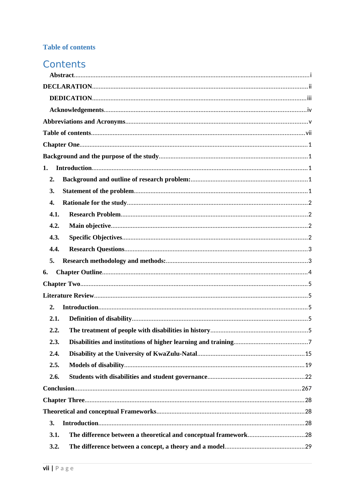# <span id="page-7-0"></span>**Table of contents**

# Contents

| 1.   |
|------|
| 2.   |
| 3.   |
| 4.   |
| 4.1. |
| 4.2. |
| 4.3. |
| 4.4. |
| 5.   |
| 6.   |
|      |
|      |
| 2.   |
| 2.1. |
| 2.2. |
| 2.3. |
| 2.4. |
| 2.5. |
| 2.6. |
|      |
|      |
|      |
| 3.   |
| 3.1. |
| 3.2. |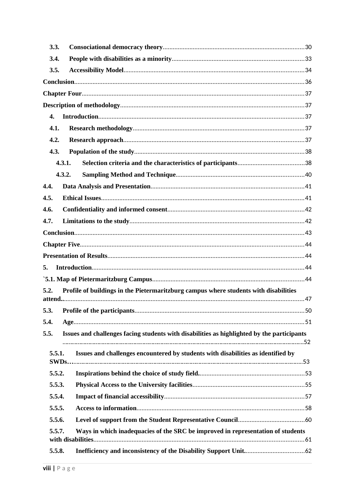| 3.3.   |                                                                                            |  |
|--------|--------------------------------------------------------------------------------------------|--|
| 3.4.   |                                                                                            |  |
| 3.5.   |                                                                                            |  |
|        |                                                                                            |  |
|        |                                                                                            |  |
|        |                                                                                            |  |
| 4.     |                                                                                            |  |
| 4.1.   |                                                                                            |  |
| 4.2.   |                                                                                            |  |
| 4.3.   |                                                                                            |  |
|        | 4.3.1.                                                                                     |  |
|        | 4.3.2.                                                                                     |  |
| 4.4.   |                                                                                            |  |
| 4.5.   |                                                                                            |  |
| 4.6.   |                                                                                            |  |
| 4.7.   |                                                                                            |  |
|        |                                                                                            |  |
|        |                                                                                            |  |
|        |                                                                                            |  |
| 5.     |                                                                                            |  |
|        |                                                                                            |  |
| 5.2.   | Profile of buildings in the Pietermaritzburg campus where students with disabilities       |  |
|        |                                                                                            |  |
|        |                                                                                            |  |
| 5.4.   |                                                                                            |  |
| 5.5.   | Issues and challenges facing students with disabilities as highlighted by the participants |  |
| 5.5.1. | Issues and challenges encountered by students with disabilities as identified by           |  |
|        |                                                                                            |  |
| 5.5.2. |                                                                                            |  |
| 5.5.3. |                                                                                            |  |
| 5.5.4. |                                                                                            |  |
| 5.5.5. |                                                                                            |  |
| 5.5.6. |                                                                                            |  |
| 5.5.7. | Ways in which inadequacies of the SRC be improved in representation of students            |  |
| 5.5.8. |                                                                                            |  |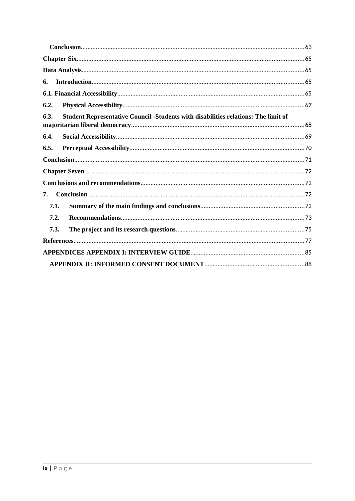| 6.                                                                                         |  |
|--------------------------------------------------------------------------------------------|--|
|                                                                                            |  |
| 6.2.                                                                                       |  |
| Student Representative Council -Students with disabilities relations: The limit of<br>6.3. |  |
| 6.4.                                                                                       |  |
|                                                                                            |  |
| 6.5.                                                                                       |  |
|                                                                                            |  |
|                                                                                            |  |
|                                                                                            |  |
| 7.                                                                                         |  |
| 7.1.                                                                                       |  |
| 7.2.                                                                                       |  |
| 7.3.                                                                                       |  |
|                                                                                            |  |
|                                                                                            |  |
|                                                                                            |  |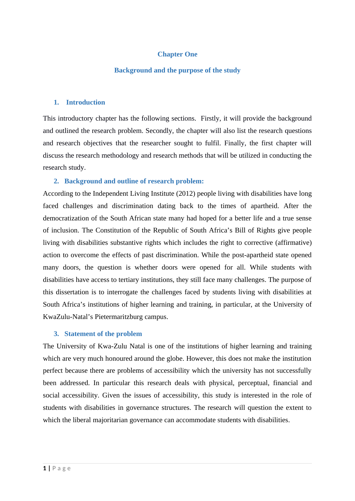# <span id="page-10-0"></span>**Chapter One**

#### <span id="page-10-1"></span>**Background and the purpose of the study**

#### <span id="page-10-2"></span>**1. Introduction**

This introductory chapter has the following sections. Firstly, it will provide the background and outlined the research problem. Secondly, the chapter will also list the research questions and research objectives that the researcher sought to fulfil. Finally, the first chapter will discuss the research methodology and research methods that will be utilized in conducting the research study.

#### <span id="page-10-3"></span>**2. Background and outline of research problem:**

According to the Independent Living Institute (2012) people living with disabilities have long faced challenges and discrimination dating back to the times of apartheid. After the democratization of the South African state many had hoped for a better life and a true sense of inclusion. The Constitution of the Republic of South Africa's Bill of Rights give people living with disabilities substantive rights which includes the right to corrective (affirmative) action to overcome the effects of past discrimination. While the post-apartheid state opened many doors, the question is whether doors were opened for all. While students with disabilities have access to tertiary institutions, they still face many challenges. The purpose of this dissertation is to interrogate the challenges faced by students living with disabilities at South Africa's institutions of higher learning and training, in particular, at the University of KwaZulu-Natal's Pietermaritzburg campus.

#### <span id="page-10-4"></span>**3. Statement of the problem**

The University of Kwa-Zulu Natal is one of the institutions of higher learning and training which are very much honoured around the globe. However, this does not make the institution perfect because there are problems of accessibility which the university has not successfully been addressed. In particular this research deals with physical, perceptual, financial and social accessibility. Given the issues of accessibility, this study is interested in the role of students with disabilities in governance structures. The research will question the extent to which the liberal majoritarian governance can accommodate students with disabilities.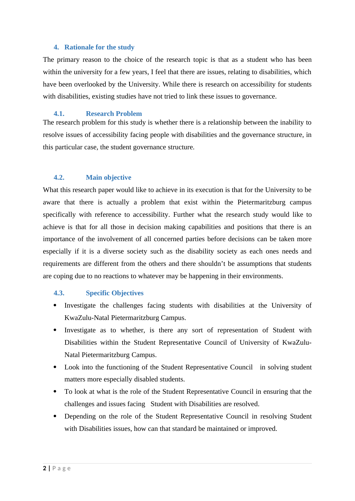#### <span id="page-11-0"></span>**4. Rationale for the study**

The primary reason to the choice of the research topic is that as a student who has been within the university for a few years, I feel that there are issues, relating to disabilities, which have been overlooked by the University. While there is research on accessibility for students with disabilities, existing studies have not tried to link these issues to governance.

#### <span id="page-11-1"></span>**4.1. Research Problem**

The research problem for this study is whether there is a relationship between the inability to resolve issues of accessibility facing people with disabilities and the governance structure, in this particular case, the student governance structure.

#### <span id="page-11-2"></span>**4.2. Main objective**

What this research paper would like to achieve in its execution is that for the University to be aware that there is actually a problem that exist within the Pietermaritzburg campus specifically with reference to accessibility. Further what the research study would like to achieve is that for all those in decision making capabilities and positions that there is an importance of the involvement of all concerned parties before decisions can be taken more especially if it is a diverse society such as the disability society as each ones needs and requirements are different from the others and there shouldn't be assumptions that students are coping due to no reactions to whatever may be happening in their environments.

#### <span id="page-11-3"></span>**4.3. Specific Objectives**

- Investigate the challenges facing students with disabilities at the University of KwaZulu-Natal Pietermaritzburg Campus.
- Investigate as to whether, is there any sort of representation of Student with Disabilities within the Student Representative Council of University of KwaZulu-Natal Pietermaritzburg Campus.
- Look into the functioning of the Student Representative Council in solving student matters more especially disabled students.
- To look at what is the role of the Student Representative Council in ensuring that the challenges and issues facing Student with Disabilities are resolved.
- Depending on the role of the Student Representative Council in resolving Student with Disabilities issues, how can that standard be maintained or improved.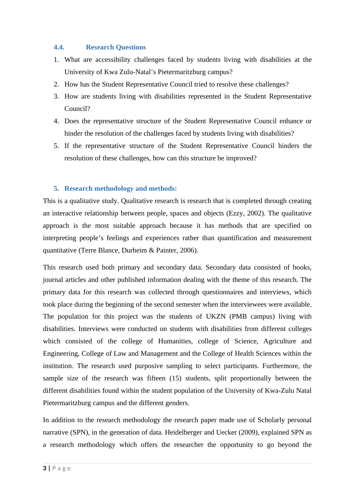#### <span id="page-12-0"></span>**4.4. Research Questions**

- 1. What are accessibility challenges faced by students living with disabilities at the University of Kwa Zulu-Natal's Pietermaritzburg campus?
- 2. How has the Student Representative Council tried to resolve these challenges?
- 3. How are students living with disabilities represented in the Student Representative Council?
- 4. Does the representative structure of the Student Representative Council enhance or hinder the resolution of the challenges faced by students living with disabilities?
- 5. If the representative structure of the Student Representative Council hinders the resolution of these challenges, how can this structure be improved?

#### <span id="page-12-1"></span>**5. Research methodology and methods:**

This is a qualitative study. Qualitative research is research that is completed through creating an interactive relationship between people, spaces and objects (Ezzy, 2002). The qualitative approach is the most suitable approach because it has methods that are specified on interpreting people's feelings and experiences rather than quantification and measurement quantitative (Terre Blance, Durheim & Painter, 2006).

This research used both primary and secondary data. Secondary data consisted of books, journal articles and other published information dealing with the theme of this research. The primary data for this research was collected through questionnaires and interviews, which took place during the beginning of the second semester when the interviewees were available. The population for this project was the students of UKZN (PMB campus) living with disabilities. Interviews were conducted on students with disabilities from different colleges which consisted of the college of Humanities, college of Science, Agriculture and Engineering, College of Law and Management and the College of Health Sciences within the institution. The research used purposive sampling to select participants. Furthermore, the sample size of the research was fifteen (15) students, split proportionally between the different disabilities found within the student population of the University of Kwa-Zulu Natal Pietermaritzburg campus and the different genders.

In addition to the research methodology the research paper made use of Scholarly personal narrative (SPN), in the generation of data. Heidelberger and Uecker (2009), explained SPN as a research methodology which offers the researcher the opportunity to go beyond the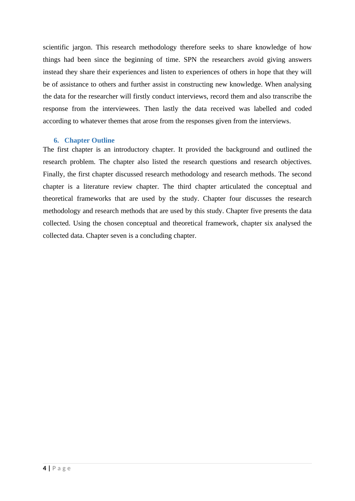scientific jargon. This research methodology therefore seeks to share knowledge of how things had been since the beginning of time. SPN the researchers avoid giving answers instead they share their experiences and listen to experiences of others in hope that they will be of assistance to others and further assist in constructing new knowledge. When analysing the data for the researcher will firstly conduct interviews, record them and also transcribe the response from the interviewees. Then lastly the data received was labelled and coded according to whatever themes that arose from the responses given from the interviews.

#### <span id="page-13-0"></span>**6. Chapter Outline**

The first chapter is an introductory chapter. It provided the background and outlined the research problem. The chapter also listed the research questions and research objectives. Finally, the first chapter discussed research methodology and research methods. The second chapter is a literature review chapter. The third chapter articulated the conceptual and theoretical frameworks that are used by the study. Chapter four discusses the research methodology and research methods that are used by this study. Chapter five presents the data collected. Using the chosen conceptual and theoretical framework, chapter six analysed the collected data. Chapter seven is a concluding chapter.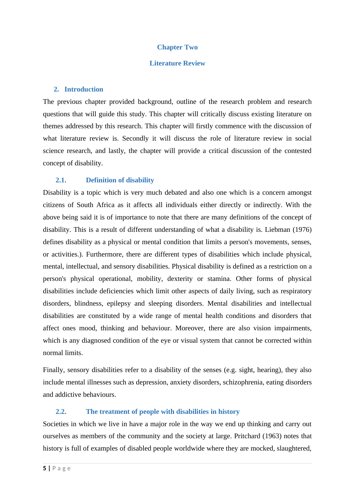#### <span id="page-14-0"></span>**Chapter Two**

#### <span id="page-14-1"></span>**Literature Review**

#### <span id="page-14-2"></span>**2. Introduction**

The previous chapter provided background, outline of the research problem and research questions that will guide this study. This chapter will critically discuss existing literature on themes addressed by this research. This chapter will firstly commence with the discussion of what literature review is. Secondly it will discuss the role of literature review in social science research, and lastly, the chapter will provide a critical discussion of the contested concept of disability.

#### <span id="page-14-3"></span>**2.1. Definition of disability**

Disability is a topic which is very much debated and also one which is a concern amongst citizens of South Africa as it affects all individuals either directly or indirectly. With the above being said it is of importance to note that there are many definitions of the concept of disability. This is a result of different understanding of what a disability is. Liebman (1976) defines disability as a physical or mental condition that limits a person's movements, senses, or activities.). Furthermore, there are different types of disabilities which include physical, mental, intellectual, and sensory disabilities. Physical disability is defined as a restriction on a person's physical operational, mobility, dexterity or stamina. Other forms of physical disabilities include deficiencies which limit other aspects of daily living, such as respiratory disorders, blindness, epilepsy and sleeping disorders. Mental disabilities and intellectual disabilities are constituted by a wide range of mental health conditions and disorders that affect ones mood, thinking and behaviour. Moreover, there are also vision impairments, which is any diagnosed condition of the eye or visual system that cannot be corrected within normal limits.

Finally, sensory disabilities refer to a disability of the senses (e.g. sight, hearing), they also include mental illnesses such as depression, anxiety disorders, schizophrenia, eating disorders and addictive behaviours.

#### <span id="page-14-4"></span>**2.2. The treatment of people with disabilities in history**

Societies in which we live in have a major role in the way we end up thinking and carry out ourselves as members of the community and the society at large. Pritchard (1963) notes that history is full of examples of disabled people worldwide where they are mocked, slaughtered,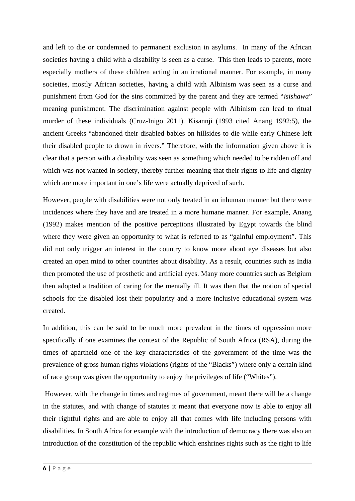and left to die or condemned to permanent exclusion in asylums. In many of the African societies having a child with a disability is seen as a curse. This then leads to parents, more especially mothers of these children acting in an irrational manner. For example, in many societies, mostly African societies, having a child with Albinism was seen as a curse and punishment from God for the sins committed by the parent and they are termed "*isishawa*" meaning punishment. The discrimination against people with Albinism can lead to ritual murder of these individuals (Cruz-Inigo 2011). Kisannji (1993 cited Anang 1992:5), the ancient Greeks "abandoned their disabled babies on hillsides to die while early Chinese left their disabled people to drown in rivers." Therefore, with the information given above it is clear that a person with a disability was seen as something which needed to be ridden off and which was not wanted in society, thereby further meaning that their rights to life and dignity which are more important in one's life were actually deprived of such.

However, people with disabilities were not only treated in an inhuman manner but there were incidences where they have and are treated in a more humane manner. For example, Anang (1992) makes mention of the positive perceptions illustrated by Egypt towards the blind where they were given an opportunity to what is referred to as "gainful employment". This did not only trigger an interest in the country to know more about eye diseases but also created an open mind to other countries about disability. As a result, countries such as India then promoted the use of prosthetic and artificial eyes. Many more countries such as Belgium then adopted a tradition of caring for the mentally ill. It was then that the notion of special schools for the disabled lost their popularity and a more inclusive educational system was created.

In addition, this can be said to be much more prevalent in the times of oppression more specifically if one examines the context of the Republic of South Africa (RSA), during the times of apartheid one of the key characteristics of the government of the time was the prevalence of gross human rights violations (rights of the "Blacks") where only a certain kind of race group was given the opportunity to enjoy the privileges of life ("Whites").

 However, with the change in times and regimes of government, meant there will be a change in the statutes, and with change of statutes it meant that everyone now is able to enjoy all their rightful rights and are able to enjoy all that comes with life including persons with disabilities. In South Africa for example with the introduction of democracy there was also an introduction of the constitution of the republic which enshrines rights such as the right to life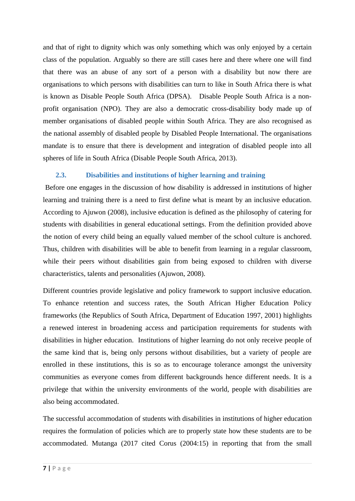and that of right to dignity which was only something which was only enjoyed by a certain class of the population. Arguably so there are still cases here and there where one will find that there was an abuse of any sort of a person with a disability but now there are organisations to which persons with disabilities can turn to like in South Africa there is what is known as Disable People South Africa (DPSA). Disable People South Africa is a nonprofit organisation (NPO). They are also a democratic cross-disability body made up of member organisations of disabled people within South Africa. They are also recognised as the national assembly of disabled people by Disabled People International. The organisations mandate is to ensure that there is development and integration of disabled people into all spheres of life in South Africa (Disable People South Africa, 2013).

# <span id="page-16-0"></span>**2.3. Disabilities and institutions of higher learning and training**

 Before one engages in the discussion of how disability is addressed in institutions of higher learning and training there is a need to first define what is meant by an inclusive education. According to Ajuwon (2008), inclusive education is defined as the philosophy of catering for students with disabilities in general educational settings. From the definition provided above the notion of every child being an equally valued member of the school culture is anchored. Thus, children with disabilities will be able to benefit from learning in a regular classroom, while their peers without disabilities gain from being exposed to children with diverse characteristics, talents and personalities (Ajuwon, 2008).

Different countries provide legislative and policy framework to support inclusive education. To enhance retention and success rates, the South African Higher Education Policy frameworks (the Republics of South Africa, Department of Education 1997, 2001) highlights a renewed interest in broadening access and participation requirements for students with disabilities in higher education. Institutions of higher learning do not only receive people of the same kind that is, being only persons without disabilities, but a variety of people are enrolled in these institutions, this is so as to encourage tolerance amongst the university communities as everyone comes from different backgrounds hence different needs. It is a privilege that within the university environments of the world, people with disabilities are also being accommodated.

The successful accommodation of students with disabilities in institutions of higher education requires the formulation of policies which are to properly state how these students are to be accommodated. Mutanga (2017 cited Corus (2004:15) in reporting that from the small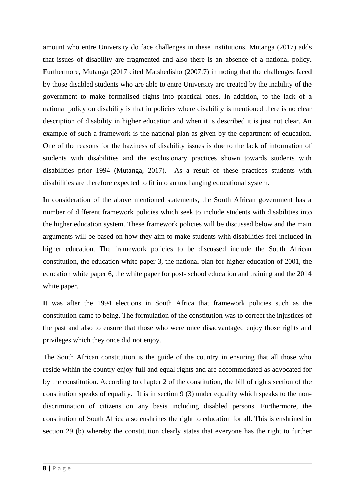amount who entre University do face challenges in these institutions. Mutanga (2017) adds that issues of disability are fragmented and also there is an absence of a national policy. Furthermore, Mutanga (2017 cited Matshedisho (2007:7) in noting that the challenges faced by those disabled students who are able to entre University are created by the inability of the government to make formalised rights into practical ones. In addition, to the lack of a national policy on disability is that in policies where disability is mentioned there is no clear description of disability in higher education and when it is described it is just not clear. An example of such a framework is the national plan as given by the department of education. One of the reasons for the haziness of disability issues is due to the lack of information of students with disabilities and the exclusionary practices shown towards students with disabilities prior 1994 (Mutanga, 2017). As a result of these practices students with disabilities are therefore expected to fit into an unchanging educational system.

In consideration of the above mentioned statements, the South African government has a number of different framework policies which seek to include students with disabilities into the higher education system. These framework policies will be discussed below and the main arguments will be based on how they aim to make students with disabilities feel included in higher education. The framework policies to be discussed include the South African constitution, the education white paper 3, the national plan for higher education of 2001, the education white paper 6, the white paper for post- school education and training and the 2014 white paper.

It was after the 1994 elections in South Africa that framework policies such as the constitution came to being. The formulation of the constitution was to correct the injustices of the past and also to ensure that those who were once disadvantaged enjoy those rights and privileges which they once did not enjoy.

The South African constitution is the guide of the country in ensuring that all those who reside within the country enjoy full and equal rights and are accommodated as advocated for by the constitution. According to chapter 2 of the constitution, the bill of rights section of the constitution speaks of equality. It is in section 9 (3) under equality which speaks to the nondiscrimination of citizens on any basis including disabled persons. Furthermore, the constitution of South Africa also enshrines the right to education for all. This is enshrined in section 29 (b) whereby the constitution clearly states that everyone has the right to further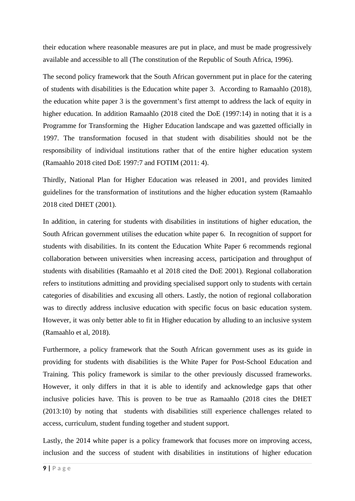their education where reasonable measures are put in place, and must be made progressively available and accessible to all (The constitution of the Republic of South Africa, 1996).

The second policy framework that the South African government put in place for the catering of students with disabilities is the Education white paper 3. According to Ramaahlo (2018), the education white paper 3 is the government's first attempt to address the lack of equity in higher education. In addition Ramaahlo (2018 cited the DoE (1997:14) in noting that it is a Programme for Transforming the Higher Education landscape and was gazetted officially in 1997. The transformation focused in that student with disabilities should not be the responsibility of individual institutions rather that of the entire higher education system (Ramaahlo 2018 cited DoE 1997:7 and FOTIM (2011: 4).

Thirdly, National Plan for Higher Education was released in 2001, and provides limited guidelines for the transformation of institutions and the higher education system (Ramaahlo 2018 cited DHET (2001).

In addition, in catering for students with disabilities in institutions of higher education, the South African government utilises the education white paper 6. In recognition of support for students with disabilities. In its content the Education White Paper 6 recommends regional collaboration between universities when increasing access, participation and throughput of students with disabilities (Ramaahlo et al 2018 cited the DoE 2001). Regional collaboration refers to institutions admitting and providing specialised support only to students with certain categories of disabilities and excusing all others. Lastly, the notion of regional collaboration was to directly address inclusive education with specific focus on basic education system. However, it was only better able to fit in Higher education by alluding to an inclusive system (Ramaahlo et al, 2018).

Furthermore, a policy framework that the South African government uses as its guide in providing for students with disabilities is the White Paper for Post-School Education and Training. This policy framework is similar to the other previously discussed frameworks. However, it only differs in that it is able to identify and acknowledge gaps that other inclusive policies have. This is proven to be true as Ramaahlo (2018 cites the DHET (2013:10) by noting that students with disabilities still experience challenges related to access, curriculum, student funding together and student support.

Lastly, the 2014 white paper is a policy framework that focuses more on improving access, inclusion and the success of student with disabilities in institutions of higher education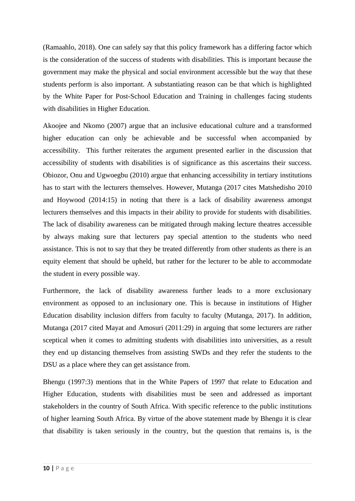(Ramaahlo, 2018). One can safely say that this policy framework has a differing factor which is the consideration of the success of students with disabilities. This is important because the government may make the physical and social environment accessible but the way that these students perform is also important. A substantiating reason can be that which is highlighted by the White Paper for Post-School Education and Training in challenges facing students with disabilities in Higher Education.

Akoojee and Nkomo (2007) argue that an inclusive educational culture and a transformed higher education can only be achievable and be successful when accompanied by accessibility. This further reiterates the argument presented earlier in the discussion that accessibility of students with disabilities is of significance as this ascertains their success. Obiozor, Onu and Ugwoegbu (2010) argue that enhancing accessibility in tertiary institutions has to start with the lecturers themselves. However, Mutanga (2017 cites Matshedisho 2010 and Hoywood (2014:15) in noting that there is a lack of disability awareness amongst lecturers themselves and this impacts in their ability to provide for students with disabilities. The lack of disability awareness can be mitigated through making lecture theatres accessible by always making sure that lecturers pay special attention to the students who need assistance. This is not to say that they be treated differently from other students as there is an equity element that should be upheld, but rather for the lecturer to be able to accommodate the student in every possible way.

Furthermore, the lack of disability awareness further leads to a more exclusionary environment as opposed to an inclusionary one. This is because in institutions of Higher Education disability inclusion differs from faculty to faculty (Mutanga, 2017). In addition, Mutanga (2017 cited Mayat and Amosuri (2011:29) in arguing that some lecturers are rather sceptical when it comes to admitting students with disabilities into universities, as a result they end up distancing themselves from assisting SWDs and they refer the students to the DSU as a place where they can get assistance from.

Bhengu (1997:3) mentions that in the White Papers of 1997 that relate to Education and Higher Education, students with disabilities must be seen and addressed as important stakeholders in the country of South Africa. With specific reference to the public institutions of higher learning South Africa. By virtue of the above statement made by Bhengu it is clear that disability is taken seriously in the country, but the question that remains is, is the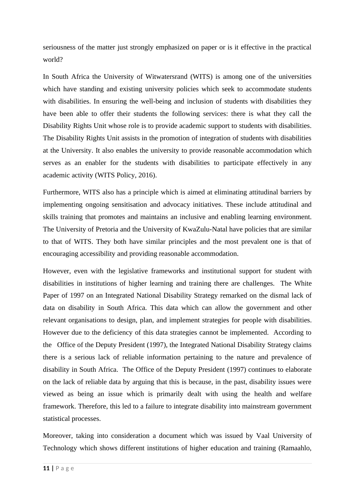seriousness of the matter just strongly emphasized on paper or is it effective in the practical world?

In South Africa the University of Witwatersrand (WITS) is among one of the universities which have standing and existing university policies which seek to accommodate students with disabilities. In ensuring the well-being and inclusion of students with disabilities they have been able to offer their students the following services: there is what they call the Disability Rights Unit whose role is to provide academic support to students with disabilities. The Disability Rights Unit assists in the promotion of integration of students with disabilities at the University. It also enables the university to provide reasonable accommodation which serves as an enabler for the students with disabilities to participate effectively in any academic activity (WITS Policy, 2016).

Furthermore, WITS also has a principle which is aimed at eliminating attitudinal barriers by implementing ongoing sensitisation and advocacy initiatives. These include attitudinal and skills training that promotes and maintains an inclusive and enabling learning environment. The University of Pretoria and the University of KwaZulu-Natal have policies that are similar to that of WITS. They both have similar principles and the most prevalent one is that of encouraging accessibility and providing reasonable accommodation.

However, even with the legislative frameworks and institutional support for student with disabilities in institutions of higher learning and training there are challenges. The White Paper of 1997 on an Integrated National Disability Strategy remarked on the dismal lack of data on disability in South Africa. This data which can allow the government and other relevant organisations to design, plan, and implement strategies for people with disabilities. However due to the deficiency of this data strategies cannot be implemented. According to the Office of the Deputy President (1997), the Integrated National Disability Strategy claims there is a serious lack of reliable information pertaining to the nature and prevalence of disability in South Africa. The Office of the Deputy President (1997) continues to elaborate on the lack of reliable data by arguing that this is because, in the past, disability issues were viewed as being an issue which is primarily dealt with using the health and welfare framework. Therefore, this led to a failure to integrate disability into mainstream government statistical processes.

Moreover, taking into consideration a document which was issued by Vaal University of Technology which shows different institutions of higher education and training (Ramaahlo,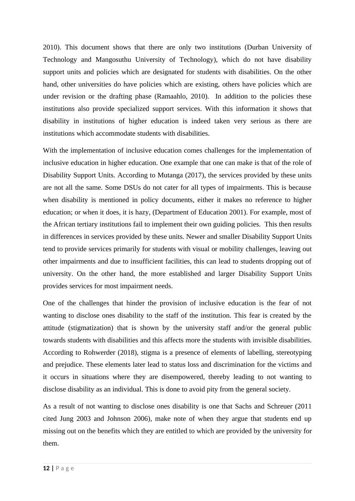2010). This document shows that there are only two institutions (Durban University of Technology and Mangosuthu University of Technology), which do not have disability support units and policies which are designated for students with disabilities. On the other hand, other universities do have policies which are existing, others have policies which are under revision or the drafting phase (Ramaahlo, 2010). In addition to the policies these institutions also provide specialized support services. With this information it shows that disability in institutions of higher education is indeed taken very serious as there are institutions which accommodate students with disabilities.

With the implementation of inclusive education comes challenges for the implementation of inclusive education in higher education. One example that one can make is that of the role of Disability Support Units. According to Mutanga (2017), the services provided by these units are not all the same. Some DSUs do not cater for all types of impairments. This is because when disability is mentioned in policy documents, either it makes no reference to higher education; or when it does, it is hazy, (Department of Education 2001). For example, most of the African tertiary institutions fail to implement their own guiding policies. This then results in differences in services provided by these units. Newer and smaller Disability Support Units tend to provide services primarily for students with visual or mobility challenges, leaving out other impairments and due to insufficient facilities, this can lead to students dropping out of university. On the other hand, the more established and larger Disability Support Units provides services for most impairment needs.

One of the challenges that hinder the provision of inclusive education is the fear of not wanting to disclose ones disability to the staff of the institution. This fear is created by the attitude (stigmatization) that is shown by the university staff and/or the general public towards students with disabilities and this affects more the students with invisible disabilities. According to Rohwerder (2018), stigma is a presence of elements of labelling, stereotyping and prejudice. These elements later lead to status loss and discrimination for the victims and it occurs in situations where they are disempowered, thereby leading to not wanting to disclose disability as an individual. This is done to avoid pity from the general society.

As a result of not wanting to disclose ones disability is one that Sachs and Schreuer (2011 cited Jung 2003 and Johnson 2006), make note of when they argue that students end up missing out on the benefits which they are entitled to which are provided by the university for them.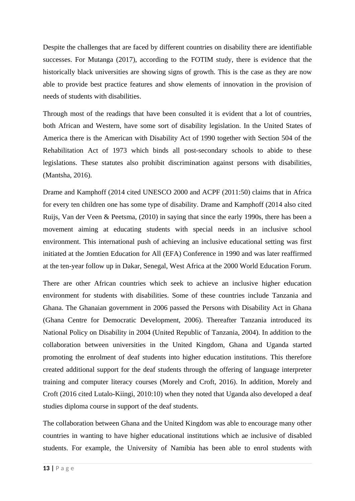Despite the challenges that are faced by different countries on disability there are identifiable successes. For Mutanga (2017), according to the FOTIM study, there is evidence that the historically black universities are showing signs of growth. This is the case as they are now able to provide best practice features and show elements of innovation in the provision of needs of students with disabilities.

Through most of the readings that have been consulted it is evident that a lot of countries, both African and Western, have some sort of disability legislation. In the United States of America there is the American with Disability Act of 1990 together with Section 504 of the Rehabilitation Act of 1973 which binds all post-secondary schools to abide to these legislations. These statutes also prohibit discrimination against persons with disabilities, (Mantsha, 2016).

Drame and Kamphoff (2014 cited UNESCO 2000 and ACPF (2011:50) claims that in Africa for every ten children one has some type of disability. Drame and Kamphoff (2014 also cited Ruijs, Van der Veen & Peetsma, (2010) in saying that since the early 1990s, there has been a movement aiming at educating students with special needs in an inclusive school environment. This international push of achieving an inclusive educational setting was first initiated at the Jomtien Education for All (EFA) Conference in 1990 and was later reaffirmed at the ten-year follow up in Dakar, Senegal, West Africa at the 2000 World Education Forum.

There are other African countries which seek to achieve an inclusive higher education environment for students with disabilities. Some of these countries include Tanzania and Ghana. The Ghanaian government in 2006 passed the Persons with Disability Act in Ghana (Ghana Centre for Democratic Development, 2006). Thereafter Tanzania introduced its National Policy on Disability in 2004 (United Republic of Tanzania, 2004). In addition to the collaboration between universities in the United Kingdom, Ghana and Uganda started promoting the enrolment of deaf students into higher education institutions. This therefore created additional support for the deaf students through the offering of language interpreter training and computer literacy courses (Morely and Croft, 2016). In addition, Morely and Croft (2016 cited Lutalo-Kiingi, 2010:10) when they noted that Uganda also developed a deaf studies diploma course in support of the deaf students.

The collaboration between Ghana and the United Kingdom was able to encourage many other countries in wanting to have higher educational institutions which ae inclusive of disabled students. For example, the University of Namibia has been able to enrol students with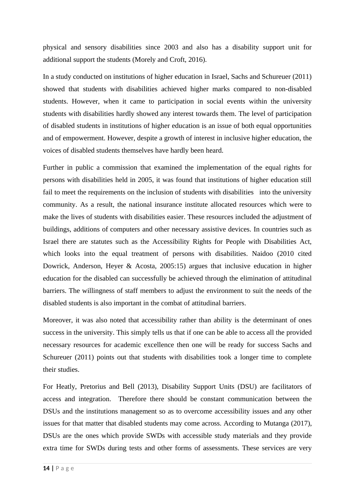physical and sensory disabilities since 2003 and also has a disability support unit for additional support the students (Morely and Croft, 2016).

In a study conducted on institutions of higher education in Israel, Sachs and Schureuer (2011) showed that students with disabilities achieved higher marks compared to non-disabled students. However, when it came to participation in social events within the university students with disabilities hardly showed any interest towards them. The level of participation of disabled students in institutions of higher education is an issue of both equal opportunities and of empowerment. However, despite a growth of interest in inclusive higher education, the voices of disabled students themselves have hardly been heard.

Further in public a commission that examined the implementation of the equal rights for persons with disabilities held in 2005, it was found that institutions of higher education still fail to meet the requirements on the inclusion of students with disabilities into the university community. As a result, the national insurance institute allocated resources which were to make the lives of students with disabilities easier. These resources included the adjustment of buildings, additions of computers and other necessary assistive devices. In countries such as Israel there are statutes such as the Accessibility Rights for People with Disabilities Act, which looks into the equal treatment of persons with disabilities. Naidoo (2010 cited Dowrick, Anderson, Heyer & Acosta, 2005:15) argues that inclusive education in higher education for the disabled can successfully be achieved through the elimination of attitudinal barriers. The willingness of staff members to adjust the environment to suit the needs of the disabled students is also important in the combat of attitudinal barriers.

Moreover, it was also noted that accessibility rather than ability is the determinant of ones success in the university. This simply tells us that if one can be able to access all the provided necessary resources for academic excellence then one will be ready for success Sachs and Schureuer (2011) points out that students with disabilities took a longer time to complete their studies.

For Heatly, Pretorius and Bell (2013), Disability Support Units (DSU) are facilitators of access and integration. Therefore there should be constant communication between the DSUs and the institutions management so as to overcome accessibility issues and any other issues for that matter that disabled students may come across. According to Mutanga (2017), DSUs are the ones which provide SWDs with accessible study materials and they provide extra time for SWDs during tests and other forms of assessments. These services are very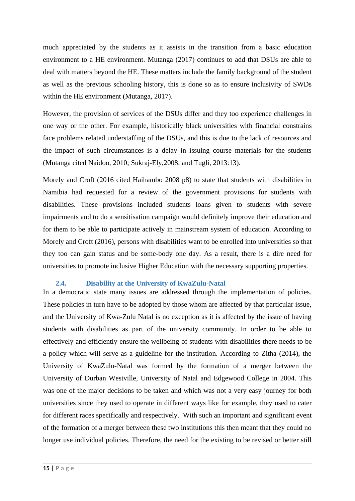much appreciated by the students as it assists in the transition from a basic education environment to a HE environment. Mutanga (2017) continues to add that DSUs are able to deal with matters beyond the HE. These matters include the family background of the student as well as the previous schooling history, this is done so as to ensure inclusivity of SWDs within the HE environment (Mutanga, 2017).

However, the provision of services of the DSUs differ and they too experience challenges in one way or the other. For example, historically black universities with financial constrains face problems related understaffing of the DSUs, and this is due to the lack of resources and the impact of such circumstances is a delay in issuing course materials for the students (Mutanga cited Naidoo, 2010; Sukraj-Ely,2008; and Tugli, 2013:13).

Morely and Croft (2016 cited Haihambo 2008 p8) to state that students with disabilities in Namibia had requested for a review of the government provisions for students with disabilities. These provisions included students loans given to students with severe impairments and to do a sensitisation campaign would definitely improve their education and for them to be able to participate actively in mainstream system of education. According to Morely and Croft (2016), persons with disabilities want to be enrolled into universities so that they too can gain status and be some-body one day. As a result, there is a dire need for universities to promote inclusive Higher Education with the necessary supporting properties.

#### <span id="page-24-0"></span>**2.4. Disability at the University of KwaZulu-Natal**

In a democratic state many issues are addressed through the implementation of policies. These policies in turn have to be adopted by those whom are affected by that particular issue, and the University of Kwa-Zulu Natal is no exception as it is affected by the issue of having students with disabilities as part of the university community. In order to be able to effectively and efficiently ensure the wellbeing of students with disabilities there needs to be a policy which will serve as a guideline for the institution. According to Zitha (2014), the University of KwaZulu-Natal was formed by the formation of a merger between the University of Durban Westville, University of Natal and Edgewood College in 2004. This was one of the major decisions to be taken and which was not a very easy journey for both universities since they used to operate in different ways like for example, they used to cater for different races specifically and respectively. With such an important and significant event of the formation of a merger between these two institutions this then meant that they could no longer use individual policies. Therefore, the need for the existing to be revised or better still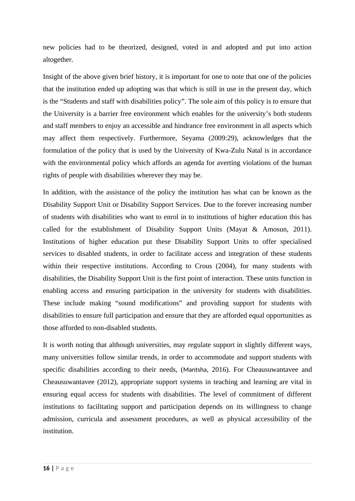new policies had to be theorized, designed, voted in and adopted and put into action altogether.

Insight of the above given brief history, it is important for one to note that one of the policies that the institution ended up adopting was that which is still in use in the present day, which is the "Students and staff with disabilities policy". The sole aim of this policy is to ensure that the University is a barrier free environment which enables for the university's both students and staff members to enjoy an accessible and hindrance free environment in all aspects which may affect them respectively. Furthermore, Seyama (2009:29), acknowledges that the formulation of the policy that is used by the University of Kwa-Zulu Natal is in accordance with the environmental policy which affords an agenda for averting violations of the human rights of people with disabilities wherever they may be.

In addition, with the assistance of the policy the institution has what can be known as the Disability Support Unit or Disability Support Services. Due to the forever increasing number of students with disabilities who want to enrol in to institutions of higher education this has called for the establishment of Disability Support Units (Mayat & Amosun, 2011). Institutions of higher education put these Disability Support Units to offer specialised services to disabled students, in order to facilitate access and integration of these students within their respective institutions. According to Crous (2004), for many students with disabilities, the Disability Support Unit is the first point of interaction. These units function in enabling access and ensuring participation in the university for students with disabilities. These include making "sound modifications" and providing support for students with disabilities to ensure full participation and ensure that they are afforded equal opportunities as those afforded to non-disabled students.

It is worth noting that although universities, may regulate support in slightly different ways, many universities follow similar trends, in order to accommodate and support students with specific disabilities according to their needs, (Mantsha, 2016). For Cheausuwantavee and Cheausuwantavee (2012), appropriate support systems in teaching and learning are vital in ensuring equal access for students with disabilities. The level of commitment of different institutions to facilitating support and participation depends on its willingness to change admission, curricula and assessment procedures, as well as physical accessibility of the institution.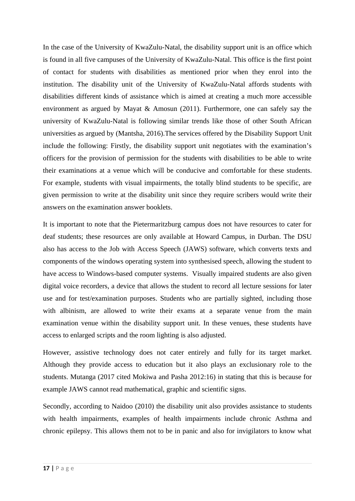In the case of the University of KwaZulu-Natal, the disability support unit is an office which is found in all five campuses of the University of KwaZulu-Natal. This office is the first point of contact for students with disabilities as mentioned prior when they enrol into the institution. The disability unit of the University of KwaZulu-Natal affords students with disabilities different kinds of assistance which is aimed at creating a much more accessible environment as argued by Mayat & Amosun (2011). Furthermore, one can safely say the university of KwaZulu-Natal is following similar trends like those of other South African universities as argued by (Mantsha, 2016).The services offered by the Disability Support Unit include the following: Firstly, the disability support unit negotiates with the examination's officers for the provision of permission for the students with disabilities to be able to write their examinations at a venue which will be conducive and comfortable for these students. For example, students with visual impairments, the totally blind students to be specific, are given permission to write at the disability unit since they require scribers would write their answers on the examination answer booklets.

It is important to note that the Pietermaritzburg campus does not have resources to cater for deaf students; these resources are only available at Howard Campus, in Durban. The DSU also has access to the Job with Access Speech (JAWS) software, which converts texts and components of the windows operating system into synthesised speech, allowing the student to have access to Windows-based computer systems. Visually impaired students are also given digital voice recorders, a device that allows the student to record all lecture sessions for later use and for test/examination purposes. Students who are partially sighted, including those with albinism, are allowed to write their exams at a separate venue from the main examination venue within the disability support unit. In these venues, these students have access to enlarged scripts and the room lighting is also adjusted.

However, assistive technology does not cater entirely and fully for its target market. Although they provide access to education but it also plays an exclusionary role to the students. Mutanga (2017 cited Mokiwa and Pasha 2012:16) in stating that this is because for example JAWS cannot read mathematical, graphic and scientific signs.

Secondly, according to Naidoo (2010) the disability unit also provides assistance to students with health impairments, examples of health impairments include chronic Asthma and chronic epilepsy. This allows them not to be in panic and also for invigilators to know what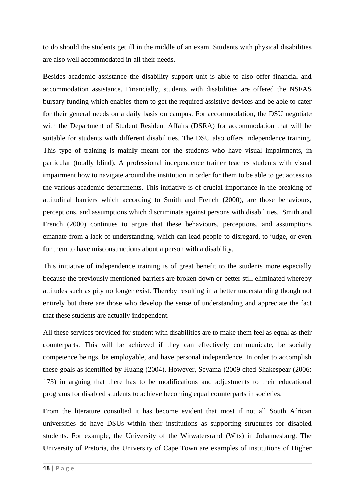to do should the students get ill in the middle of an exam. Students with physical disabilities are also well accommodated in all their needs.

Besides academic assistance the disability support unit is able to also offer financial and accommodation assistance. Financially, students with disabilities are offered the NSFAS bursary funding which enables them to get the required assistive devices and be able to cater for their general needs on a daily basis on campus. For accommodation, the DSU negotiate with the Department of Student Resident Affairs (DSRA) for accommodation that will be suitable for students with different disabilities. The DSU also offers independence training. This type of training is mainly meant for the students who have visual impairments, in particular (totally blind). A professional independence trainer teaches students with visual impairment how to navigate around the institution in order for them to be able to get access to the various academic departments. This initiative is of crucial importance in the breaking of attitudinal barriers which according to Smith and French (2000), are those behaviours, perceptions, and assumptions which discriminate against persons with disabilities. Smith and French (2000) continues to argue that these behaviours, perceptions, and assumptions emanate from a lack of understanding, which can lead people to disregard, to judge, or even for them to have misconstructions about a person with a disability.

This initiative of independence training is of great benefit to the students more especially because the previously mentioned barriers are broken down or better still eliminated whereby attitudes such as pity no longer exist. Thereby resulting in a better understanding though not entirely but there are those who develop the sense of understanding and appreciate the fact that these students are actually independent.

All these services provided for student with disabilities are to make them feel as equal as their counterparts. This will be achieved if they can effectively communicate, be socially competence beings, be employable, and have personal independence. In order to accomplish these goals as identified by Huang (2004). However, Seyama (2009 cited Shakespear (2006: 173) in arguing that there has to be modifications and adjustments to their educational programs for disabled students to achieve becoming equal counterparts in societies.

From the literature consulted it has become evident that most if not all South African universities do have DSUs within their institutions as supporting structures for disabled students. For example, the University of the Witwatersrand (Wits) in Johannesburg. The University of Pretoria, the University of Cape Town are examples of institutions of Higher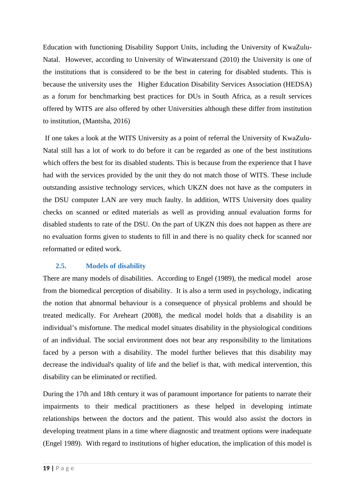Education with functioning Disability Support Units, including the University of KwaZulu-Natal. However, according to University of Witwatersrand (2010) the University is one of the institutions that is considered to be the best in catering for disabled students. This is because the university uses the Higher Education Disability Services Association (HEDSA) as a forum for benchmarking best practices for DUs in South Africa, as a result services offered by WITS are also offered by other Universities although these differ from institution to institution, (Mantsha, 2016)

 If one takes a look at the WITS University as a point of referral the University of KwaZulu-Natal still has a lot of work to do before it can be regarded as one of the best institutions which offers the best for its disabled students. This is because from the experience that I have had with the services provided by the unit they do not match those of WITS. These include outstanding assistive technology services, which UKZN does not have as the computers in the DSU computer LAN are very much faulty. In addition, WITS University does quality checks on scanned or edited materials as well as providing annual evaluation forms for disabled students to rate of the DSU. On the part of UKZN this does not happen as there are no evaluation forms given to students to fill in and there is no quality check for scanned nor reformatted or edited work.

# <span id="page-28-0"></span>**2.5. Models of disability**

There are many models of disabilities. According to Engel (1989), the medical model arose from the biomedical perception of disability. It is also a term used in psychology, indicating the notion that abnormal behaviour is a consequence of physical problems and should be treated medically. For Areheart (2008), the medical model holds that a disability is an individual's misfortune. The medical model situates disability in the physiological conditions of an individual. The social environment does not bear any responsibility to the limitations faced by a person with a disability. The model further believes that this disability may decrease the individual's quality of life and the belief is that, with medical intervention, this disability can be eliminated or rectified.

During the 17th and 18th century it was of paramount importance for patients to narrate their impairments to their medical practitioners as these helped in developing intimate relationships between the doctors and the patient. This would also assist the doctors in developing treatment plans in a time where diagnostic and treatment options were inadequate (Engel 1989). With regard to institutions of higher education, the implication of this model is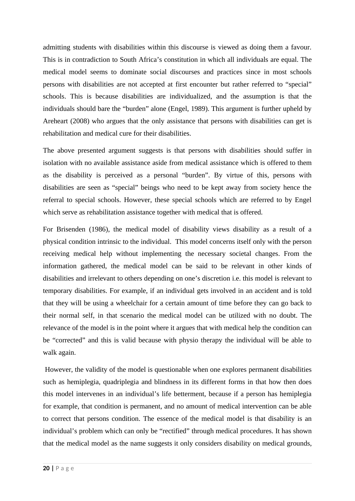admitting students with disabilities within this discourse is viewed as doing them a favour. This is in contradiction to South Africa's constitution in which all individuals are equal. The medical model seems to dominate social discourses and practices since in most schools persons with disabilities are not accepted at first encounter but rather referred to "special" schools. This is because disabilities are individualized, and the assumption is that the individuals should bare the "burden" alone (Engel, 1989). This argument is further upheld by Areheart (2008) who argues that the only assistance that persons with disabilities can get is rehabilitation and medical cure for their disabilities.

The above presented argument suggests is that persons with disabilities should suffer in isolation with no available assistance aside from medical assistance which is offered to them as the disability is perceived as a personal "burden". By virtue of this, persons with disabilities are seen as "special" beings who need to be kept away from society hence the referral to special schools. However, these special schools which are referred to by Engel which serve as rehabilitation assistance together with medical that is offered.

For Brisenden (1986), the medical model of disability views disability as a result of a physical condition intrinsic to the individual. This model concerns itself only with the person receiving medical help without implementing the necessary societal changes. From the information gathered, the medical model can be said to be relevant in other kinds of disabilities and irrelevant to others depending on one's discretion i.e. this model is relevant to temporary disabilities. For example, if an individual gets involved in an accident and is told that they will be using a wheelchair for a certain amount of time before they can go back to their normal self, in that scenario the medical model can be utilized with no doubt. The relevance of the model is in the point where it argues that with medical help the condition can be "corrected" and this is valid because with physio therapy the individual will be able to walk again.

 However, the validity of the model is questionable when one explores permanent disabilities such as hemiplegia, quadriplegia and blindness in its different forms in that how then does this model intervenes in an individual's life betterment, because if a person has hemiplegia for example, that condition is permanent, and no amount of medical intervention can be able to correct that persons condition. The essence of the medical model is that disability is an individual's problem which can only be "rectified" through medical procedures. It has shown that the medical model as the name suggests it only considers disability on medical grounds,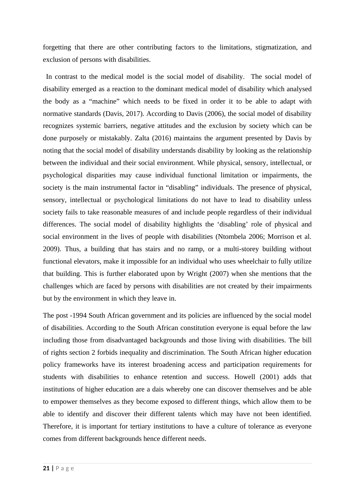forgetting that there are other contributing factors to the limitations, stigmatization, and exclusion of persons with disabilities.

 In contrast to the medical model is the social model of disability. The social model of disability emerged as a reaction to the dominant medical model of disability which analysed the body as a "machine" which needs to be fixed in order it to be able to adapt with normative standards (Davis, 2017). According to Davis (2006), the social model of disability recognizes systemic barriers, negative attitudes and the exclusion by society which can be done purposely or mistakably. Zalta (2016) maintains the argument presented by Davis by noting that the social model of disability understands disability by looking as the relationship between the individual and their social environment. While physical, sensory, intellectual, or psychological disparities may cause individual functional limitation or impairments, the society is the main instrumental factor in "disabling" individuals. The presence of physical, sensory, intellectual or psychological limitations do not have to lead to disability unless society fails to take reasonable measures of and include people regardless of their individual differences. The social model of disability highlights the 'disabling' role of physical and social environment in the lives of people with disabilities (Ntombela 2006; Morrison et al. 2009). Thus, a building that has stairs and no ramp, or a multi-storey building without functional elevators, make it impossible for an individual who uses wheelchair to fully utilize that building. This is further elaborated upon by Wright (2007) when she mentions that the challenges which are faced by persons with disabilities are not created by their impairments but by the environment in which they leave in.

The post -1994 South African government and its policies are influenced by the social model of disabilities. According to the South African constitution everyone is equal before the law including those from disadvantaged backgrounds and those living with disabilities. The bill of rights section 2 forbids inequality and discrimination. The South African higher education policy frameworks have its interest broadening access and participation requirements for students with disabilities to enhance retention and success. Howell (2001) adds that institutions of higher education are a dais whereby one can discover themselves and be able to empower themselves as they become exposed to different things, which allow them to be able to identify and discover their different talents which may have not been identified. Therefore, it is important for tertiary institutions to have a culture of tolerance as everyone comes from different backgrounds hence different needs.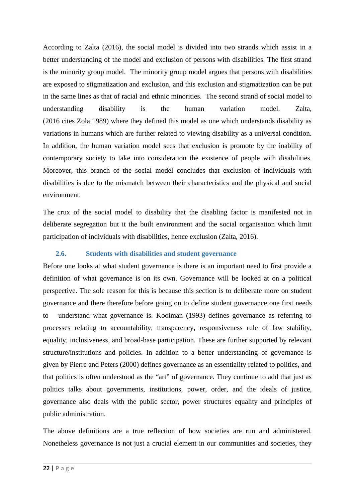According to Zalta (2016), the social model is divided into two strands which assist in a better understanding of the model and exclusion of persons with disabilities. The first strand is the minority group model. The minority group model argues that persons with disabilities are exposed to stigmatization and exclusion, and this exclusion and stigmatization can be put in the same lines as that of racial and ethnic minorities. The second strand of social model to understanding disability is the human variation model. Zalta, (2016 cites Zola 1989) where they defined this model as one which understands disability as variations in humans which are further related to viewing disability as a universal condition. In addition, the human variation model sees that exclusion is promote by the inability of contemporary society to take into consideration the existence of people with disabilities. Moreover, this branch of the social model concludes that exclusion of individuals with disabilities is due to the mismatch between their characteristics and the physical and social environment.

The crux of the social model to disability that the disabling factor is manifested not in deliberate segregation but it the built environment and the social organisation which limit participation of individuals with disabilities, hence exclusion (Zalta, 2016).

#### <span id="page-31-0"></span>**2.6. Students with disabilities and student governance**

Before one looks at what student governance is there is an important need to first provide a definition of what governance is on its own. Governance will be looked at on a political perspective. The sole reason for this is because this section is to deliberate more on student governance and there therefore before going on to define student governance one first needs to understand what governance is. Kooiman (1993) defines governance as referring to processes relating to accountability, transparency, responsiveness rule of law stability, equality, inclusiveness, and broad-base participation. These are further supported by relevant structure/institutions and policies. In addition to a better understanding of governance is given by Pierre and Peters (2000) defines governance as an essentiality related to politics, and that politics is often understood as the "art" of governance. They continue to add that just as politics talks about governments, institutions, power, order, and the ideals of justice, governance also deals with the public sector, power structures equality and principles of public administration.

The above definitions are a true reflection of how societies are run and administered. Nonetheless governance is not just a crucial element in our communities and societies, they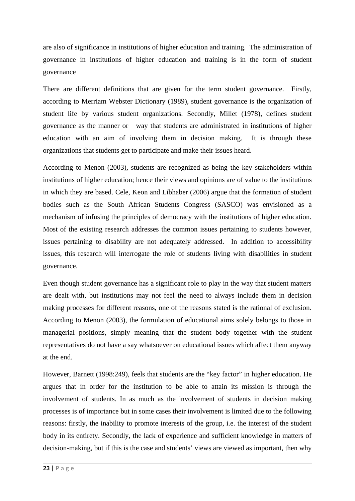are also of significance in institutions of higher education and training. The administration of governance in institutions of higher education and training is in the form of student governance

There are different definitions that are given for the term student governance. Firstly, according to Merriam Webster Dictionary (1989), student governance is the organization of student life by various student organizations. Secondly, Millet (1978), defines student governance as the manner or way that students are administrated in institutions of higher education with an aim of involving them in decision making. It is through these organizations that students get to participate and make their issues heard.

According to Menon (2003), students are recognized as being the key stakeholders within institutions of higher education; hence their views and opinions are of value to the institutions in which they are based. Cele, Keon and Libhaber (2006) argue that the formation of student bodies such as the South African Students Congress (SASCO) was envisioned as a mechanism of infusing the principles of democracy with the institutions of higher education. Most of the existing research addresses the common issues pertaining to students however, issues pertaining to disability are not adequately addressed. In addition to accessibility issues, this research will interrogate the role of students living with disabilities in student governance.

Even though student governance has a significant role to play in the way that student matters are dealt with, but institutions may not feel the need to always include them in decision making processes for different reasons, one of the reasons stated is the rational of exclusion. According to Menon (2003), the formulation of educational aims solely belongs to those in managerial positions, simply meaning that the student body together with the student representatives do not have a say whatsoever on educational issues which affect them anyway at the end.

However, Barnett (1998:249), feels that students are the "key factor" in higher education. He argues that in order for the institution to be able to attain its mission is through the involvement of students. In as much as the involvement of students in decision making processes is of importance but in some cases their involvement is limited due to the following reasons: firstly, the inability to promote interests of the group, i.e. the interest of the student body in its entirety. Secondly, the lack of experience and sufficient knowledge in matters of decision-making, but if this is the case and students' views are viewed as important, then why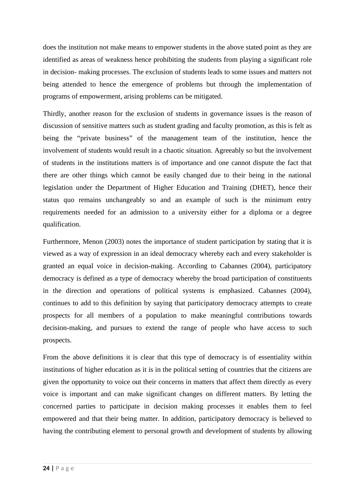does the institution not make means to empower students in the above stated point as they are identified as areas of weakness hence prohibiting the students from playing a significant role in decision- making processes. The exclusion of students leads to some issues and matters not being attended to hence the emergence of problems but through the implementation of programs of empowerment, arising problems can be mitigated.

Thirdly, another reason for the exclusion of students in governance issues is the reason of discussion of sensitive matters such as student grading and faculty promotion, as this is felt as being the "private business" of the management team of the institution, hence the involvement of students would result in a chaotic situation. Agreeably so but the involvement of students in the institutions matters is of importance and one cannot dispute the fact that there are other things which cannot be easily changed due to their being in the national legislation under the Department of Higher Education and Training (DHET), hence their status quo remains unchangeably so and an example of such is the minimum entry requirements needed for an admission to a university either for a diploma or a degree qualification.

Furthermore, Menon (2003) notes the importance of student participation by stating that it is viewed as a way of expression in an ideal democracy whereby each and every stakeholder is granted an equal voice in decision-making. According to Cabannes (2004), participatory democracy is defined as a type of democracy whereby the broad participation of constituents in the direction and operations of political systems is emphasized. Cabannes (2004), continues to add to this definition by saying that participatory democracy attempts to create prospects for all members of a population to make meaningful contributions towards decision-making, and pursues to extend the range of people who have access to such prospects.

From the above definitions it is clear that this type of democracy is of essentiality within institutions of higher education as it is in the political setting of countries that the citizens are given the opportunity to voice out their concerns in matters that affect them directly as every voice is important and can make significant changes on different matters. By letting the concerned parties to participate in decision making processes it enables them to feel empowered and that their being matter. In addition, participatory democracy is believed to having the contributing element to personal growth and development of students by allowing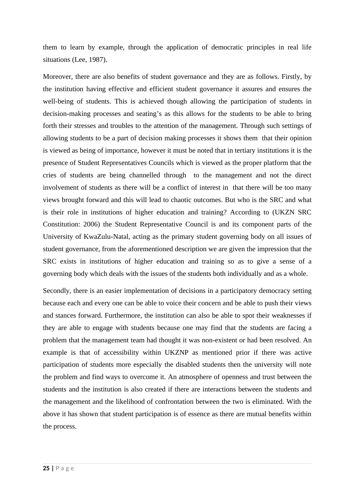them to learn by example, through the application of democratic principles in real life situations (Lee, 1987).

Moreover, there are also benefits of student governance and they are as follows. Firstly, by the institution having effective and efficient student governance it assures and ensures the well-being of students. This is achieved though allowing the participation of students in decision-making processes and seating's as this allows for the students to be able to bring forth their stresses and troubles to the attention of the management. Through such settings of allowing students to be a part of decision making processes it shows them that their opinion is viewed as being of importance, however it must be noted that in tertiary institutions it is the presence of Student Representatives Councils which is viewed as the proper platform that the cries of students are being channelled through to the management and not the direct involvement of students as there will be a conflict of interest in that there will be too many views brought forward and this will lead to chaotic outcomes. But who is the SRC and what is their role in institutions of higher education and training? According to (UKZN SRC Constitution: 2006) the Student Representative Council is and its component parts of the University of KwaZulu-Natal, acting as the primary student governing body on all issues of student governance, from the aforementioned description we are given the impression that the SRC exists in institutions of higher education and training so as to give a sense of a governing body which deals with the issues of the students both individually and as a whole.

Secondly, there is an easier implementation of decisions in a participatory democracy setting because each and every one can be able to voice their concern and be able to push their views and stances forward. Furthermore, the institution can also be able to spot their weaknesses if they are able to engage with students because one may find that the students are facing a problem that the management team had thought it was non-existent or had been resolved. An example is that of accessibility within UKZNP as mentioned prior if there was active participation of students more especially the disabled students then the university will note the problem and find ways to overcome it. An atmosphere of openness and trust between the students and the institution is also created if there are interactions between the students and the management and the likelihood of confrontation between the two is eliminated. With the above it has shown that student participation is of essence as there are mutual benefits within the process.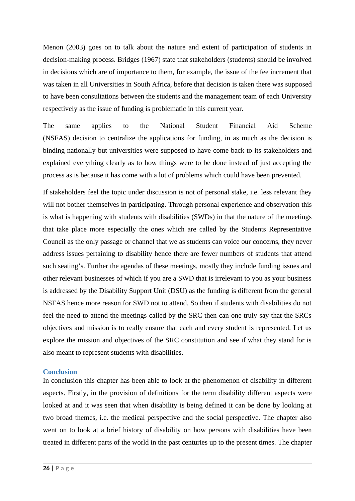Menon (2003) goes on to talk about the nature and extent of participation of students in decision-making process. Bridges (1967) state that stakeholders (students) should be involved in decisions which are of importance to them, for example, the issue of the fee increment that was taken in all Universities in South Africa, before that decision is taken there was supposed to have been consultations between the students and the management team of each University respectively as the issue of funding is problematic in this current year.

The same applies to the National Student Financial Aid Scheme (NSFAS) decision to centralize the applications for funding, in as much as the decision is binding nationally but universities were supposed to have come back to its stakeholders and explained everything clearly as to how things were to be done instead of just accepting the process as is because it has come with a lot of problems which could have been prevented.

If stakeholders feel the topic under discussion is not of personal stake, i.e. less relevant they will not bother themselves in participating. Through personal experience and observation this is what is happening with students with disabilities (SWDs) in that the nature of the meetings that take place more especially the ones which are called by the Students Representative Council as the only passage or channel that we as students can voice our concerns, they never address issues pertaining to disability hence there are fewer numbers of students that attend such seating's. Further the agendas of these meetings, mostly they include funding issues and other relevant businesses of which if you are a SWD that is irrelevant to you as your business is addressed by the Disability Support Unit (DSU) as the funding is different from the general NSFAS hence more reason for SWD not to attend. So then if students with disabilities do not feel the need to attend the meetings called by the SRC then can one truly say that the SRCs objectives and mission is to really ensure that each and every student is represented. Let us explore the mission and objectives of the SRC constitution and see if what they stand for is also meant to represent students with disabilities.

#### <span id="page-35-0"></span>**Conclusion**

In conclusion this chapter has been able to look at the phenomenon of disability in different aspects. Firstly, in the provision of definitions for the term disability different aspects were looked at and it was seen that when disability is being defined it can be done by looking at two broad themes, i.e. the medical perspective and the social perspective. The chapter also went on to look at a brief history of disability on how persons with disabilities have been treated in different parts of the world in the past centuries up to the present times. The chapter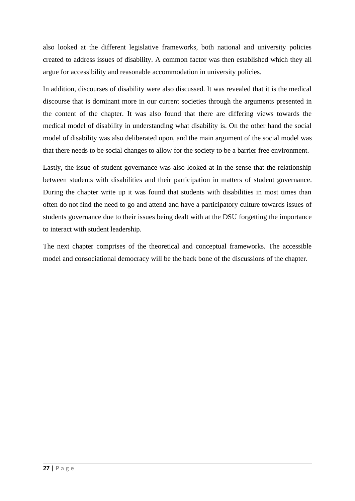also looked at the different legislative frameworks, both national and university policies created to address issues of disability. A common factor was then established which they all argue for accessibility and reasonable accommodation in university policies.

In addition, discourses of disability were also discussed. It was revealed that it is the medical discourse that is dominant more in our current societies through the arguments presented in the content of the chapter. It was also found that there are differing views towards the medical model of disability in understanding what disability is. On the other hand the social model of disability was also deliberated upon, and the main argument of the social model was that there needs to be social changes to allow for the society to be a barrier free environment.

Lastly, the issue of student governance was also looked at in the sense that the relationship between students with disabilities and their participation in matters of student governance. During the chapter write up it was found that students with disabilities in most times than often do not find the need to go and attend and have a participatory culture towards issues of students governance due to their issues being dealt with at the DSU forgetting the importance to interact with student leadership.

The next chapter comprises of the theoretical and conceptual frameworks. The accessible model and consociational democracy will be the back bone of the discussions of the chapter.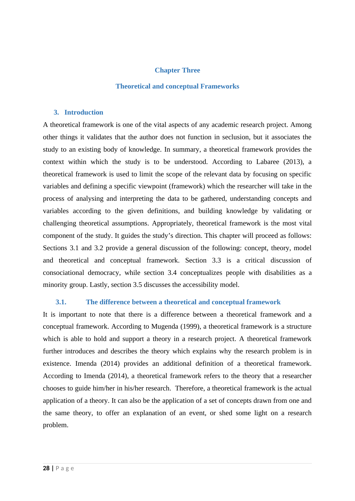### **Chapter Three**

#### **Theoretical and conceptual Frameworks**

#### **3. Introduction**

A theoretical framework is one of the vital aspects of any academic research project. Among other things it validates that the author does not function in seclusion, but it associates the study to an existing body of knowledge. In summary, a theoretical framework provides the context within which the study is to be understood. According to Labaree (2013), a theoretical framework is used to limit the scope of the relevant data by focusing on specific variables and defining a specific viewpoint (framework) which the researcher will take in the process of analysing and interpreting the data to be gathered, understanding concepts and variables according to the given definitions, and building knowledge by validating or challenging theoretical assumptions. Appropriately, theoretical framework is the most vital component of the study. It guides the study's direction. This chapter will proceed as follows: Sections 3.1 and 3.2 provide a general discussion of the following: concept, theory, model and theoretical and conceptual framework. Section 3.3 is a critical discussion of consociational democracy, while section 3.4 conceptualizes people with disabilities as a minority group. Lastly, section 3.5 discusses the accessibility model.

#### **3.1. The difference between a theoretical and conceptual framework**

It is important to note that there is a difference between a theoretical framework and a conceptual framework. According to Mugenda (1999), a theoretical framework is a structure which is able to hold and support a theory in a research project. A theoretical framework further introduces and describes the theory which explains why the research problem is in existence. Imenda (2014) provides an additional definition of a theoretical framework. According to Imenda (2014), a theoretical framework refers to the theory that a researcher chooses to guide him/her in his/her research. Therefore, a theoretical framework is the actual application of a theory. It can also be the application of a set of concepts drawn from one and the same theory, to offer an explanation of an event, or shed some light on a research problem.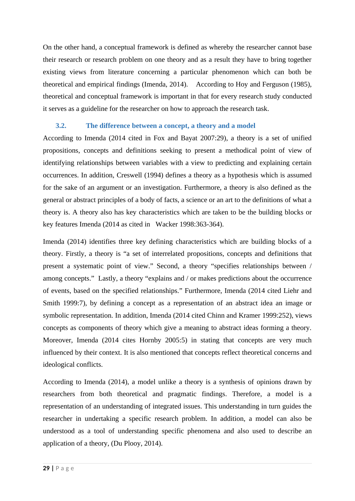On the other hand, a conceptual framework is defined as whereby the researcher cannot base their research or research problem on one theory and as a result they have to bring together existing views from literature concerning a particular phenomenon which can both be theoretical and empirical findings (Imenda, 2014). According to Hoy and Ferguson (1985), theoretical and conceptual framework is important in that for every research study conducted it serves as a guideline for the researcher on how to approach the research task.

### **3.2. The difference between a concept, a theory and a model**

According to Imenda (2014 cited in Fox and Bayat 2007:29), a theory is a set of unified propositions, concepts and definitions seeking to present a methodical point of view of identifying relationships between variables with a view to predicting and explaining certain occurrences. In addition, Creswell (1994) defines a theory as a hypothesis which is assumed for the sake of an argument or an investigation. Furthermore, a theory is also defined as the general or abstract principles of a body of facts, a science or an art to the definitions of what a theory is. A theory also has key characteristics which are taken to be the building blocks or key features Imenda (2014 as cited in Wacker 1998:363-364).

Imenda (2014) identifies three key defining characteristics which are building blocks of a theory. Firstly, a theory is "a set of interrelated propositions, concepts and definitions that present a systematic point of view." Second, a theory "specifies relationships between / among concepts." Lastly, a theory "explains and / or makes predictions about the occurrence of events, based on the specified relationships." Furthermore, Imenda (2014 cited Liehr and Smith 1999:7), by defining a concept as a representation of an abstract idea an image or symbolic representation. In addition, Imenda (2014 cited Chinn and Kramer 1999:252), views concepts as components of theory which give a meaning to abstract ideas forming a theory. Moreover, Imenda (2014 cites Hornby 2005:5) in stating that concepts are very much influenced by their context. It is also mentioned that concepts reflect theoretical concerns and ideological conflicts.

According to Imenda (2014), a model unlike a theory is a synthesis of opinions drawn by researchers from both theoretical and pragmatic findings. Therefore, a model is a representation of an understanding of integrated issues. This understanding in turn guides the researcher in undertaking a specific research problem. In addition, a model can also be understood as a tool of understanding specific phenomena and also used to describe an application of a theory, (Du Plooy, 2014).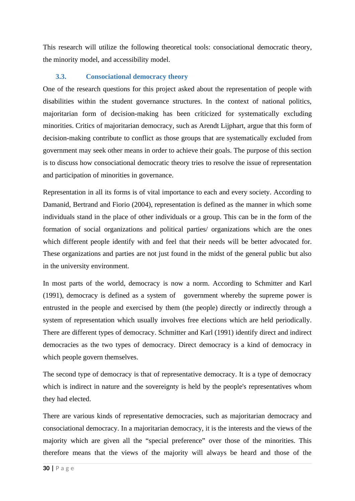This research will utilize the following theoretical tools: consociational democratic theory, the minority model, and accessibility model.

### **3.3. Consociational democracy theory**

One of the research questions for this project asked about the representation of people with disabilities within the student governance structures. In the context of national politics, majoritarian form of decision-making has been criticized for systematically excluding minorities. Critics of majoritarian democracy, such as Arendt Lijphart, argue that this form of decision-making contribute to conflict as those groups that are systematically excluded from government may seek other means in order to achieve their goals. The purpose of this section is to discuss how consociational democratic theory tries to resolve the issue of representation and participation of minorities in governance.

Representation in all its forms is of vital importance to each and every society. According to Damanid, Bertrand and Fiorio (2004), representation is defined as the manner in which some individuals stand in the place of other individuals or a group. This can be in the form of the formation of social organizations and political parties/ organizations which are the ones which different people identify with and feel that their needs will be better advocated for. These organizations and parties are not just found in the midst of the general public but also in the university environment.

In most parts of the world, democracy is now a norm. According to Schmitter and Karl (1991), democracy is defined as a system of government whereby the supreme power is entrusted in the people and exercised by them (the people) directly or indirectly through a system of representation which usually involves free elections which are held periodically. There are different types of democracy. Schmitter and Karl (1991) identify direct and indirect democracies as the two types of democracy. Direct democracy is a kind of democracy in which people govern themselves.

The second type of democracy is that of representative democracy. It is a type of democracy which is indirect in nature and the sovereignty is held by the people's representatives whom they had elected.

There are various kinds of representative democracies, such as majoritarian democracy and consociational democracy. In a majoritarian democracy, it is the interests and the views of the majority which are given all the "special preference" over those of the minorities. This therefore means that the views of the majority will always be heard and those of the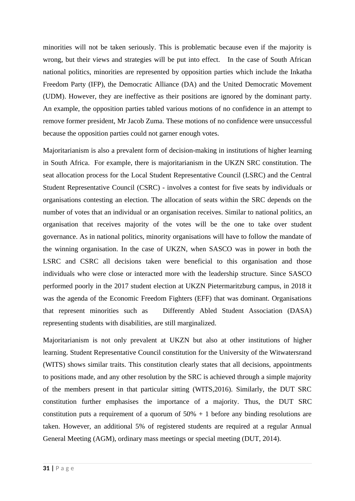minorities will not be taken seriously. This is problematic because even if the majority is wrong, but their views and strategies will be put into effect. In the case of South African national politics, minorities are represented by opposition parties which include the Inkatha Freedom Party (IFP), the Democratic Alliance (DA) and the United Democratic Movement (UDM). However, they are ineffective as their positions are ignored by the dominant party. An example, the opposition parties tabled various motions of no confidence in an attempt to remove former president, Mr Jacob Zuma. These motions of no confidence were unsuccessful because the opposition parties could not garner enough votes.

Majoritarianism is also a prevalent form of decision-making in institutions of higher learning in South Africa. For example, there is majoritarianism in the UKZN SRC constitution. The seat allocation process for the Local Student Representative Council (LSRC) and the Central Student Representative Council (CSRC) - involves a contest for five seats by individuals or organisations contesting an election. The allocation of seats within the SRC depends on the number of votes that an individual or an organisation receives. Similar to national politics, an organisation that receives majority of the votes will be the one to take over student governance. As in national politics, minority organisations will have to follow the mandate of the winning organisation. In the case of UKZN, when SASCO was in power in both the LSRC and CSRC all decisions taken were beneficial to this organisation and those individuals who were close or interacted more with the leadership structure. Since SASCO performed poorly in the 2017 student election at UKZN Pietermaritzburg campus, in 2018 it was the agenda of the Economic Freedom Fighters (EFF) that was dominant. Organisations that represent minorities such as Differently Abled Student Association (DASA) representing students with disabilities, are still marginalized.

Majoritarianism is not only prevalent at UKZN but also at other institutions of higher learning. Student Representative Council constitution for the University of the Witwatersrand (WITS) shows similar traits. This constitution clearly states that all decisions, appointments to positions made, and any other resolution by the SRC is achieved through a simple majority of the members present in that particular sitting (WITS,2016). Similarly, the DUT SRC constitution further emphasises the importance of a majority. Thus, the DUT SRC constitution puts a requirement of a quorum of  $50\% + 1$  before any binding resolutions are taken. However, an additional 5% of registered students are required at a regular Annual General Meeting (AGM), ordinary mass meetings or special meeting (DUT, 2014).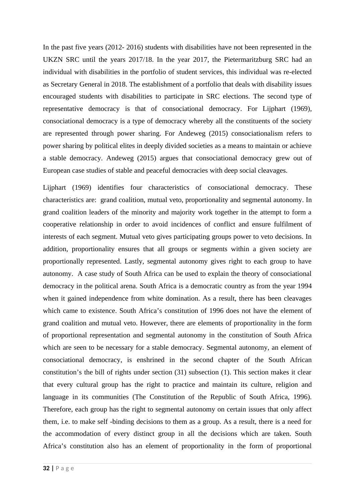In the past five years (2012- 2016) students with disabilities have not been represented in the UKZN SRC until the years 2017/18. In the year 2017, the Pietermaritzburg SRC had an individual with disabilities in the portfolio of student services, this individual was re-elected as Secretary General in 2018. The establishment of a portfolio that deals with disability issues encouraged students with disabilities to participate in SRC elections. The second type of representative democracy is that of consociational democracy. For Lijphart (1969), consociational democracy is a type of democracy whereby all the constituents of the society are represented through power sharing. For Andeweg (2015) consociationalism refers to power sharing by political elites in deeply divided societies as a means to maintain or achieve a stable democracy. Andeweg (2015) argues that consociational democracy grew out of European case studies of stable and peaceful democracies with deep social cleavages.

Lijphart (1969) identifies four characteristics of consociational democracy. These characteristics are: grand coalition, mutual veto, proportionality and segmental autonomy. In grand coalition leaders of the minority and majority work together in the attempt to form a cooperative relationship in order to avoid incidences of conflict and ensure fulfilment of interests of each segment. Mutual veto gives participating groups power to veto decisions. In addition, proportionality ensures that all groups or segments within a given society are proportionally represented. Lastly, segmental autonomy gives right to each group to have autonomy. A case study of South Africa can be used to explain the theory of consociational democracy in the political arena. South Africa is a democratic country as from the year 1994 when it gained independence from white domination. As a result, there has been cleavages which came to existence. South Africa's constitution of 1996 does not have the element of grand coalition and mutual veto. However, there are elements of proportionality in the form of proportional representation and segmental autonomy in the constitution of South Africa which are seen to be necessary for a stable democracy. Segmental autonomy, an element of consociational democracy, is enshrined in the second chapter of the South African constitution's the bill of rights under section (31) subsection (1). This section makes it clear that every cultural group has the right to practice and maintain its culture, religion and language in its communities (The Constitution of the Republic of South Africa, 1996). Therefore, each group has the right to segmental autonomy on certain issues that only affect them, i.e. to make self -binding decisions to them as a group. As a result, there is a need for the accommodation of every distinct group in all the decisions which are taken. South Africa's constitution also has an element of proportionality in the form of proportional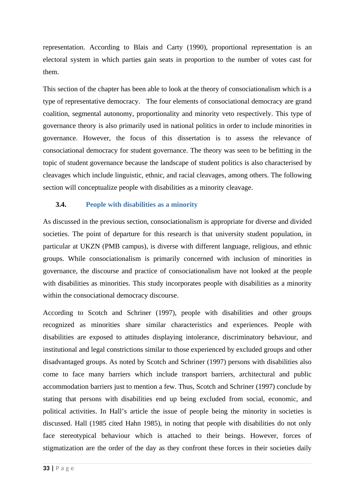representation. According to Blais and Carty (1990), proportional representation is an electoral system in which parties gain seats in proportion to the number of votes cast for them.

This section of the chapter has been able to look at the theory of consociationalism which is a type of representative democracy. The four elements of consociational democracy are grand coalition, segmental autonomy, proportionality and minority veto respectively. This type of governance theory is also primarily used in national politics in order to include minorities in governance. However, the focus of this dissertation is to assess the relevance of consociational democracy for student governance. The theory was seen to be befitting in the topic of student governance because the landscape of student politics is also characterised by cleavages which include linguistic, ethnic, and racial cleavages, among others. The following section will conceptualize people with disabilities as a minority cleavage.

## **3.4. People with disabilities as a minority**

As discussed in the previous section, consociationalism is appropriate for diverse and divided societies. The point of departure for this research is that university student population, in particular at UKZN (PMB campus), is diverse with different language, religious, and ethnic groups. While consociationalism is primarily concerned with inclusion of minorities in governance, the discourse and practice of consociationalism have not looked at the people with disabilities as minorities. This study incorporates people with disabilities as a minority within the consociational democracy discourse.

According to Scotch and Schriner (1997), people with disabilities and other groups recognized as minorities share similar characteristics and experiences. People with disabilities are exposed to attitudes displaying intolerance, discriminatory behaviour, and institutional and legal constrictions similar to those experienced by excluded groups and other disadvantaged groups. As noted by Scotch and Schriner (1997) persons with disabilities also come to face many barriers which include transport barriers, architectural and public accommodation barriers just to mention a few. Thus, Scotch and Schriner (1997) conclude by stating that persons with disabilities end up being excluded from social, economic, and political activities. In Hall's article the issue of people being the minority in societies is discussed. Hall (1985 cited Hahn 1985), in noting that people with disabilities do not only face stereotypical behaviour which is attached to their beings. However, forces of stigmatization are the order of the day as they confront these forces in their societies daily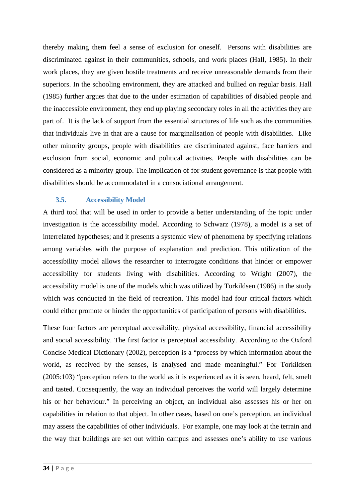thereby making them feel a sense of exclusion for oneself. Persons with disabilities are discriminated against in their communities, schools, and work places (Hall, 1985). In their work places, they are given hostile treatments and receive unreasonable demands from their superiors. In the schooling environment, they are attacked and bullied on regular basis. Hall (1985) further argues that due to the under estimation of capabilities of disabled people and the inaccessible environment, they end up playing secondary roles in all the activities they are part of. It is the lack of support from the essential structures of life such as the communities that individuals live in that are a cause for marginalisation of people with disabilities. Like other minority groups, people with disabilities are discriminated against, face barriers and exclusion from social, economic and political activities. People with disabilities can be considered as a minority group. The implication of for student governance is that people with disabilities should be accommodated in a consociational arrangement.

### **3.5. Accessibility Model**

A third tool that will be used in order to provide a better understanding of the topic under investigation is the accessibility model. According to Schwarz (1978), a model is a set of interrelated hypotheses; and it presents a systemic view of phenomena by specifying relations among variables with the purpose of explanation and prediction. This utilization of the accessibility model allows the researcher to interrogate conditions that hinder or empower accessibility for students living with disabilities. According to Wright (2007), the accessibility model is one of the models which was utilized by Torkildsen (1986) in the study which was conducted in the field of recreation. This model had four critical factors which could either promote or hinder the opportunities of participation of persons with disabilities.

These four factors are perceptual accessibility, physical accessibility, financial accessibility and social accessibility. The first factor is perceptual accessibility. According to the Oxford Concise Medical Dictionary (2002), perception is a "process by which information about the world, as received by the senses, is analysed and made meaningful." For Torkildsen (2005:103) "perception refers to the world as it is experienced as it is seen, heard, felt, smelt and tasted. Consequently, the way an individual perceives the world will largely determine his or her behaviour." In perceiving an object, an individual also assesses his or her on capabilities in relation to that object. In other cases, based on one's perception, an individual may assess the capabilities of other individuals. For example, one may look at the terrain and the way that buildings are set out within campus and assesses one's ability to use various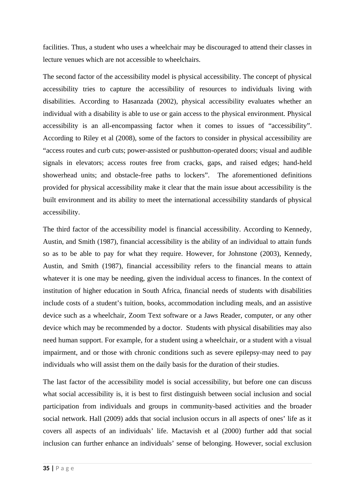facilities. Thus, a student who uses a wheelchair may be discouraged to attend their classes in lecture venues which are not accessible to wheelchairs.

The second factor of the accessibility model is physical accessibility. The concept of physical accessibility tries to capture the accessibility of resources to individuals living with disabilities. According to Hasanzada (2002), physical accessibility evaluates whether an individual with a disability is able to use or gain access to the physical environment. Physical accessibility is an all-encompassing factor when it comes to issues of "accessibility". According to Riley et al (2008), some of the factors to consider in physical accessibility are "access routes and curb cuts; power-assisted or pushbutton-operated doors; visual and audible signals in elevators; access routes free from cracks, gaps, and raised edges; hand-held showerhead units; and obstacle-free paths to lockers". The aforementioned definitions provided for physical accessibility make it clear that the main issue about accessibility is the built environment and its ability to meet the international accessibility standards of physical accessibility.

The third factor of the accessibility model is financial accessibility. According to Kennedy, Austin, and Smith (1987), financial accessibility is the ability of an individual to attain funds so as to be able to pay for what they require. However, for Johnstone (2003), Kennedy, Austin, and Smith (1987), financial accessibility refers to the financial means to attain whatever it is one may be needing, given the individual access to finances. In the context of institution of higher education in South Africa, financial needs of students with disabilities include costs of a student's tuition, books, accommodation including meals, and an assistive device such as a wheelchair, Zoom Text software or a Jaws Reader, computer, or any other device which may be recommended by a doctor. Students with physical disabilities may also need human support. For example, for a student using a wheelchair, or a student with a visual impairment, and or those with chronic conditions such as severe epilepsy-may need to pay individuals who will assist them on the daily basis for the duration of their studies.

The last factor of the accessibility model is social accessibility, but before one can discuss what social accessibility is, it is best to first distinguish between social inclusion and social participation from individuals and groups in community-based activities and the broader social network. Hall (2009) adds that social inclusion occurs in all aspects of ones' life as it covers all aspects of an individuals' life. Mactavish et al (2000) further add that social inclusion can further enhance an individuals' sense of belonging. However, social exclusion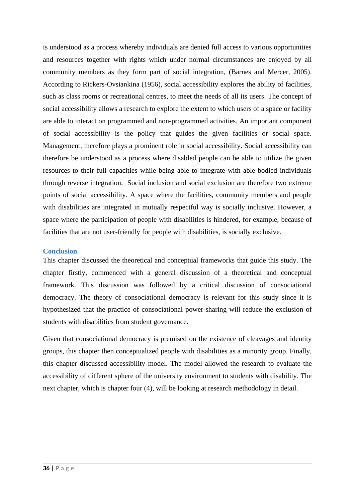is understood as a process whereby individuals are denied full access to various opportunities and resources together with rights which under normal circumstances are enjoyed by all community members as they form part of social integration, (Barnes and Mercer, 2005). According to Rickers-Ovsiankina (1956), social accessibility explores the ability of facilities, such as class rooms or recreational centres, to meet the needs of all its users. The concept of social accessibility allows a research to explore the extent to which users of a space or facility are able to interact on programmed and non-programmed activities. An important component of social accessibility is the policy that guides the given facilities or social space. Management, therefore plays a prominent role in social accessibility. Social accessibility can therefore be understood as a process where disabled people can be able to utilize the given resources to their full capacities while being able to integrate with able bodied individuals through reverse integration. Social inclusion and social exclusion are therefore two extreme points of social accessibility. A space where the facilities, community members and people with disabilities are integrated in mutually respectful way is socially inclusive. However, a space where the participation of people with disabilities is hindered, for example, because of facilities that are not user-friendly for people with disabilities, is socially exclusive.

#### **Conclusion**

This chapter discussed the theoretical and conceptual frameworks that guide this study. The chapter firstly, commenced with a general discussion of a theoretical and conceptual framework. This discussion was followed by a critical discussion of consociational democracy. The theory of consociational democracy is relevant for this study since it is hypothesized that the practice of consociational power-sharing will reduce the exclusion of students with disabilities from student governance.

Given that consociational democracy is premised on the existence of cleavages and identity groups, this chapter then conceptualized people with disabilities as a minority group. Finally, this chapter discussed accessibility model. The model allowed the research to evaluate the accessibility of different sphere of the university environment to students with disability. The next chapter, which is chapter four (4), will be looking at research methodology in detail.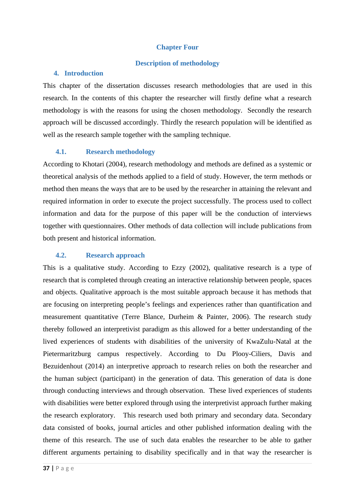### **Chapter Four**

#### **Description of methodology**

#### **4. Introduction**

This chapter of the dissertation discusses research methodologies that are used in this research. In the contents of this chapter the researcher will firstly define what a research methodology is with the reasons for using the chosen methodology. Secondly the research approach will be discussed accordingly. Thirdly the research population will be identified as well as the research sample together with the sampling technique.

## **4.1. Research methodology**

According to Khotari (2004), research methodology and methods are defined as a systemic or theoretical analysis of the methods applied to a field of study. However, the term methods or method then means the ways that are to be used by the researcher in attaining the relevant and required information in order to execute the project successfully. The process used to collect information and data for the purpose of this paper will be the conduction of interviews together with questionnaires. Other methods of data collection will include publications from both present and historical information.

# **4.2. Research approach**

This is a qualitative study. According to Ezzy (2002), qualitative research is a type of research that is completed through creating an interactive relationship between people, spaces and objects. Qualitative approach is the most suitable approach because it has methods that are focusing on interpreting people's feelings and experiences rather than quantification and measurement quantitative (Terre Blance, Durheim & Painter, 2006). The research study thereby followed an interpretivist paradigm as this allowed for a better understanding of the lived experiences of students with disabilities of the university of KwaZulu-Natal at the Pietermaritzburg campus respectively. According to Du Plooy-Ciliers, Davis and Bezuidenhout (2014) an interpretive approach to research relies on both the researcher and the human subject (participant) in the generation of data. This generation of data is done through conducting interviews and through observation. These lived experiences of students with disabilities were better explored through using the interpretivist approach further making the research exploratory. This research used both primary and secondary data. Secondary data consisted of books, journal articles and other published information dealing with the theme of this research. The use of such data enables the researcher to be able to gather different arguments pertaining to disability specifically and in that way the researcher is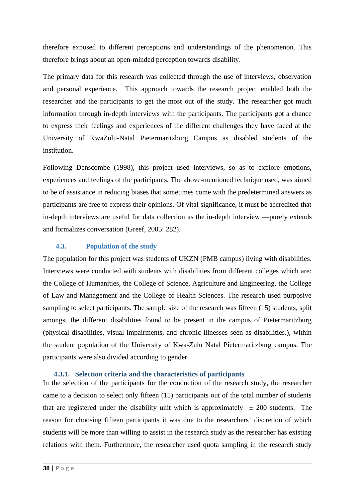therefore exposed to different perceptions and understandings of the phenomenon. This therefore brings about an open-minded perception towards disability.

The primary data for this research was collected through the use of interviews, observation and personal experience. This approach towards the research project enabled both the researcher and the participants to get the most out of the study. The researcher got much information through in-depth interviews with the participants. The participants got a chance to express their feelings and experiences of the different challenges they have faced at the University of KwaZulu-Natal Pietermaritzburg Campus as disabled students of the institution.

Following Denscombe (1998), this project used interviews, so as to explore emotions, experiences and feelings of the participants. The above-mentioned technique used, was aimed to be of assistance in reducing biases that sometimes come with the predetermined answers as participants are free to express their opinions. Of vital significance, it must be accredited that in-depth interviews are useful for data collection as the in-depth interview ―purely extends and formalizes conversation (Greef, 2005: 282).

### **4.3. Population of the study**

The population for this project was students of UKZN (PMB campus) living with disabilities. Interviews were conducted with students with disabilities from different colleges which are: the College of Humanities, the College of Science, Agriculture and Engineering, the College of Law and Management and the College of Health Sciences. The research used purposive sampling to select participants. The sample size of the research was fifteen (15) students, split amongst the different disabilities found to be present in the campus of Pietermaritzburg (physical disabilities, visual impairments, and chronic illnesses seen as disabilities.), within the student population of the University of Kwa-Zulu Natal Pietermaritzburg campus. The participants were also divided according to gender.

#### **4.3.1. Selection criteria and the characteristics of participants**

In the selection of the participants for the conduction of the research study, the researcher came to a decision to select only fifteen (15) participants out of the total number of students that are registered under the disability unit which is approximately  $\pm$  200 students. The reason for choosing fifteen participants it was due to the researchers' discretion of which students will be more than willing to assist in the research study as the researcher has existing relations with them. Furthermore, the researcher used quota sampling in the research study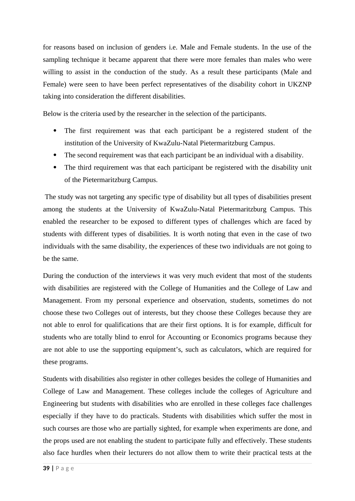for reasons based on inclusion of genders i.e. Male and Female students. In the use of the sampling technique it became apparent that there were more females than males who were willing to assist in the conduction of the study. As a result these participants (Male and Female) were seen to have been perfect representatives of the disability cohort in UKZNP taking into consideration the different disabilities.

Below is the criteria used by the researcher in the selection of the participants.

- The first requirement was that each participant be a registered student of the institution of the University of KwaZulu-Natal Pietermaritzburg Campus.
- The second requirement was that each participant be an individual with a disability.
- The third requirement was that each participant be registered with the disability unit of the Pietermaritzburg Campus.

 The study was not targeting any specific type of disability but all types of disabilities present among the students at the University of KwaZulu-Natal Pietermaritzburg Campus. This enabled the researcher to be exposed to different types of challenges which are faced by students with different types of disabilities. It is worth noting that even in the case of two individuals with the same disability, the experiences of these two individuals are not going to be the same.

During the conduction of the interviews it was very much evident that most of the students with disabilities are registered with the College of Humanities and the College of Law and Management. From my personal experience and observation, students, sometimes do not choose these two Colleges out of interests, but they choose these Colleges because they are not able to enrol for qualifications that are their first options. It is for example, difficult for students who are totally blind to enrol for Accounting or Economics programs because they are not able to use the supporting equipment's, such as calculators, which are required for these programs.

Students with disabilities also register in other colleges besides the college of Humanities and College of Law and Management. These colleges include the colleges of Agriculture and Engineering but students with disabilities who are enrolled in these colleges face challenges especially if they have to do practicals. Students with disabilities which suffer the most in such courses are those who are partially sighted, for example when experiments are done, and the props used are not enabling the student to participate fully and effectively. These students also face hurdles when their lecturers do not allow them to write their practical tests at the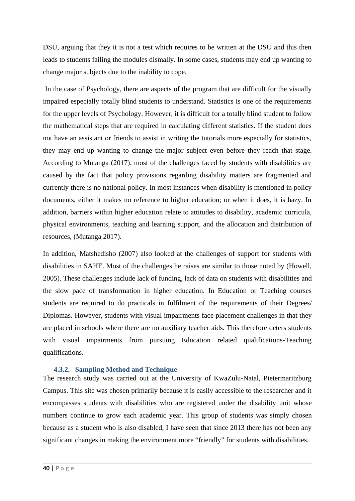DSU, arguing that they it is not a test which requires to be written at the DSU and this then leads to students failing the modules dismally. In some cases, students may end up wanting to change major subjects due to the inability to cope.

 In the case of Psychology, there are aspects of the program that are difficult for the visually impaired especially totally blind students to understand. Statistics is one of the requirements for the upper levels of Psychology. However, it is difficult for a totally blind student to follow the mathematical steps that are required in calculating different statistics. If the student does not have an assistant or friends to assist in writing the tutorials more especially for statistics, they may end up wanting to change the major subject even before they reach that stage. According to Mutanga (2017), most of the challenges faced by students with disabilities are caused by the fact that policy provisions regarding disability matters are fragmented and currently there is no national policy. In most instances when disability is mentioned in policy documents, either it makes no reference to higher education; or when it does, it is hazy. In addition, barriers within higher education relate to attitudes to disability, academic curricula, physical environments, teaching and learning support, and the allocation and distribution of resources, (Mutanga 2017).

In addition, Matshedisho (2007) also looked at the challenges of support for students with disabilities in SAHE. Most of the challenges he raises are similar to those noted by (Howell, 2005). These challenges include lack of funding, lack of data on students with disabilities and the slow pace of transformation in higher education. In Education or Teaching courses students are required to do practicals in fulfilment of the requirements of their Degrees/ Diplomas. However, students with visual impairments face placement challenges in that they are placed in schools where there are no auxiliary teacher aids. This therefore deters students with visual impairments from pursuing Education related qualifications-Teaching qualifications.

#### **4.3.2. Sampling Method and Technique**

The research study was carried out at the University of KwaZulu-Natal, Pietermaritzburg Campus. This site was chosen primarily because it is easily accessible to the researcher and it encompasses students with disabilities who are registered under the disability unit whose numbers continue to grow each academic year. This group of students was simply chosen because as a student who is also disabled, I have seen that since 2013 there has not been any significant changes in making the environment more "friendly" for students with disabilities.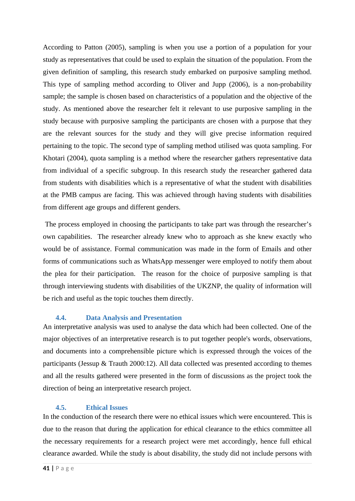According to Patton (2005), sampling is when you use a portion of a population for your study as representatives that could be used to explain the situation of the population. From the given definition of sampling, this research study embarked on purposive sampling method. This type of sampling method according to Oliver and Jupp (2006), is a non-probability sample; the sample is chosen based on characteristics of a population and the objective of the study. As mentioned above the researcher felt it relevant to use purposive sampling in the study because with purposive sampling the participants are chosen with a purpose that they are the relevant sources for the study and they will give precise information required pertaining to the topic. The second type of sampling method utilised was quota sampling. For Khotari (2004), quota sampling is a method where the researcher gathers representative data from individual of a specific subgroup. In this research study the researcher gathered data from students with disabilities which is a representative of what the student with disabilities at the PMB campus are facing. This was achieved through having students with disabilities from different age groups and different genders.

 The process employed in choosing the participants to take part was through the researcher's own capabilities. The researcher already knew who to approach as she knew exactly who would be of assistance. Formal communication was made in the form of Emails and other forms of communications such as WhatsApp messenger were employed to notify them about the plea for their participation. The reason for the choice of purposive sampling is that through interviewing students with disabilities of the UKZNP, the quality of information will be rich and useful as the topic touches them directly.

# **4.4. Data Analysis and Presentation**

An interpretative analysis was used to analyse the data which had been collected. One of the major objectives of an interpretative research is to put together people's words, observations, and documents into a comprehensible picture which is expressed through the voices of the participants (Jessup & Trauth 2000:12). All data collected was presented according to themes and all the results gathered were presented in the form of discussions as the project took the direction of being an interpretative research project.

# **4.5. Ethical Issues**

In the conduction of the research there were no ethical issues which were encountered. This is due to the reason that during the application for ethical clearance to the ethics committee all the necessary requirements for a research project were met accordingly, hence full ethical clearance awarded. While the study is about disability, the study did not include persons with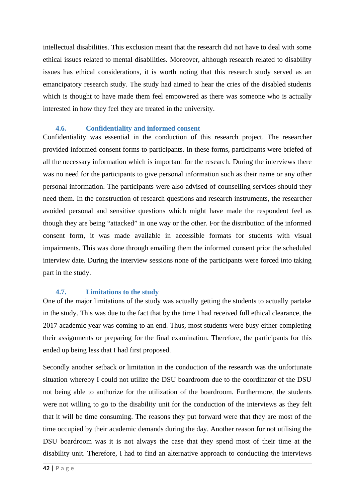intellectual disabilities. This exclusion meant that the research did not have to deal with some ethical issues related to mental disabilities. Moreover, although research related to disability issues has ethical considerations, it is worth noting that this research study served as an emancipatory research study. The study had aimed to hear the cries of the disabled students which is thought to have made them feel empowered as there was someone who is actually interested in how they feel they are treated in the university.

### **4.6. Confidentiality and informed consent**

Confidentiality was essential in the conduction of this research project. The researcher provided informed consent forms to participants. In these forms, participants were briefed of all the necessary information which is important for the research. During the interviews there was no need for the participants to give personal information such as their name or any other personal information. The participants were also advised of counselling services should they need them. In the construction of research questions and research instruments, the researcher avoided personal and sensitive questions which might have made the respondent feel as though they are being "attacked" in one way or the other. For the distribution of the informed consent form, it was made available in accessible formats for students with visual impairments. This was done through emailing them the informed consent prior the scheduled interview date. During the interview sessions none of the participants were forced into taking part in the study.

### **4.7. Limitations to the study**

One of the major limitations of the study was actually getting the students to actually partake in the study. This was due to the fact that by the time I had received full ethical clearance, the 2017 academic year was coming to an end. Thus, most students were busy either completing their assignments or preparing for the final examination. Therefore, the participants for this ended up being less that I had first proposed.

Secondly another setback or limitation in the conduction of the research was the unfortunate situation whereby I could not utilize the DSU boardroom due to the coordinator of the DSU not being able to authorize for the utilization of the boardroom. Furthermore, the students were not willing to go to the disability unit for the conduction of the interviews as they felt that it will be time consuming. The reasons they put forward were that they are most of the time occupied by their academic demands during the day. Another reason for not utilising the DSU boardroom was it is not always the case that they spend most of their time at the disability unit. Therefore, I had to find an alternative approach to conducting the interviews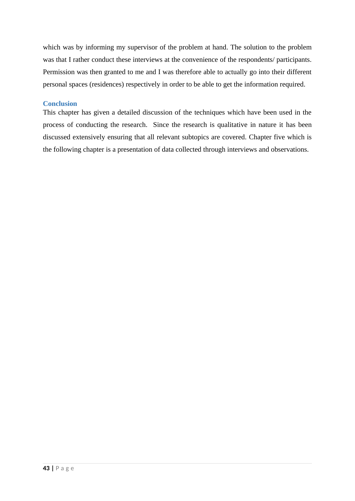which was by informing my supervisor of the problem at hand. The solution to the problem was that I rather conduct these interviews at the convenience of the respondents/ participants. Permission was then granted to me and I was therefore able to actually go into their different personal spaces (residences) respectively in order to be able to get the information required.

#### **Conclusion**

This chapter has given a detailed discussion of the techniques which have been used in the process of conducting the research. Since the research is qualitative in nature it has been discussed extensively ensuring that all relevant subtopics are covered. Chapter five which is the following chapter is a presentation of data collected through interviews and observations.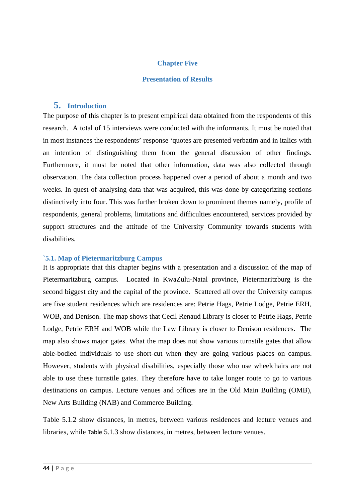#### **Chapter Five**

#### **Presentation of Results**

#### **5. Introduction**

The purpose of this chapter is to present empirical data obtained from the respondents of this research. A total of 15 interviews were conducted with the informants. It must be noted that in most instances the respondents' response 'quotes are presented verbatim and in italics with an intention of distinguishing them from the general discussion of other findings. Furthermore, it must be noted that other information, data was also collected through observation. The data collection process happened over a period of about a month and two weeks. In quest of analysing data that was acquired, this was done by categorizing sections distinctively into four. This was further broken down to prominent themes namely, profile of respondents, general problems, limitations and difficulties encountered, services provided by support structures and the attitude of the University Community towards students with disabilities.

#### **`5.1. Map of Pietermaritzburg Campus**

It is appropriate that this chapter begins with a presentation and a discussion of the map of Pietermaritzburg campus. Located in KwaZulu-Natal province, Pietermaritzburg is the second biggest city and the capital of the province. Scattered all over the University campus are five student residences which are residences are: Petrie Hags, Petrie Lodge, Petrie ERH, WOB, and Denison. The map shows that Cecil Renaud Library is closer to Petrie Hags, Petrie Lodge, Petrie ERH and WOB while the Law Library is closer to Denison residences. The map also shows major gates. What the map does not show various turnstile gates that allow able-bodied individuals to use short-cut when they are going various places on campus. However, students with physical disabilities, especially those who use wheelchairs are not able to use these turnstile gates. They therefore have to take longer route to go to various destinations on campus. Lecture venues and offices are in the Old Main Building (OMB), New Arts Building (NAB) and Commerce Building.

Table 5.1.2 show distances, in metres, between various residences and lecture venues and libraries, while Table 5.1.3 show distances, in metres, between lecture venues.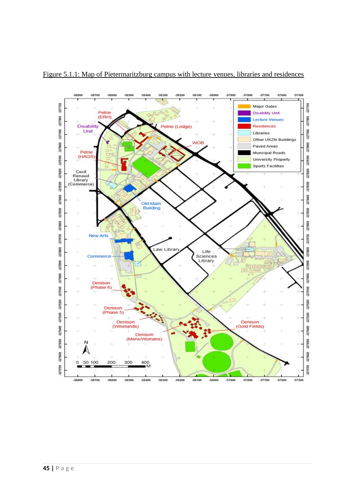

Figure 5.1.1: Map of Pietermaritzburg campus with lecture venues, libraries and residences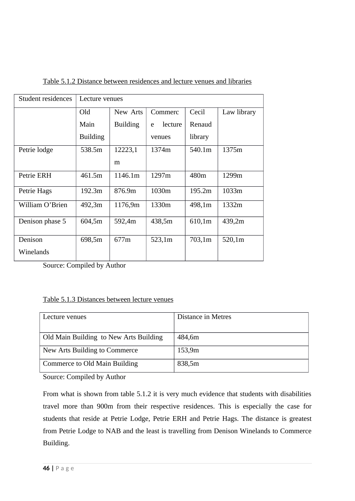| Student residences | Lecture venues  |                 |              |         |             |
|--------------------|-----------------|-----------------|--------------|---------|-------------|
|                    | Old             | New Arts        | Commerc      | Cecil   | Law library |
|                    | Main            | <b>Building</b> | lecture<br>e | Renaud  |             |
|                    | <b>Building</b> |                 | venues       | library |             |
| Petrie lodge       | 538.5m          | 12223,1         | 1374m        | 540.1m  | 1375m       |
|                    |                 | m               |              |         |             |
| Petrie ERH         | 461.5m          | 1146.1m         | 1297m        | 480m    | 1299m       |
| Petrie Hags        | 192.3m          | 876.9m          | 1030m        | 195.2m  | 1033m       |
| William O'Brien    | 492,3m          | 1176,9m         | 1330m        | 498,1m  | 1332m       |
| Denison phase 5    | 604,5m          | 592,4m          | 438,5m       | 610,1m  | 439,2m      |
| Denison            | 698,5m          | 677m            | 523,1m       | 703,1m  | 520,1m      |
| Winelands          |                 |                 |              |         |             |

Table 5.1.2 Distance between residences and lecture venues and libraries

Source: Compiled by Author

### Table 5.1.3 Distances between lecture venues

| Lecture venues                         | Distance in Metres |
|----------------------------------------|--------------------|
|                                        |                    |
| Old Main Building to New Arts Building | 484,6m             |
| New Arts Building to Commerce          | 153,9m             |
| Commerce to Old Main Building          | 838,5m             |

Source: Compiled by Author

From what is shown from table 5.1.2 it is very much evidence that students with disabilities travel more than 900m from their respective residences. This is especially the case for students that reside at Petrie Lodge, Petrie ERH and Petrie Hags. The distance is greatest from Petrie Lodge to NAB and the least is travelling from Denison Winelands to Commerce Building.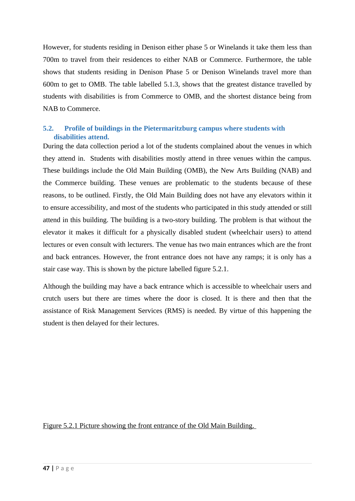However, for students residing in Denison either phase 5 or Winelands it take them less than 700m to travel from their residences to either NAB or Commerce. Furthermore, the table shows that students residing in Denison Phase 5 or Denison Winelands travel more than 600m to get to OMB. The table labelled 5.1.3, shows that the greatest distance travelled by students with disabilities is from Commerce to OMB, and the shortest distance being from NAB to Commerce.

# **5.2. Profile of buildings in the Pietermaritzburg campus where students with disabilities attend.**

During the data collection period a lot of the students complained about the venues in which they attend in. Students with disabilities mostly attend in three venues within the campus. These buildings include the Old Main Building (OMB), the New Arts Building (NAB) and the Commerce building. These venues are problematic to the students because of these reasons, to be outlined. Firstly, the Old Main Building does not have any elevators within it to ensure accessibility, and most of the students who participated in this study attended or still attend in this building. The building is a two-story building. The problem is that without the elevator it makes it difficult for a physically disabled student (wheelchair users) to attend lectures or even consult with lecturers. The venue has two main entrances which are the front and back entrances. However, the front entrance does not have any ramps; it is only has a stair case way. This is shown by the picture labelled figure 5.2.1.

Although the building may have a back entrance which is accessible to wheelchair users and crutch users but there are times where the door is closed. It is there and then that the assistance of Risk Management Services (RMS) is needed. By virtue of this happening the student is then delayed for their lectures.

Figure 5.2.1 Picture showing the front entrance of the Old Main Building.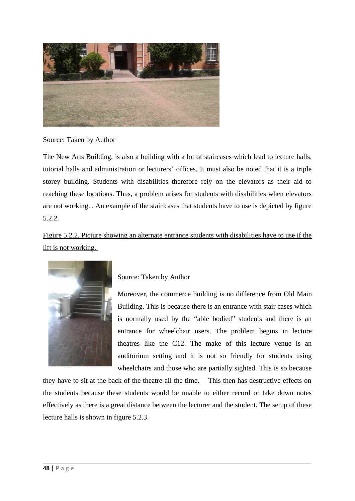

Source: Taken by Author

The New Arts Building, is also a building with a lot of staircases which lead to lecture halls, tutorial halls and administration or lecturers' offices. It must also be noted that it is a triple storey building. Students with disabilities therefore rely on the elevators as their aid to reaching these locations. Thus, a problem arises for students with disabilities when elevators are not working. . An example of the stair cases that students have to use is depicted by figure 5.2.2.

Figure 5.2.2. Picture showing an alternate entrance students with disabilities have to use if the lift is not working.



Source: Taken by Author

Moreover, the commerce building is no difference from Old Main Building. This is because there is an entrance with stair cases which is normally used by the "able bodied" students and there is an entrance for wheelchair users. The problem begins in lecture theatres like the C12. The make of this lecture venue is an auditorium setting and it is not so friendly for students using wheelchairs and those who are partially sighted. This is so because

they have to sit at the back of the theatre all the time. This then has destructive effects on the students because these students would be unable to either record or take down notes effectively as there is a great distance between the lecturer and the student. The setup of these lecture halls is shown in figure 5.2.3.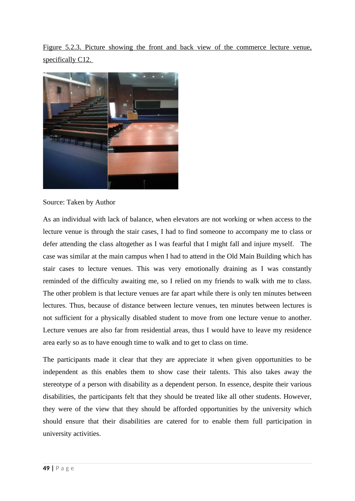Figure 5.2.3. Picture showing the front and back view of the commerce lecture venue, specifically C12.



Source: Taken by Author

As an individual with lack of balance, when elevators are not working or when access to the lecture venue is through the stair cases, I had to find someone to accompany me to class or defer attending the class altogether as I was fearful that I might fall and injure myself. The case was similar at the main campus when I had to attend in the Old Main Building which has stair cases to lecture venues. This was very emotionally draining as I was constantly reminded of the difficulty awaiting me, so I relied on my friends to walk with me to class. The other problem is that lecture venues are far apart while there is only ten minutes between lectures. Thus, because of distance between lecture venues, ten minutes between lectures is not sufficient for a physically disabled student to move from one lecture venue to another. Lecture venues are also far from residential areas, thus I would have to leave my residence area early so as to have enough time to walk and to get to class on time.

The participants made it clear that they are appreciate it when given opportunities to be independent as this enables them to show case their talents. This also takes away the stereotype of a person with disability as a dependent person. In essence, despite their various disabilities, the participants felt that they should be treated like all other students. However, they were of the view that they should be afforded opportunities by the university which should ensure that their disabilities are catered for to enable them full participation in university activities.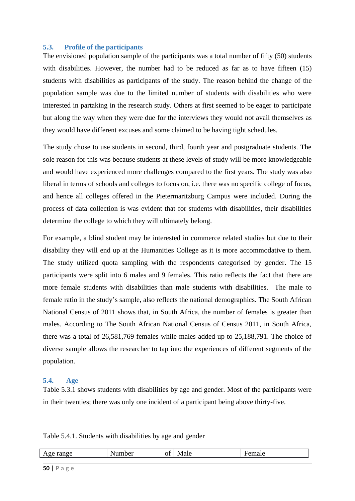#### **5.3. Profile of the participants**

The envisioned population sample of the participants was a total number of fifty (50) students with disabilities. However, the number had to be reduced as far as to have fifteen (15) students with disabilities as participants of the study. The reason behind the change of the population sample was due to the limited number of students with disabilities who were interested in partaking in the research study. Others at first seemed to be eager to participate but along the way when they were due for the interviews they would not avail themselves as they would have different excuses and some claimed to be having tight schedules.

The study chose to use students in second, third, fourth year and postgraduate students. The sole reason for this was because students at these levels of study will be more knowledgeable and would have experienced more challenges compared to the first years. The study was also liberal in terms of schools and colleges to focus on, i.e. there was no specific college of focus, and hence all colleges offered in the Pietermaritzburg Campus were included. During the process of data collection is was evident that for students with disabilities, their disabilities determine the college to which they will ultimately belong.

For example, a blind student may be interested in commerce related studies but due to their disability they will end up at the Humanities College as it is more accommodative to them. The study utilized quota sampling with the respondents categorised by gender. The 15 participants were split into 6 males and 9 females. This ratio reflects the fact that there are more female students with disabilities than male students with disabilities. The male to female ratio in the study's sample, also reflects the national demographics. The South African National Census of 2011 shows that, in South Africa, the number of females is greater than males. According to The South African National Census of Census 2011, in South Africa, there was a total of 26,581,769 females while males added up to 25,188,791. The choice of diverse sample allows the researcher to tap into the experiences of different segments of the population.

#### **5.4. Age**

Table 5.3.1 shows students with disabilities by age and gender. Most of the participants were in their twenties; there was only one incident of a participant being above thirty-five.

#### Table 5.4.1. Students with disabilities by age and gender

| AU'<br>$\overline{1}$ | <b>N</b> T<br>$- -$<br><br><b>.</b> | $\sim$ $\sim$<br>UI | $-$ | <br>- |
|-----------------------|-------------------------------------|---------------------|-----|-------|
|                       |                                     |                     |     |       |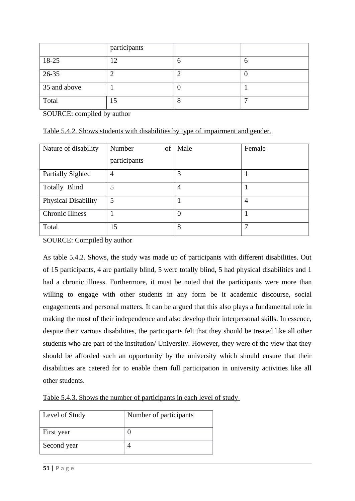|              | participants |   |   |
|--------------|--------------|---|---|
| 18-25        | 12           | b | 6 |
| 26-35        |              |   |   |
| 35 and above |              | U |   |
| Total        | 15           | 8 | - |

SOURCE: compiled by author

| Table 5.4.2. Shows students with disabilities by type of impairment and gender. |  |  |  |
|---------------------------------------------------------------------------------|--|--|--|
|                                                                                 |  |  |  |

| Nature of disability     | of<br>Number<br>participants | Male             | Female |
|--------------------------|------------------------------|------------------|--------|
| <b>Partially Sighted</b> | 4                            | 3                |        |
| <b>Totally Blind</b>     | 5                            | $\overline{4}$   |        |
| Physical Disability      | 5                            | 1                | 4      |
| <b>Chronic Illness</b>   |                              | $\boldsymbol{0}$ | 1      |
| Total                    | 15                           | 8                | 7      |

SOURCE: Compiled by author

As table 5.4.2. Shows, the study was made up of participants with different disabilities. Out of 15 participants, 4 are partially blind, 5 were totally blind, 5 had physical disabilities and 1 had a chronic illness. Furthermore, it must be noted that the participants were more than willing to engage with other students in any form be it academic discourse, social engagements and personal matters. It can be argued that this also plays a fundamental role in making the most of their independence and also develop their interpersonal skills. In essence, despite their various disabilities, the participants felt that they should be treated like all other students who are part of the institution/ University. However, they were of the view that they should be afforded such an opportunity by the university which should ensure that their disabilities are catered for to enable them full participation in university activities like all other students.

| Table 5.4.3. Shows the number of participants in each level of study |
|----------------------------------------------------------------------|
|----------------------------------------------------------------------|

| Level of Study | Number of participants |
|----------------|------------------------|
| First year     |                        |
| Second year    |                        |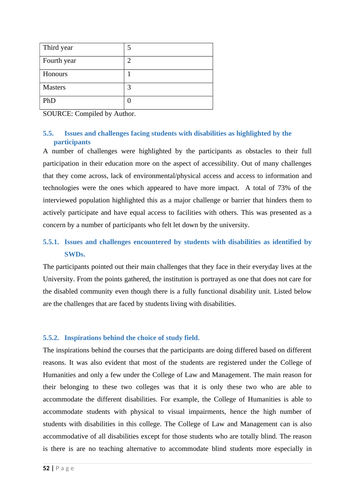| Third year     | 5 |
|----------------|---|
| Fourth year    | フ |
| Honours        |   |
| <b>Masters</b> | З |
| PhD            |   |

SOURCE: Compiled by Author.

# **5.5. Issues and challenges facing students with disabilities as highlighted by the participants**

A number of challenges were highlighted by the participants as obstacles to their full participation in their education more on the aspect of accessibility. Out of many challenges that they come across, lack of environmental/physical access and access to information and technologies were the ones which appeared to have more impact. A total of 73% of the interviewed population highlighted this as a major challenge or barrier that hinders them to actively participate and have equal access to facilities with others. This was presented as a concern by a number of participants who felt let down by the university.

# **5.5.1. Issues and challenges encountered by students with disabilities as identified by SWDs.**

The participants pointed out their main challenges that they face in their everyday lives at the University. From the points gathered, the institution is portrayed as one that does not care for the disabled community even though there is a fully functional disability unit. Listed below are the challenges that are faced by students living with disabilities.

# **5.5.2. Inspirations behind the choice of study field.**

The inspirations behind the courses that the participants are doing differed based on different reasons. It was also evident that most of the students are registered under the College of Humanities and only a few under the College of Law and Management. The main reason for their belonging to these two colleges was that it is only these two who are able to accommodate the different disabilities. For example, the College of Humanities is able to accommodate students with physical to visual impairments, hence the high number of students with disabilities in this college. The College of Law and Management can is also accommodative of all disabilities except for those students who are totally blind. The reason is there is are no teaching alternative to accommodate blind students more especially in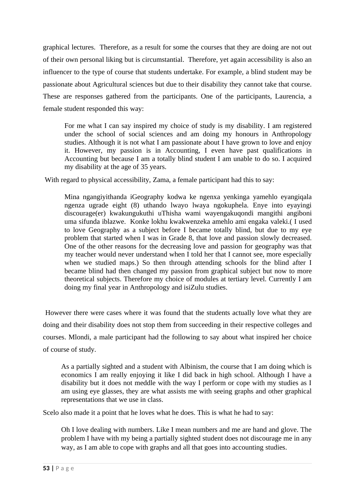graphical lectures. Therefore, as a result for some the courses that they are doing are not out of their own personal liking but is circumstantial. Therefore, yet again accessibility is also an influencer to the type of course that students undertake. For example, a blind student may be passionate about Agricultural sciences but due to their disability they cannot take that course. These are responses gathered from the participants. One of the participants, Laurencia, a female student responded this way:

For me what I can say inspired my choice of study is my disability. I am registered under the school of social sciences and am doing my honours in Anthropology studies. Although it is not what I am passionate about I have grown to love and enjoy it. However, my passion is in Accounting, I even have past qualifications in Accounting but because I am a totally blind student I am unable to do so. I acquired my disability at the age of 35 years.

With regard to physical accessibility, Zama, a female participant had this to say:

Mina ngangiyithanda iGeography kodwa ke ngenxa yenkinga yamehlo eyangiqala ngenza ugrade eight (8) uthando lwayo lwaya ngokuphela. Enye into eyayingi discourage(er) kwakungukuthi uThisha wami wayengakuqondi mangithi angiboni uma sifunda iblazwe. Konke lokhu kwakwenzeka amehlo ami engaka valeki.( I used to love Geography as a subject before I became totally blind, but due to my eye problem that started when I was in Grade 8, that love and passion slowly decreased. One of the other reasons for the decreasing love and passion for geography was that my teacher would never understand when I told her that I cannot see, more especially when we studied maps.) So then through attending schools for the blind after I became blind had then changed my passion from graphical subject but now to more theoretical subjects. Therefore my choice of modules at tertiary level. Currently I am doing my final year in Anthropology and isiZulu studies.

 However there were cases where it was found that the students actually love what they are doing and their disability does not stop them from succeeding in their respective colleges and courses. Mlondi, a male participant had the following to say about what inspired her choice of course of study.

As a partially sighted and a student with Albinism, the course that I am doing which is economics I am really enjoying it like I did back in high school. Although I have a disability but it does not meddle with the way I perform or cope with my studies as I am using eye glasses, they are what assists me with seeing graphs and other graphical representations that we use in class.

Scelo also made it a point that he loves what he does. This is what he had to say:

Oh I love dealing with numbers. Like I mean numbers and me are hand and glove. The problem I have with my being a partially sighted student does not discourage me in any way, as I am able to cope with graphs and all that goes into accounting studies.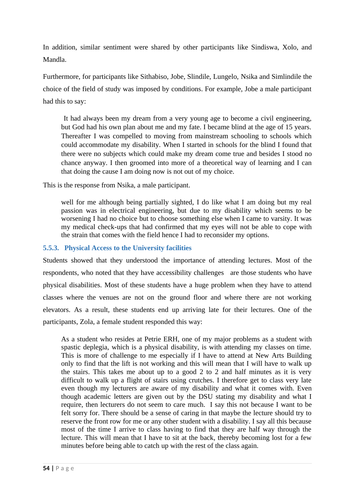In addition, similar sentiment were shared by other participants like Sindiswa, Xolo, and Mandla.

Furthermore, for participants like Sithabiso, Jobe, Slindile, Lungelo, Nsika and Simlindile the choice of the field of study was imposed by conditions. For example, Jobe a male participant had this to say:

 It had always been my dream from a very young age to become a civil engineering, but God had his own plan about me and my fate. I became blind at the age of 15 years. Thereafter I was compelled to moving from mainstream schooling to schools which could accommodate my disability. When I started in schools for the blind I found that there were no subjects which could make my dream come true and besides I stood no chance anyway. I then groomed into more of a theoretical way of learning and I can that doing the cause I am doing now is not out of my choice.

This is the response from Nsika, a male participant.

well for me although being partially sighted, I do like what I am doing but my real passion was in electrical engineering, but due to my disability which seems to be worsening I had no choice but to choose something else when I came to varsity. It was my medical check-ups that had confirmed that my eyes will not be able to cope with the strain that comes with the field hence I had to reconsider my options.

# **5.5.3. Physical Access to the University facilities**

Students showed that they understood the importance of attending lectures. Most of the respondents, who noted that they have accessibility challenges are those students who have physical disabilities. Most of these students have a huge problem when they have to attend classes where the venues are not on the ground floor and where there are not working elevators. As a result, these students end up arriving late for their lectures. One of the participants, Zola, a female student responded this way:

As a student who resides at Petrie ERH, one of my major problems as a student with spastic deplegia, which is a physical disability, is with attending my classes on time. This is more of challenge to me especially if I have to attend at New Arts Building only to find that the lift is not working and this will mean that I will have to walk up the stairs. This takes me about up to a good 2 to 2 and half minutes as it is very difficult to walk up a flight of stairs using crutches. I therefore get to class very late even though my lecturers are aware of my disability and what it comes with. Even though academic letters are given out by the DSU stating my disability and what I require, then lecturers do not seem to care much. I say this not because I want to be felt sorry for. There should be a sense of caring in that maybe the lecture should try to reserve the front row for me or any other student with a disability. I say all this because most of the time I arrive to class having to find that they are half way through the lecture. This will mean that I have to sit at the back, thereby becoming lost for a few minutes before being able to catch up with the rest of the class again.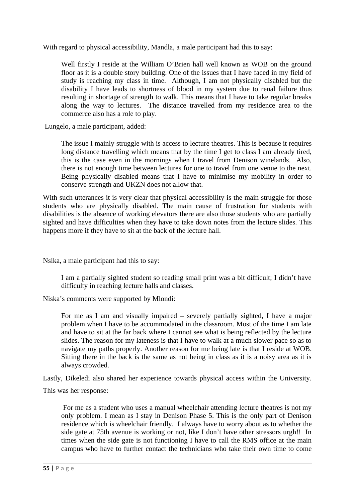With regard to physical accessibility, Mandla, a male participant had this to say:

Well firstly I reside at the William O'Brien hall well known as WOB on the ground floor as it is a double story building. One of the issues that I have faced in my field of study is reaching my class in time. Although, I am not physically disabled but the disability I have leads to shortness of blood in my system due to renal failure thus resulting in shortage of strength to walk. This means that I have to take regular breaks along the way to lectures. The distance travelled from my residence area to the commerce also has a role to play.

Lungelo, a male participant, added:

The issue I mainly struggle with is access to lecture theatres. This is because it requires long distance travelling which means that by the time I get to class I am already tired, this is the case even in the mornings when I travel from Denison winelands. Also, there is not enough time between lectures for one to travel from one venue to the next. Being physically disabled means that I have to minimise my mobility in order to conserve strength and UKZN does not allow that.

With such utterances it is very clear that physical accessibility is the main struggle for those students who are physically disabled. The main cause of frustration for students with disabilities is the absence of working elevators there are also those students who are partially sighted and have difficulties when they have to take down notes from the lecture slides. This happens more if they have to sit at the back of the lecture hall.

Nsika, a male participant had this to say:

I am a partially sighted student so reading small print was a bit difficult; I didn't have difficulty in reaching lecture halls and classes.

Niska's comments were supported by Mlondi:

For me as I am and visually impaired – severely partially sighted, I have a major problem when I have to be accommodated in the classroom. Most of the time I am late and have to sit at the far back where I cannot see what is being reflected by the lecture slides. The reason for my lateness is that I have to walk at a much slower pace so as to navigate my paths properly. Another reason for me being late is that I reside at WOB. Sitting there in the back is the same as not being in class as it is a noisy area as it is always crowded.

Lastly, Dikeledi also shared her experience towards physical access within the University.

This was her response:

 For me as a student who uses a manual wheelchair attending lecture theatres is not my only problem. I mean as I stay in Denison Phase 5. This is the only part of Denison residence which is wheelchair friendly. I always have to worry about as to whether the side gate at 75th avenue is working or not, like I don't have other stressors urgh!! In times when the side gate is not functioning I have to call the RMS office at the main campus who have to further contact the technicians who take their own time to come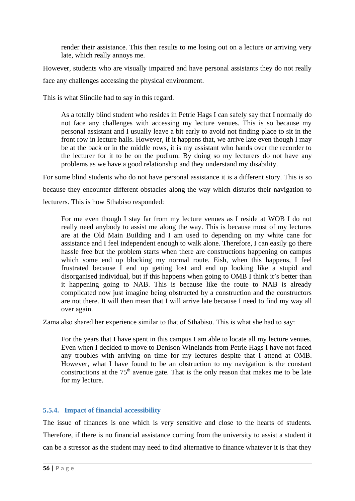render their assistance. This then results to me losing out on a lecture or arriving very late, which really annoys me.

However, students who are visually impaired and have personal assistants they do not really face any challenges accessing the physical environment.

This is what Slindile had to say in this regard.

As a totally blind student who resides in Petrie Hags I can safely say that I normally do not face any challenges with accessing my lecture venues. This is so because my personal assistant and I usually leave a bit early to avoid not finding place to sit in the front row in lecture halls. However, if it happens that, we arrive late even though I may be at the back or in the middle rows, it is my assistant who hands over the recorder to the lecturer for it to be on the podium. By doing so my lecturers do not have any problems as we have a good relationship and they understand my disability.

For some blind students who do not have personal assistance it is a different story. This is so because they encounter different obstacles along the way which disturbs their navigation to lecturers. This is how Sthabiso responded:

For me even though I stay far from my lecture venues as I reside at WOB I do not really need anybody to assist me along the way. This is because most of my lectures are at the Old Main Building and I am used to depending on my white cane for assistance and I feel independent enough to walk alone. Therefore, I can easily go there hassle free but the problem starts when there are constructions happening on campus which some end up blocking my normal route. Eish, when this happens, I feel frustrated because I end up getting lost and end up looking like a stupid and disorganised individual, but if this happens when going to OMB I think it's better than it happening going to NAB. This is because like the route to NAB is already complicated now just imagine being obstructed by a construction and the constructors are not there. It will then mean that I will arrive late because I need to find my way all over again.

Zama also shared her experience similar to that of Sthabiso. This is what she had to say:

For the years that I have spent in this campus I am able to locate all my lecture venues. Even when I decided to move to Denison Winelands from Petrie Hags I have not faced any troubles with arriving on time for my lectures despite that I attend at OMB. However, what I have found to be an obstruction to my navigation is the constant constructions at the  $75<sup>th</sup>$  avenue gate. That is the only reason that makes me to be late for my lecture.

# **5.5.4. Impact of financial accessibility**

The issue of finances is one which is very sensitive and close to the hearts of students. Therefore, if there is no financial assistance coming from the university to assist a student it can be a stressor as the student may need to find alternative to finance whatever it is that they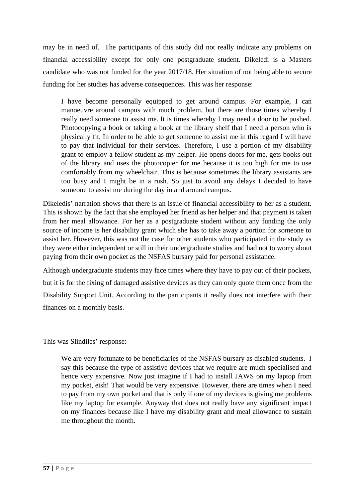may be in need of. The participants of this study did not really indicate any problems on financial accessibility except for only one postgraduate student. Dikeledi is a Masters candidate who was not funded for the year 2017/18. Her situation of not being able to secure funding for her studies has adverse consequences. This was her response:

I have become personally equipped to get around campus. For example, I can manoeuvre around campus with much problem, but there are those times whereby I really need someone to assist me. It is times whereby I may need a door to be pushed. Photocopying a book or taking a book at the library shelf that I need a person who is physically fit. In order to be able to get someone to assist me in this regard I will have to pay that individual for their services. Therefore, I use a portion of my disability grant to employ a fellow student as my helper. He opens doors for me, gets books out of the library and uses the photocopier for me because it is too high for me to use comfortably from my wheelchair. This is because sometimes the library assistants are too busy and I might be in a rush. So just to avoid any delays I decided to have someone to assist me during the day in and around campus.

Dikeledis' narration shows that there is an issue of financial accessibility to her as a student. This is shown by the fact that she employed her friend as her helper and that payment is taken from her meal allowance. For her as a postgraduate student without any funding the only source of income is her disability grant which she has to take away a portion for someone to assist her. However, this was not the case for other students who participated in the study as they were either independent or still in their undergraduate studies and had not to worry about paying from their own pocket as the NSFAS bursary paid for personal assistance.

Although undergraduate students may face times where they have to pay out of their pockets, but it is for the fixing of damaged assistive devices as they can only quote them once from the Disability Support Unit. According to the participants it really does not interfere with their finances on a monthly basis.

This was Slindiles' response:

We are very fortunate to be beneficiaries of the NSFAS bursary as disabled students. I say this because the type of assistive devices that we require are much specialised and hence very expensive. Now just imagine if I had to install JAWS on my laptop from my pocket, eish! That would be very expensive. However, there are times when I need to pay from my own pocket and that is only if one of my devices is giving me problems like my laptop for example. Anyway that does not really have any significant impact on my finances because like I have my disability grant and meal allowance to sustain me throughout the month.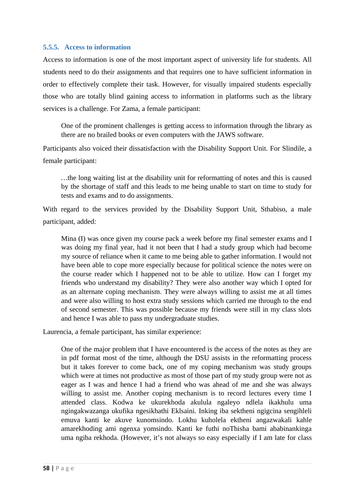### **5.5.5. Access to information**

Access to information is one of the most important aspect of university life for students. All students need to do their assignments and that requires one to have sufficient information in order to effectively complete their task. However, for visually impaired students especially those who are totally blind gaining access to information in platforms such as the library services is a challenge. For Zama, a female participant:

One of the prominent challenges is getting access to information through the library as there are no brailed books or even computers with the JAWS software*.*

Participants also voiced their dissatisfaction with the Disability Support Unit. For Slindile, a female participant:

*…*the long waiting list at the disability unit for reformatting of notes and this is caused by the shortage of staff and this leads to me being unable to start on time to study for tests and exams and to do assignments.

With regard to the services provided by the Disability Support Unit, Sthabiso, a male participant, added:

Mina (I) was once given my course pack a week before my final semester exams and I was doing my final year, had it not been that I had a study group which had become my source of reliance when it came to me being able to gather information. I would not have been able to cope more especially because for political science the notes were on the course reader which I happened not to be able to utilize. How can I forget my friends who understand my disability? They were also another way which I opted for as an alternate coping mechanism. They were always willing to assist me at all times and were also willing to host extra study sessions which carried me through to the end of second semester. This was possible because my friends were still in my class slots and hence I was able to pass my undergraduate studies.

Laurencia, a female participant, has similar experience:

One of the major problem that I have encountered is the access of the notes as they are in pdf format most of the time, although the DSU assists in the reformatting process but it takes forever to come back, one of my coping mechanism was study groups which were at times not productive as most of those part of my study group were not as eager as I was and hence I had a friend who was ahead of me and she was always willing to assist me. Another coping mechanism is to record lectures every time I attended class. Kodwa ke ukurekhoda akulula ngaleyo ndlela ikakhulu uma ngingakwazanga ukufika ngesikhathi Eklsaini. Inking iba sektheni ngigcina sengihleli emuva kanti ke akuve kunomsindo. Lokhu kuholela ektheni angazwakali kahle amarekhoding ami ngenxa yomsindo. Kanti ke futhi noThisha bami ababinankinga uma ngiba rekhoda. (However, it's not always so easy especially if I am late for class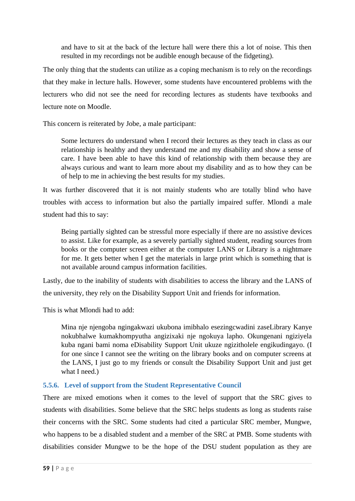and have to sit at the back of the lecture hall were there this a lot of noise. This then resulted in my recordings not be audible enough because of the fidgeting).

The only thing that the students can utilize as a coping mechanism is to rely on the recordings that they make in lecture halls. However, some students have encountered problems with the lecturers who did not see the need for recording lectures as students have textbooks and lecture note on Moodle.

This concern is reiterated by Jobe, a male participant:

Some lecturers do understand when I record their lectures as they teach in class as our relationship is healthy and they understand me and my disability and show a sense of care. I have been able to have this kind of relationship with them because they are always curious and want to learn more about my disability and as to how they can be of help to me in achieving the best results for my studies.

It was further discovered that it is not mainly students who are totally blind who have troubles with access to information but also the partially impaired suffer. Mlondi a male student had this to say:

Being partially sighted can be stressful more especially if there are no assistive devices to assist. Like for example, as a severely partially sighted student, reading sources from books or the computer screen either at the computer LANS or Library is a nightmare for me. It gets better when I get the materials in large print which is something that is not available around campus information facilities.

Lastly, due to the inability of students with disabilities to access the library and the LANS of the university, they rely on the Disability Support Unit and friends for information.

This is what Mlondi had to add:

Mina nje njengoba ngingakwazi ukubona imibhalo esezingcwadini zaseLibrary Kanye nokubhalwe kumakhompyutha angizixaki nje ngokuya lapho. Okungenani ngiziyela kuba ngani bami noma eDisability Support Unit ukuze ngizitholele engikudingayo. (I for one since I cannot see the writing on the library books and on computer screens at the LANS, I just go to my friends or consult the Disability Support Unit and just get what I need.)

# **5.5.6. Level of support from the Student Representative Council**

There are mixed emotions when it comes to the level of support that the SRC gives to students with disabilities. Some believe that the SRC helps students as long as students raise their concerns with the SRC. Some students had cited a particular SRC member, Mungwe, who happens to be a disabled student and a member of the SRC at PMB. Some students with disabilities consider Mungwe to be the hope of the DSU student population as they are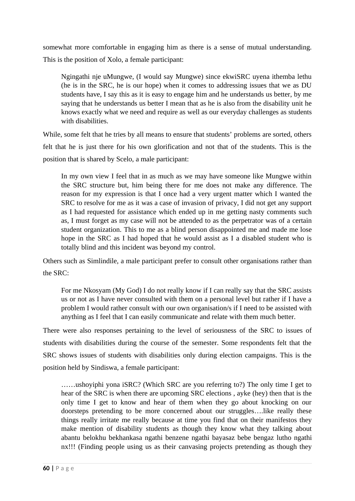somewhat more comfortable in engaging him as there is a sense of mutual understanding. This is the position of Xolo, a female participant:

Ngingathi nje uMungwe, (I would say Mungwe) since ekwiSRC uyena ithemba lethu (he is in the SRC, he is our hope) when it comes to addressing issues that we as DU students have, I say this as it is easy to engage him and he understands us better, by me saying that he understands us better I mean that as he is also from the disability unit he knows exactly what we need and require as well as our everyday challenges as students with disabilities.

While, some felt that he tries by all means to ensure that students' problems are sorted, others felt that he is just there for his own glorification and not that of the students. This is the position that is shared by Scelo, a male participant:

In my own view I feel that in as much as we may have someone like Mungwe within the SRC structure but, him being there for me does not make any difference. The reason for my expression is that I once had a very urgent matter which I wanted the SRC to resolve for me as it was a case of invasion of privacy, I did not get any support as I had requested for assistance which ended up in me getting nasty comments such as, I must forget as my case will not be attended to as the perpetrator was of a certain student organization. This to me as a blind person disappointed me and made me lose hope in the SRC as I had hoped that he would assist as I a disabled student who is totally blind and this incident was beyond my control.

Others such as Simlindile, a male participant prefer to consult other organisations rather than the SRC:

For me Nkosyam (My God) I do not really know if I can really say that the SRC assists us or not as I have never consulted with them on a personal level but rather if I have a problem I would rather consult with our own organisation/s if I need to be assisted with anything as I feel that I can easily communicate and relate with them much better.

There were also responses pertaining to the level of seriousness of the SRC to issues of students with disabilities during the course of the semester. Some respondents felt that the SRC shows issues of students with disabilities only during election campaigns. This is the position held by Sindiswa, a female participant:

……ushoyiphi yona iSRC? (Which SRC are you referring to?) The only time I get to hear of the SRC is when there are upcoming SRC elections , ayke (hey) then that is the only time I get to know and hear of them when they go about knocking on our doorsteps pretending to be more concerned about our struggles….like really these things really irritate me really because at time you find that on their manifestos they make mention of disability students as though they know what they talking about abantu belokhu bekhankasa ngathi benzene ngathi bayasaz bebe bengaz lutho ngathi nx!!! (Finding people using us as their canvasing projects pretending as though they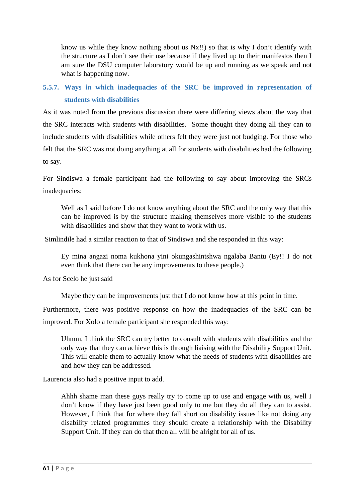know us while they know nothing about us Nx!!) so that is why I don't identify with the structure as I don't see their use because if they lived up to their manifestos then I am sure the DSU computer laboratory would be up and running as we speak and not what is happening now.

# **5.5.7. Ways in which inadequacies of the SRC be improved in representation of students with disabilities**

As it was noted from the previous discussion there were differing views about the way that the SRC interacts with students with disabilities. Some thought they doing all they can to include students with disabilities while others felt they were just not budging. For those who felt that the SRC was not doing anything at all for students with disabilities had the following to say.

For Sindiswa a female participant had the following to say about improving the SRCs inadequacies:

Well as I said before I do not know anything about the SRC and the only way that this can be improved is by the structure making themselves more visible to the students with disabilities and show that they want to work with us.

Simlindile had a similar reaction to that of Sindiswa and she responded in this way:

Ey mina angazi noma kukhona yini okungashintshwa ngalaba Bantu (Ey!! I do not even think that there can be any improvements to these people.)

As for Scelo he just said

Maybe they can be improvements just that I do not know how at this point in time.

Furthermore, there was positive response on how the inadequacies of the SRC can be improved. For Xolo a female participant she responded this way:

Uhmm, I think the SRC can try better to consult with students with disabilities and the only way that they can achieve this is through liaising with the Disability Support Unit. This will enable them to actually know what the needs of students with disabilities are and how they can be addressed.

Laurencia also had a positive input to add.

Ahhh shame man these guys really try to come up to use and engage with us, well I don't know if they have just been good only to me but they do all they can to assist. However, I think that for where they fall short on disability issues like not doing any disability related programmes they should create a relationship with the Disability Support Unit. If they can do that then all will be alright for all of us.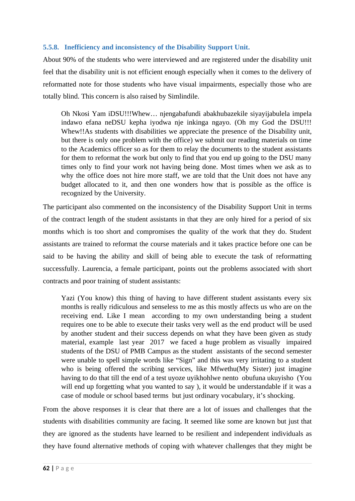## **5.5.8. Inefficiency and inconsistency of the Disability Support Unit.**

About 90% of the students who were interviewed and are registered under the disability unit feel that the disability unit is not efficient enough especially when it comes to the delivery of reformatted note for those students who have visual impairments, especially those who are totally blind. This concern is also raised by Simlindile.

Oh Nkosi Yam iDSU!!!Whew… njengabafundi abakhubazekile siyayijabulela impela indawo efana neDSU kepha iyodwa nje inkinga ngayo. (Oh my God the DSU!!! Whew!!As students with disabilities we appreciate the presence of the Disability unit, but there is only one problem with the office) we submit our reading materials on time to the Academics officer so as for them to relay the documents to the student assistants for them to reformat the work but only to find that you end up going to the DSU many times only to find your work not having being done. Most times when we ask as to why the office does not hire more staff, we are told that the Unit does not have any budget allocated to it, and then one wonders how that is possible as the office is recognized by the University.

The participant also commented on the inconsistency of the Disability Support Unit in terms of the contract length of the student assistants in that they are only hired for a period of six months which is too short and compromises the quality of the work that they do. Student assistants are trained to reformat the course materials and it takes practice before one can be said to be having the ability and skill of being able to execute the task of reformatting successfully. Laurencia, a female participant, points out the problems associated with short contracts and poor training of student assistants:

Yazi (You know) this thing of having to have different student assistants every six months is really ridiculous and senseless to me as this mostly affects us who are on the receiving end. Like I mean according to my own understanding being a student requires one to be able to execute their tasks very well as the end product will be used by another student and their success depends on what they have been given as study material, example last year 2017 we faced a huge problem as visually impaired students of the DSU of PMB Campus as the student assistants of the second semester were unable to spell simple words like "Sign" and this was very irritating to a student who is being offered the scribing services, like Mfwethu(My Sister) just imagine having to do that till the end of a test uyoze uyikhohlwe nento obufuna ukuyisho (You will end up forgetting what you wanted to say ), it would be understandable if it was a case of module or school based terms but just ordinary vocabulary, it's shocking.

From the above responses it is clear that there are a lot of issues and challenges that the students with disabilities community are facing. It seemed like some are known but just that they are ignored as the students have learned to be resilient and independent individuals as they have found alternative methods of coping with whatever challenges that they might be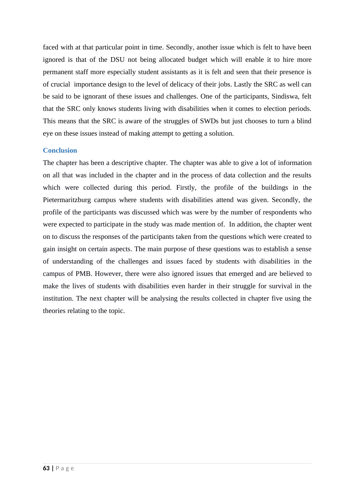faced with at that particular point in time. Secondly, another issue which is felt to have been ignored is that of the DSU not being allocated budget which will enable it to hire more permanent staff more especially student assistants as it is felt and seen that their presence is of crucial importance design to the level of delicacy of their jobs. Lastly the SRC as well can be said to be ignorant of these issues and challenges. One of the participants, Sindiswa, felt that the SRC only knows students living with disabilities when it comes to election periods. This means that the SRC is aware of the struggles of SWDs but just chooses to turn a blind eye on these issues instead of making attempt to getting a solution.

## **Conclusion**

The chapter has been a descriptive chapter. The chapter was able to give a lot of information on all that was included in the chapter and in the process of data collection and the results which were collected during this period. Firstly, the profile of the buildings in the Pietermaritzburg campus where students with disabilities attend was given. Secondly, the profile of the participants was discussed which was were by the number of respondents who were expected to participate in the study was made mention of. In addition, the chapter went on to discuss the responses of the participants taken from the questions which were created to gain insight on certain aspects. The main purpose of these questions was to establish a sense of understanding of the challenges and issues faced by students with disabilities in the campus of PMB. However, there were also ignored issues that emerged and are believed to make the lives of students with disabilities even harder in their struggle for survival in the institution. The next chapter will be analysing the results collected in chapter five using the theories relating to the topic.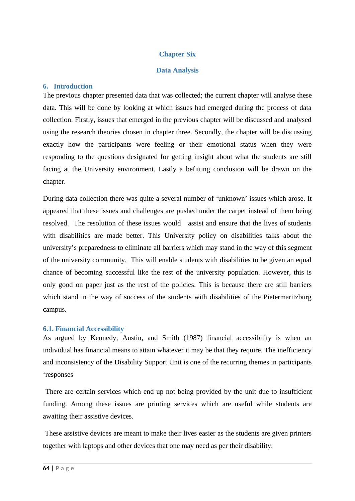# **Chapter Six**

# **Data Analysis**

# **6. Introduction**

The previous chapter presented data that was collected; the current chapter will analyse these data. This will be done by looking at which issues had emerged during the process of data collection. Firstly, issues that emerged in the previous chapter will be discussed and analysed using the research theories chosen in chapter three. Secondly, the chapter will be discussing exactly how the participants were feeling or their emotional status when they were responding to the questions designated for getting insight about what the students are still facing at the University environment. Lastly a befitting conclusion will be drawn on the chapter.

During data collection there was quite a several number of 'unknown' issues which arose. It appeared that these issues and challenges are pushed under the carpet instead of them being resolved. The resolution of these issues would assist and ensure that the lives of students with disabilities are made better. This University policy on disabilities talks about the university's preparedness to eliminate all barriers which may stand in the way of this segment of the university community. This will enable students with disabilities to be given an equal chance of becoming successful like the rest of the university population. However, this is only good on paper just as the rest of the policies. This is because there are still barriers which stand in the way of success of the students with disabilities of the Pietermaritzburg campus.

# **6.1. Financial Accessibility**

As argued by Kennedy, Austin, and Smith (1987) financial accessibility is when an individual has financial means to attain whatever it may be that they require. The inefficiency and inconsistency of the Disability Support Unit is one of the recurring themes in participants 'responses

 There are certain services which end up not being provided by the unit due to insufficient funding. Among these issues are printing services which are useful while students are awaiting their assistive devices.

 These assistive devices are meant to make their lives easier as the students are given printers together with laptops and other devices that one may need as per their disability.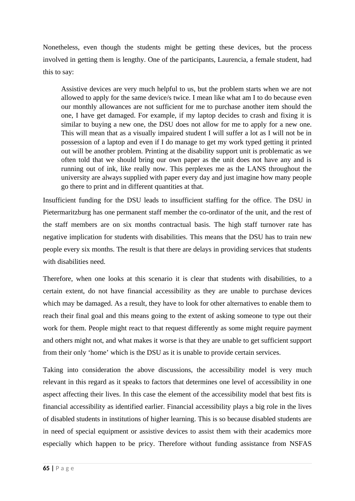Nonetheless, even though the students might be getting these devices, but the process involved in getting them is lengthy. One of the participants, Laurencia, a female student, had this to say:

Assistive devices are very much helpful to us, but the problem starts when we are not allowed to apply for the same device/s twice. I mean like what am I to do because even our monthly allowances are not sufficient for me to purchase another item should the one, I have get damaged. For example, if my laptop decides to crash and fixing it is similar to buying a new one, the DSU does not allow for me to apply for a new one. This will mean that as a visually impaired student I will suffer a lot as I will not be in possession of a laptop and even if I do manage to get my work typed getting it printed out will be another problem. Printing at the disability support unit is problematic as we often told that we should bring our own paper as the unit does not have any and is running out of ink, like really now. This perplexes me as the LANS throughout the university are always supplied with paper every day and just imagine how many people go there to print and in different quantities at that.

Insufficient funding for the DSU leads to insufficient staffing for the office. The DSU in Pietermaritzburg has one permanent staff member the co-ordinator of the unit, and the rest of the staff members are on six months contractual basis. The high staff turnover rate has negative implication for students with disabilities. This means that the DSU has to train new people every six months. The result is that there are delays in providing services that students with disabilities need.

Therefore, when one looks at this scenario it is clear that students with disabilities, to a certain extent, do not have financial accessibility as they are unable to purchase devices which may be damaged. As a result, they have to look for other alternatives to enable them to reach their final goal and this means going to the extent of asking someone to type out their work for them. People might react to that request differently as some might require payment and others might not, and what makes it worse is that they are unable to get sufficient support from their only 'home' which is the DSU as it is unable to provide certain services.

Taking into consideration the above discussions, the accessibility model is very much relevant in this regard as it speaks to factors that determines one level of accessibility in one aspect affecting their lives. In this case the element of the accessibility model that best fits is financial accessibility as identified earlier. Financial accessibility plays a big role in the lives of disabled students in institutions of higher learning. This is so because disabled students are in need of special equipment or assistive devices to assist them with their academics more especially which happen to be pricy. Therefore without funding assistance from NSFAS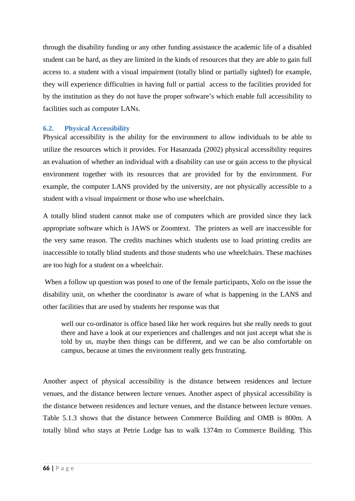through the disability funding or any other funding assistance the academic life of a disabled student can be hard, as they are limited in the kinds of resources that they are able to gain full access to. a student with a visual impairment (totally blind or partially sighted) for example, they will experience difficulties in having full or partial access to the facilities provided for by the institution as they do not have the proper software's which enable full accessibility to facilities such as computer LANs.

# **6.2. Physical Accessibility**

Physical accessibility is the ability for the environment to allow individuals to be able to utilize the resources which it provides. For Hasanzada (2002) physical accessibility requires an evaluation of whether an individual with a disability can use or gain access to the physical environment together with its resources that are provided for by the environment. For example, the computer LANS provided by the university, are not physically accessible to a student with a visual impairment or those who use wheelchairs.

A totally blind student cannot make use of computers which are provided since they lack appropriate software which is JAWS or Zoomtext. The printers as well are inaccessible for the very same reason. The credits machines which students use to load printing credits are inaccessible to totally blind students and those students who use wheelchairs. These machines are too high for a student on a wheelchair.

 When a follow up question was posed to one of the female participants, Xolo on the issue the disability unit, on whether the coordinator is aware of what is happening in the LANS and other facilities that are used by students her response was that

well our co-ordinator is office based like her work requires but she really needs to gout there and have a look at our experiences and challenges and not just accept what she is told by us, maybe then things can be different, and we can be also comfortable on campus, because at times the environment really gets frustrating.

Another aspect of physical accessibility is the distance between residences and lecture venues, and the distance between lecture venues. Another aspect of physical accessibility is the distance between residences and lecture venues, and the distance between lecture venues. Table 5.1.3 shows that the distance between Commerce Building and OMB is 800m. A totally blind who stays at Petrie Lodge has to walk 1374m to Commerce Building. This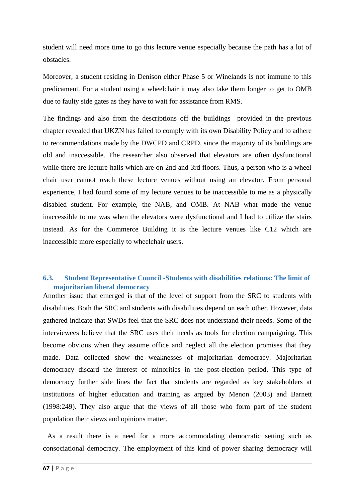student will need more time to go this lecture venue especially because the path has a lot of obstacles.

Moreover, a student residing in Denison either Phase 5 or Winelands is not immune to this predicament. For a student using a wheelchair it may also take them longer to get to OMB due to faulty side gates as they have to wait for assistance from RMS.

The findings and also from the descriptions off the buildings provided in the previous chapter revealed that UKZN has failed to comply with its own Disability Policy and to adhere to recommendations made by the DWCPD and CRPD, since the majority of its buildings are old and inaccessible. The researcher also observed that elevators are often dysfunctional while there are lecture halls which are on 2nd and 3rd floors. Thus, a person who is a wheel chair user cannot reach these lecture venues without using an elevator. From personal experience, I had found some of my lecture venues to be inaccessible to me as a physically disabled student. For example, the NAB, and OMB. At NAB what made the venue inaccessible to me was when the elevators were dysfunctional and I had to utilize the stairs instead. As for the Commerce Building it is the lecture venues like C12 which are inaccessible more especially to wheelchair users.

# **6.3. Student Representative Council -Students with disabilities relations: The limit of majoritarian liberal democracy**

Another issue that emerged is that of the level of support from the SRC to students with disabilities. Both the SRC and students with disabilities depend on each other. However, data gathered indicate that SWDs feel that the SRC does not understand their needs. Some of the interviewees believe that the SRC uses their needs as tools for election campaigning. This become obvious when they assume office and neglect all the election promises that they made. Data collected show the weaknesses of majoritarian democracy. Majoritarian democracy discard the interest of minorities in the post-election period. This type of democracy further side lines the fact that students are regarded as key stakeholders at institutions of higher education and training as argued by Menon (2003) and Barnett (1998:249). They also argue that the views of all those who form part of the student population their views and opinions matter.

 As a result there is a need for a more accommodating democratic setting such as consociational democracy. The employment of this kind of power sharing democracy will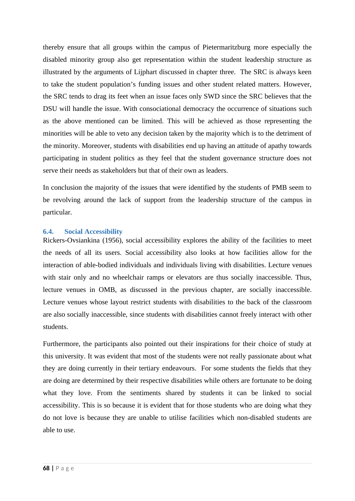thereby ensure that all groups within the campus of Pietermaritzburg more especially the disabled minority group also get representation within the student leadership structure as illustrated by the arguments of Lijphart discussed in chapter three. The SRC is always keen to take the student population's funding issues and other student related matters. However, the SRC tends to drag its feet when an issue faces only SWD since the SRC believes that the DSU will handle the issue. With consociational democracy the occurrence of situations such as the above mentioned can be limited. This will be achieved as those representing the minorities will be able to veto any decision taken by the majority which is to the detriment of the minority. Moreover, students with disabilities end up having an attitude of apathy towards participating in student politics as they feel that the student governance structure does not serve their needs as stakeholders but that of their own as leaders.

In conclusion the majority of the issues that were identified by the students of PMB seem to be revolving around the lack of support from the leadership structure of the campus in particular.

#### **6.4. Social Accessibility**

Rickers-Ovsiankina (1956), social accessibility explores the ability of the facilities to meet the needs of all its users. Social accessibility also looks at how facilities allow for the interaction of able-bodied individuals and individuals living with disabilities. Lecture venues with stair only and no wheelchair ramps or elevators are thus socially inaccessible. Thus, lecture venues in OMB, as discussed in the previous chapter, are socially inaccessible. Lecture venues whose layout restrict students with disabilities to the back of the classroom are also socially inaccessible, since students with disabilities cannot freely interact with other students.

Furthermore, the participants also pointed out their inspirations for their choice of study at this university. It was evident that most of the students were not really passionate about what they are doing currently in their tertiary endeavours. For some students the fields that they are doing are determined by their respective disabilities while others are fortunate to be doing what they love. From the sentiments shared by students it can be linked to social accessibility. This is so because it is evident that for those students who are doing what they do not love is because they are unable to utilise facilities which non-disabled students are able to use.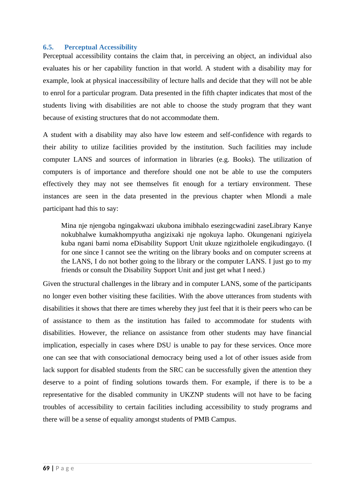#### **6.5. Perceptual Accessibility**

Perceptual accessibility contains the claim that, in perceiving an object, an individual also evaluates his or her capability function in that world. A student with a disability may for example, look at physical inaccessibility of lecture halls and decide that they will not be able to enrol for a particular program. Data presented in the fifth chapter indicates that most of the students living with disabilities are not able to choose the study program that they want because of existing structures that do not accommodate them.

A student with a disability may also have low esteem and self-confidence with regards to their ability to utilize facilities provided by the institution. Such facilities may include computer LANS and sources of information in libraries (e.g. Books). The utilization of computers is of importance and therefore should one not be able to use the computers effectively they may not see themselves fit enough for a tertiary environment. These instances are seen in the data presented in the previous chapter when Mlondi a male participant had this to say:

Mina nje njengoba ngingakwazi ukubona imibhalo esezingcwadini zaseLibrary Kanye nokubhalwe kumakhompyutha angizixaki nje ngokuya lapho. Okungenani ngiziyela kuba ngani bami noma eDisability Support Unit ukuze ngizitholele engikudingayo. (I for one since I cannot see the writing on the library books and on computer screens at the LANS, I do not bother going to the library or the computer LANS. I just go to my friends or consult the Disability Support Unit and just get what I need.)

Given the structural challenges in the library and in computer LANS, some of the participants no longer even bother visiting these facilities. With the above utterances from students with disabilities it shows that there are times whereby they just feel that it is their peers who can be of assistance to them as the institution has failed to accommodate for students with disabilities. However, the reliance on assistance from other students may have financial implication, especially in cases where DSU is unable to pay for these services. Once more one can see that with consociational democracy being used a lot of other issues aside from lack support for disabled students from the SRC can be successfully given the attention they deserve to a point of finding solutions towards them. For example, if there is to be a representative for the disabled community in UKZNP students will not have to be facing troubles of accessibility to certain facilities including accessibility to study programs and there will be a sense of equality amongst students of PMB Campus.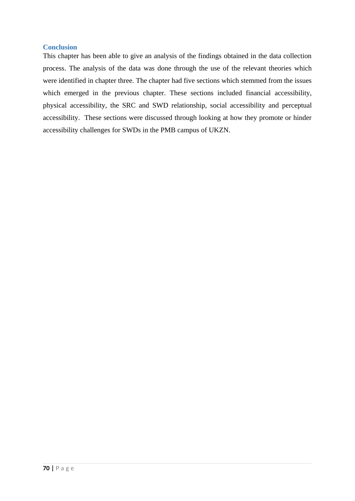# **Conclusion**

This chapter has been able to give an analysis of the findings obtained in the data collection process. The analysis of the data was done through the use of the relevant theories which were identified in chapter three. The chapter had five sections which stemmed from the issues which emerged in the previous chapter. These sections included financial accessibility, physical accessibility, the SRC and SWD relationship, social accessibility and perceptual accessibility. These sections were discussed through looking at how they promote or hinder accessibility challenges for SWDs in the PMB campus of UKZN.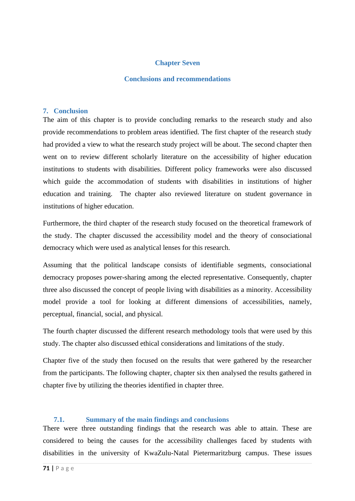# **Chapter Seven**

#### **Conclusions and recommendations**

#### **7. Conclusion**

The aim of this chapter is to provide concluding remarks to the research study and also provide recommendations to problem areas identified. The first chapter of the research study had provided a view to what the research study project will be about. The second chapter then went on to review different scholarly literature on the accessibility of higher education institutions to students with disabilities. Different policy frameworks were also discussed which guide the accommodation of students with disabilities in institutions of higher education and training. The chapter also reviewed literature on student governance in institutions of higher education.

Furthermore, the third chapter of the research study focused on the theoretical framework of the study. The chapter discussed the accessibility model and the theory of consociational democracy which were used as analytical lenses for this research.

Assuming that the political landscape consists of identifiable segments, consociational democracy proposes power-sharing among the elected representative. Consequently, chapter three also discussed the concept of people living with disabilities as a minority. Accessibility model provide a tool for looking at different dimensions of accessibilities, namely, perceptual, financial, social, and physical.

The fourth chapter discussed the different research methodology tools that were used by this study. The chapter also discussed ethical considerations and limitations of the study.

Chapter five of the study then focused on the results that were gathered by the researcher from the participants. The following chapter, chapter six then analysed the results gathered in chapter five by utilizing the theories identified in chapter three.

#### **7.1. Summary of the main findings and conclusions**

There were three outstanding findings that the research was able to attain. These are considered to being the causes for the accessibility challenges faced by students with disabilities in the university of KwaZulu-Natal Pietermaritzburg campus. These issues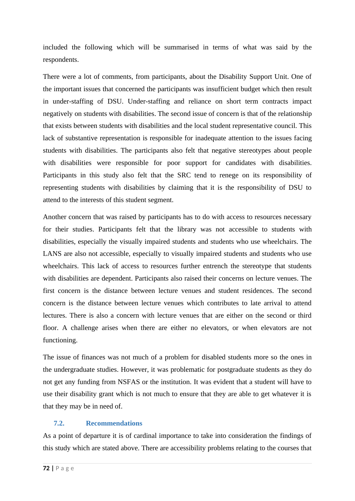included the following which will be summarised in terms of what was said by the respondents.

There were a lot of comments, from participants, about the Disability Support Unit. One of the important issues that concerned the participants was insufficient budget which then result in under-staffing of DSU. Under-staffing and reliance on short term contracts impact negatively on students with disabilities. The second issue of concern is that of the relationship that exists between students with disabilities and the local student representative council. This lack of substantive representation is responsible for inadequate attention to the issues facing students with disabilities. The participants also felt that negative stereotypes about people with disabilities were responsible for poor support for candidates with disabilities. Participants in this study also felt that the SRC tend to renege on its responsibility of representing students with disabilities by claiming that it is the responsibility of DSU to attend to the interests of this student segment.

Another concern that was raised by participants has to do with access to resources necessary for their studies. Participants felt that the library was not accessible to students with disabilities, especially the visually impaired students and students who use wheelchairs. The LANS are also not accessible, especially to visually impaired students and students who use wheelchairs. This lack of access to resources further entrench the stereotype that students with disabilities are dependent. Participants also raised their concerns on lecture venues. The first concern is the distance between lecture venues and student residences. The second concern is the distance between lecture venues which contributes to late arrival to attend lectures. There is also a concern with lecture venues that are either on the second or third floor. A challenge arises when there are either no elevators, or when elevators are not functioning.

The issue of finances was not much of a problem for disabled students more so the ones in the undergraduate studies. However, it was problematic for postgraduate students as they do not get any funding from NSFAS or the institution. It was evident that a student will have to use their disability grant which is not much to ensure that they are able to get whatever it is that they may be in need of.

# **7.2. Recommendations**

As a point of departure it is of cardinal importance to take into consideration the findings of this study which are stated above. There are accessibility problems relating to the courses that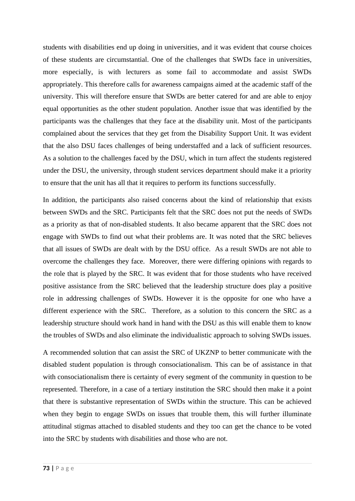students with disabilities end up doing in universities, and it was evident that course choices of these students are circumstantial. One of the challenges that SWDs face in universities, more especially, is with lecturers as some fail to accommodate and assist SWDs appropriately. This therefore calls for awareness campaigns aimed at the academic staff of the university. This will therefore ensure that SWDs are better catered for and are able to enjoy equal opportunities as the other student population. Another issue that was identified by the participants was the challenges that they face at the disability unit. Most of the participants complained about the services that they get from the Disability Support Unit. It was evident that the also DSU faces challenges of being understaffed and a lack of sufficient resources. As a solution to the challenges faced by the DSU, which in turn affect the students registered under the DSU, the university, through student services department should make it a priority to ensure that the unit has all that it requires to perform its functions successfully.

In addition, the participants also raised concerns about the kind of relationship that exists between SWDs and the SRC. Participants felt that the SRC does not put the needs of SWDs as a priority as that of non-disabled students. It also became apparent that the SRC does not engage with SWDs to find out what their problems are. It was noted that the SRC believes that all issues of SWDs are dealt with by the DSU office. As a result SWDs are not able to overcome the challenges they face. Moreover, there were differing opinions with regards to the role that is played by the SRC. It was evident that for those students who have received positive assistance from the SRC believed that the leadership structure does play a positive role in addressing challenges of SWDs. However it is the opposite for one who have a different experience with the SRC. Therefore, as a solution to this concern the SRC as a leadership structure should work hand in hand with the DSU as this will enable them to know the troubles of SWDs and also eliminate the individualistic approach to solving SWDs issues.

A recommended solution that can assist the SRC of UKZNP to better communicate with the disabled student population is through consociationalism. This can be of assistance in that with consociationalism there is certainty of every segment of the community in question to be represented. Therefore, in a case of a tertiary institution the SRC should then make it a point that there is substantive representation of SWDs within the structure. This can be achieved when they begin to engage SWDs on issues that trouble them, this will further illuminate attitudinal stigmas attached to disabled students and they too can get the chance to be voted into the SRC by students with disabilities and those who are not.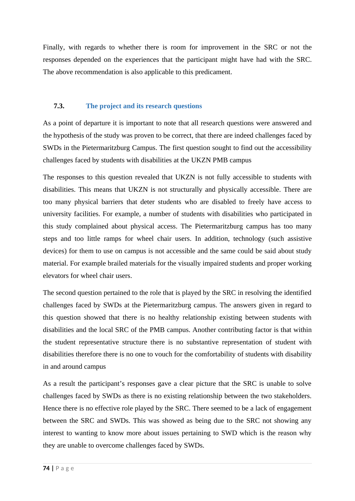Finally, with regards to whether there is room for improvement in the SRC or not the responses depended on the experiences that the participant might have had with the SRC. The above recommendation is also applicable to this predicament.

# **7.3. The project and its research questions**

As a point of departure it is important to note that all research questions were answered and the hypothesis of the study was proven to be correct, that there are indeed challenges faced by SWDs in the Pietermaritzburg Campus. The first question sought to find out the accessibility challenges faced by students with disabilities at the UKZN PMB campus

The responses to this question revealed that UKZN is not fully accessible to students with disabilities. This means that UKZN is not structurally and physically accessible. There are too many physical barriers that deter students who are disabled to freely have access to university facilities. For example, a number of students with disabilities who participated in this study complained about physical access. The Pietermaritzburg campus has too many steps and too little ramps for wheel chair users. In addition, technology (such assistive devices) for them to use on campus is not accessible and the same could be said about study material. For example brailed materials for the visually impaired students and proper working elevators for wheel chair users.

The second question pertained to the role that is played by the SRC in resolving the identified challenges faced by SWDs at the Pietermaritzburg campus. The answers given in regard to this question showed that there is no healthy relationship existing between students with disabilities and the local SRC of the PMB campus. Another contributing factor is that within the student representative structure there is no substantive representation of student with disabilities therefore there is no one to vouch for the comfortability of students with disability in and around campus

As a result the participant's responses gave a clear picture that the SRC is unable to solve challenges faced by SWDs as there is no existing relationship between the two stakeholders. Hence there is no effective role played by the SRC. There seemed to be a lack of engagement between the SRC and SWDs. This was showed as being due to the SRC not showing any interest to wanting to know more about issues pertaining to SWD which is the reason why they are unable to overcome challenges faced by SWDs.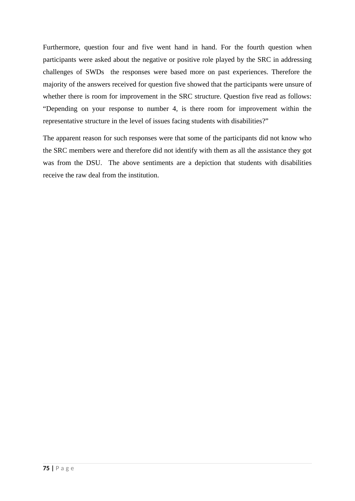Furthermore, question four and five went hand in hand. For the fourth question when participants were asked about the negative or positive role played by the SRC in addressing challenges of SWDs the responses were based more on past experiences. Therefore the majority of the answers received for question five showed that the participants were unsure of whether there is room for improvement in the SRC structure. Question five read as follows: "Depending on your response to number 4, is there room for improvement within the representative structure in the level of issues facing students with disabilities?"

The apparent reason for such responses were that some of the participants did not know who the SRC members were and therefore did not identify with them as all the assistance they got was from the DSU. The above sentiments are a depiction that students with disabilities receive the raw deal from the institution.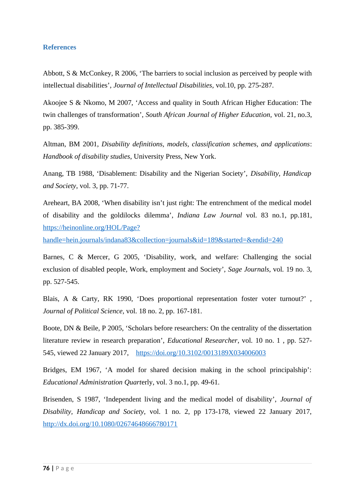## **References**

Abbott, S & McConkey, R 2006, 'The barriers to social inclusion as perceived by people with intellectual disabilities', *Journal of Intellectual Disabilities,* vol.10, pp. 275-287.

Akoojee S & Nkomo, M 2007, 'Access and quality in South African Higher Education: The twin challenges of transformation', *South African Journal of Higher Education,* vol. 21, no.3, pp. 385-399.

Altman, BM 2001, *Disability definitions, models, classification schemes, and applications*: *Handbook of disability studies*, University Press, New York.

Anang, TB 1988, 'Disablement: Disability and the Nigerian Society', *Disability, Handicap and Society*, vol. 3, pp. 71-77.

Areheart, BA 2008, 'When disability isn't just right: The entrenchment of the medical model of disability and the goldilocks dilemma', *Indiana Law Journal* vol. 83 no.1, pp.181, [https://heinonline.org/HOL/Page?](https://heinonline.org/HOL/Page?handle=hein.journals/indana83&collection=journals&id=189&started=&endid=240)

[handle=hein.journals/indana83&collection=journals&id=189&started=&endid=240](https://heinonline.org/HOL/Page?handle=hein.journals/indana83&collection=journals&id=189&started=&endid=240)

Barnes, C & Mercer, G 2005, 'Disability, work, and welfare: Challenging the social exclusion of disabled people*,* Work, employment and Society', *Sage Journals,* vol*.* 19 no. 3, pp. 527-545.

Blais, A & Carty, RK 1990, 'Does proportional representation foster voter turnout?' , *Journal of Political Science,* vol. 18 no. 2, pp. 167-181.

Boote, DN & Beile, P 2005, 'Scholars before researchers: On the centrality of the dissertation literature review in research preparation', *Educational Researcher*, vol*.* 10 no. 1 , pp. 527- 545, viewed 22 January 2017, <https://doi.org/10.3102/0013189X034006003>

Bridges, EM 1967, 'A model for shared decision making in the school principalship': *Educational Administration Quart*erly, vol. 3 no.1, pp. 49-61.

Brisenden, S 1987, 'Independent living and the medical model of disability', *Journal of Disability, Handicap and Society,* vol. 1 no. 2, pp 173-178, viewed 22 January 2017, <http://dx.doi.org/10.1080/02674648666780171>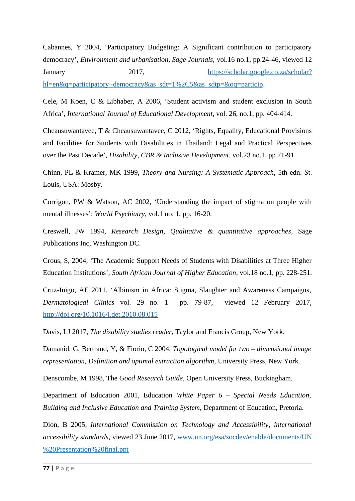Cabannes, Y 2004, 'Participatory Budgeting: A Significant contribution to participatory democracy'*, Environment and urbanisation, Sage Journals,* vol.16 no.1, pp.24-46, viewed 12 January 2017, 2017, [https://scholar.google.co.za/scholar?](https://scholar.google.co.za/scholar?hl=en&q=participatory+democracy&as_sdt=1%2C5&as_sdtp=&oq=particip) [hl=en&q=participatory+democracy&as\\_sdt=1%2C5&as\\_sdtp=&oq=particip.](https://scholar.google.co.za/scholar?hl=en&q=participatory+democracy&as_sdt=1%2C5&as_sdtp=&oq=particip)

Cele, M Koen, C & Libhaber, A 2006, 'Student activism and student exclusion in South Africa', *International Journal of Educational Development*, vol. 26, no.1, pp. 404-414.

Cheausuwantavee, T & Cheausuwantavee, C 2012, 'Rights, Equality, Educational Provisions and Facilities for Students with Disabilities in Thailand: Legal and Practical Perspectives over the Past Decade', *Disability, CBR & Inclusive Development*, vol.23 no.1, pp 71-91.

Chinn, PL & Kramer, MK 1999, *Theory and Nursing: A Systematic Approach*, 5th edn. St. Louis, USA: Mosby.

Corrigon, PW & Watson, AC 2002, 'Understanding the impact of stigma on people with mental illnesses': *World Psychiatry,* vol.1 no. 1*.* pp*.* 16-20.

Creswell, JW 1994, *Research Design, Qualitative & quantitative approaches*, Sage Publications Inc, Washington DC.

Crous, S, 2004, 'The Academic Support Needs of Students with Disabilities at Three Higher Education Institutions', *South African Journal of Higher Education*, vol.18 no.1, pp. 228-251.

Cruz-Inigo, AE 2011, 'Albinism in Africa: Stigma, Slaughter and Awareness Campaigns*, Dermatological Clinics* vol. 29 no. 1 pp. 79-87, viewed 12 February 2017, <http://doi.org/10.1016/j.det.2010.08.015>

Davis, LJ 2017, *The disability studies reader*, Taylor and Francis Group, New York.

Damanid, G, Bertrand, Y, & Fiorio, C 2004, *Topological model for two – dimensional image representation, Definition and optimal extraction algorithm,* University Press, New York.

Denscombe, M 1998, The *Good Research Guide,* Open University Press, Buckingham.

Department of Education 2001, Education *White Paper 6 – Special Needs Education, Building and Inclusive Education and Training System*, Department of Education, Pretoria.

Dion, B 2005, *International Commission on Technology and Accessibility*, *international accessibility standards*, viewed 23 June 2017, [www.un.org/esa/socdev/enable/documents/UN](http://www.un.org/esa/socdev/enable/documents/UN%20Presentation%20final.ppt) [%20Presentation%20final.ppt](http://www.un.org/esa/socdev/enable/documents/UN%20Presentation%20final.ppt)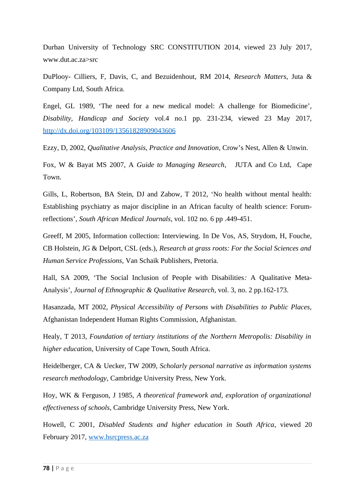Durban University of Technology SRC CONSTITUTION 2014, viewed 23 July 2017, www.dut.ac.za>src

DuPlooy- Cilliers, F, Davis, C, and Bezuidenhout, RM 2014, *Research Matters*, Juta & Company Ltd, South Africa.

Engel, GL 1989, 'The need for a new medical model: A challenge for Biomedicine', *Disability, Handicap and Society* vol.4 no.1 pp. 231-234, viewed 23 May 2017, <http://dx.doi.org/103109/13561828909043606>

Ezzy, D, 2002, *Qualitative Analysis, Practice and Innovation*, Crow's Nest, Allen & Unwin.

Fox, W & Bayat MS 2007, A *Guide to Managing Research*, JUTA and Co Ltd, Cape Town.

Gills, L, Robertson, BA Stein, DJ and Zabow, T 2012, 'No health without mental health: Establishing psychiatry as major discipline in an African faculty of health science: Forumreflections', *South African Medical Journals*, vol. 102 no. 6 pp .449-451.

Greeff, M 2005, Information collection: Interviewing*.* In De Vos, AS, Strydom, H, Fouche, CB Holstein, JG & Delport, CSL (eds.), *Research at grass roots: For the Social Sciences and Human Service Professions,* Van Schaik Publishers, Pretoria.

Hall, SA 2009, 'The Social Inclusion of People with Disabilities*:* A Qualitative Meta-Analysis', *Journal of Ethnographic & Qualitative Research*, vol. 3, no. 2 pp.162-173.

Hasanzada, MT 2002, *Physical Accessibility of Persons with Disabilities to Public Places,* Afghanistan Independent Human Rights Commission, Afghanistan.

Healy, T 2013, *Foundation of tertiary institutions of the Northern Metropolis: Disability in higher educatio*n, University of Cape Town, South Africa.

Heidelberger, CA & Uecker, TW 2009, *Scholarly personal narrative as information systems research methodology,* Cambridge University Press, New York.

Hoy, WK & Ferguson, J 1985, *A theoretical framework and, exploration of organizational effectiveness of schools*, Cambridge University Press, New York.

Howell, C 2001, *Disabled Students and higher education in South Africa*, viewed 20 February 2017, [www.hsrcpress.ac.za](http://www.hsrcpress.ac.za/)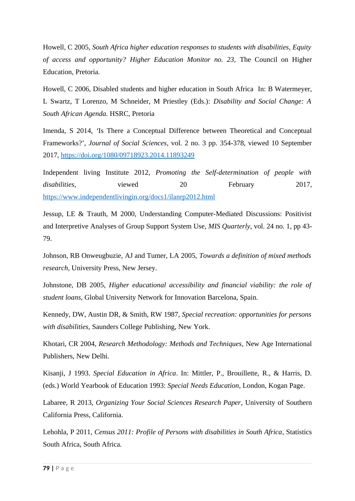Howell, C 2005, *South Africa higher education responses to students with disabilities, Equity of access and opportunity? Higher Education Monitor no. 23,* The Council on Higher Education, Pretoria.

Howell, C 2006, Disabled students and higher education in South Africa In: B Watermeyer, L Swartz, T Lorenzo, M Schneider, M Priestley (Eds.): *Disability and Social Change: A South African Agenda.* HSRC, Pretoria

Imenda, S 2014, *'*Is There a Conceptual Difference between Theoretical and Conceptual Frameworks?', *Journal of Social Sciences*, vol. 2 no. 3 pp. 354-378, viewed 10 September 2017,<https://doi.org/1080/09718923.2014.11893249>

Independent living Institute 2012, *Promoting the Self-determination of people with* disabilities, viewed 20 February 2017, <https://www.independentlivingin.org/docs1/ilanrp2012.html>

Jessup, LE & Trauth, M 2000, Understanding Computer-Mediated Discussions: Positivist and Interpretive Analyses of Group Support System Use*, MIS Quarterly*, vol. 24 no. 1, pp 43- 79.

Johnson, RB Onweugbuzie, AJ and Tumer, LA 2005, *Towards a definition of mixed methods research*, University Press, New Jersey.

Johnstone, DB 2005, *Higher educational accessibility and financial viability: the role of student loans,* Global University Network for Innovation Barcelona, Spain.

Kennedy, DW, Austin DR, & Smith, RW 1987, *Special recreation: opportunities for persons with disabilities,* Saunders College Publishing, New York.

Khotari, CR 2004, *Research Methodology: Methods and Techniques*, New Age International Publishers, New Delhi.

Kisanji, J 1993. *Special Education in Africa*. In: Mittler, P., Brouillette, R., & Harris, D. (eds.) World Yearbook of Education 1993: *Special Needs Education*, London, Kogan Page.

Labaree, R 2013, *Organizing Your Social Sciences Research Paper*, University of Southern California Press, California.

Lehohla, P 2011, *Census 2011: Profile of Persons with disabilities in South Africa*, Statistics South Africa, South Africa.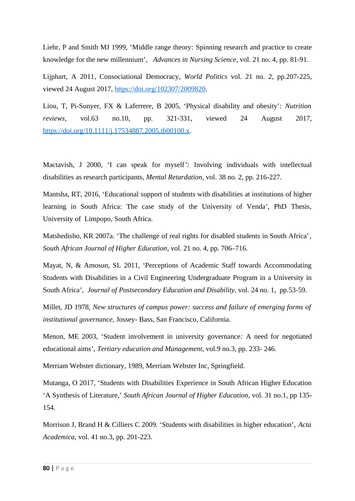Liehr, P and Smith MJ 1999, 'Middle range theory: Spinning research and practice to create knowledge for the new millennium', *Advances in Nursing Science*, vol. 21 no. 4, pp. 81-91.

Lijphart, A 2011, Consociational Democracy*, World Politics* vol. 21 no. 2, pp.207-225, viewed 24 August 2017, [https://doi.org/102307/2009820.](https://doi.org/102307/2009820)

Liou, T, Pi-Sunyer, FX & Laferrere, B 2005, 'Physical disability and obesity': *Nutrition reviews*, vol.63 no.10, pp. 321-331, viewed 24 August 2017, [https://doi.org/10.1111/j.17534887.2005.tb00100.x.](https://doi.org/10.1111/j.17534887.2005.tb00100.x)

Mactavish, J 2000, 'I can speak for myself*':* Involving individuals with intellectual disabilities as research participants, *Mental Retardation,* vol. 38 no. 2, pp. 216-227.

Mantsha, RT, 2016, 'Educational support of students with disabilities at institutions of higher learning in South Africa: The case study of the University of Venda', PhD Thesis, University of Limpopo, South Africa.

Matshedisho, KR 2007a. 'The challenge of real rights for disabled students in South Africa'*, South African Journal of Higher Education*, vol. 21 no. 4, pp. 706–716.

Mayat, N, & Amosun, SL 2011, 'Perceptions of Academic Staff towards Accommodating Students with Disabilities in a Civil Engineering Undergraduate Program in a University in South Africa', *Journal of Postsecondary Education and Disability*, vol. 24 no. 1, pp.53-59.

Millet, JD 1978, *New structures of campus power: success and failure of emerging forms of institutional governance,* Jossey- Bass, San Francisco, California.

Menon, ME 2003, 'Student involvement in university governance*:* A need for negotiated educational aims', *Tertiary education and Management,* vol.9 no.3, pp. 233- 246.

Merriam Webster dictionary, 1989, Merriam Webster Inc, Springfield.

Mutanga, O 2017, 'Students with Disabilities Experience in South African Higher Education 'A Synthesis of Literature,' *South African Journal of Higher Education,* vol. 31 no.1, pp 135- 154.

Morrison J, Brand H & Cilliers C 2009. 'Students with disabilities in higher education', *Acta Academica,* vol. 41 no.3, pp. 201-223.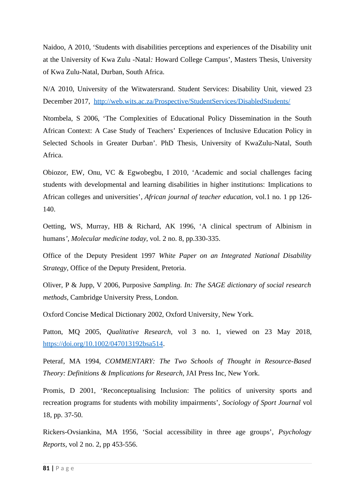Naidoo, A 2010, 'Students with disabilities perceptions and experiences of the Disability unit at the University of Kwa Zulu -Natal*:* Howard College Campus', Masters Thesis, University of Kwa Zulu-Natal, Durban, South Africa.

N/A 2010, University of the Witwatersrand. Student Services: Disability Unit, viewed 23 December 2017, <http://web.wits.ac.za/Prospective/StudentServices/DisabledStudents/>

Ntombela, S 2006, 'The Complexities of Educational Policy Dissemination in the South African Context: A Case Study of Teachers' Experiences of Inclusive Education Policy in Selected Schools in Greater Durban'*.* PhD Thesis, University of KwaZulu-Natal, South Africa.

Obiozor, EW, Onu, VC & Egwobegbu, I 2010, 'Academic and social challenges facing students with developmental and learning disabilities in higher institutions: Implications to African colleges and universities'*, African journal of teacher education,* vol.1 no. 1 pp 126- 140.

Oetting, WS, Murray, HB & Richard, AK 1996, 'A clinical spectrum of Albinism in humans*', Molecular medicine today,* vol. 2 no. 8, pp.330-335.

Office of the Deputy President 1997 *White Paper on an Integrated National Disability Strategy*, Office of the Deputy President, Pretoria.

Oliver, P & Jupp, V 2006, Purposive *Sampling. In: The SAGE dictionary of social research methods,* Cambridge University Press, London.

Oxford Concise Medical Dictionary 2002, Oxford University, New York.

Patton, MQ 2005, *Qualitative Research*, vol 3 no. 1, viewed on 23 May 2018, [https://doi.org/10.1002/047013192bsa514.](https://doi.org/10.1002/047013192bsa514)

Peteraf, MA 1994, *COMMENTARY: The Two Schools of Thought in Resource-Based Theory: Definitions & Implications for Research*, JAI Press Inc, New York.

Promis, D 2001, 'Reconceptualising Inclusion: The politics of university sports and recreation programs for students with mobility impairments', *Sociology of Sport Journal* vol 18, pp. 37-50.

Rickers-Ovsiankina, MA 1956, 'Social accessibility in three age groups', *Psychology Reports*, vol 2 no. 2, pp 453-556.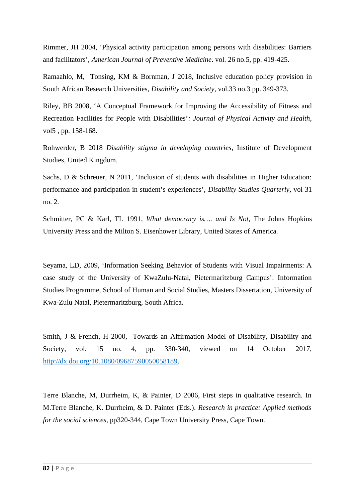Rimmer, JH 2004, 'Physical activity participation among persons with disabilities: Barriers and facilitators', *American Journal of Preventive Medicine*. vol. 26 no.5, pp. 419-425.

Ramaahlo, M, Tonsing, KM & Bornman, J 2018, Inclusive education policy provision in South African Research Universities, *Disability and Society*, vol.33 no.3 pp. 349-373.

Riley, BB 2008, 'A Conceptual Framework for Improving the Accessibility of Fitness and Recreation Facilities for People with Disabilities'*: Journal of Physical Activity and Health,* vol5 , pp. 158-168.

Rohwerder, B 2018 *Disability stigma in developing countries*, Institute of Development Studies, United Kingdom.

Sachs, D & Schreuer, N 2011, 'Inclusion of students with disabilities in Higher Education: performance and participation in student's experiences', *Disability Studies Quarterly,* vol 31 no. 2.

Schmitter, PC & Karl, TL 1991, *What democracy is…. and Is Not*, The Johns Hopkins University Press and the Milton S. Eisenhower Library, United States of America.

Seyama, LD, 2009, 'Information Seeking Behavior of Students with Visual Impairments: A case study of the University of KwaZulu-Natal, Pietermaritzburg Campus'. Information Studies Programme, School of Human and Social Studies, Masters Dissertation, University of Kwa-Zulu Natal, Pietermaritzburg, South Africa.

Smith, J & French, H 2000, Towards an Affirmation Model of Disability, Disability and Society, vol. 15 no. 4, pp. 330-340, viewed on 14 October 2017, [http://dx.doi.org/10.1080/09687590050058189.](http://dx.doi.org/10.1080/09687590050058189)

Terre Blanche, M, Durrheim, K, & Painter, D 2006, First steps in qualitative research. In M.Terre Blanche, K. Durrheim, & D. Painter (Eds.). *Research in practice: Applied methods for the social sciences*, pp320-344, Cape Town University Press, Cape Town.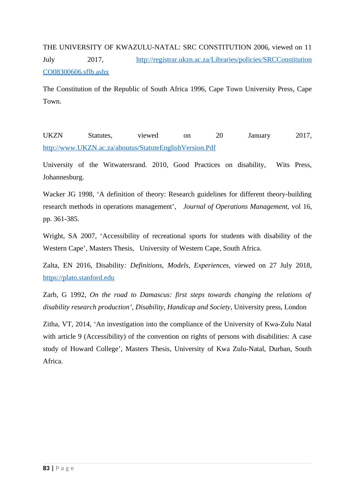THE UNIVERSITY OF KWAZULU-NATAL: SRC CONSTITUTION 2006, viewed on 11 July 2017, [http://registrar.ukzn.ac.za/Libraries/policies/SRCConstitution](http://registrar.ukzn.ac.za/Libraries/policies/SRCConstitution%20CO08300606.sflb.ashx) [CO08300606.sflb.ashx](http://registrar.ukzn.ac.za/Libraries/policies/SRCConstitution%20CO08300606.sflb.ashx) 

The Constitution of the Republic of South Africa 1996, Cape Town University Press, Cape Town.

UKZN Statutes, viewed on 20 January 2017, <http://www.UKZN.ac.za/aboutus/StatuteEnglishVersion.Pdf>

University of the Witwatersrand. 2010, Good Practices on disability, Wits Press, Johannesburg.

Wacker JG 1998, 'A definition of theory: Research guidelines for different theory-building research methods in operations management'*, Journal of Operations Management,* vol 16, pp. 361-385.

Wright, SA 2007, 'Accessibility of recreational sports for students with disability of the Western Cape'*,* Masters Thesis, University of Western Cape, South Africa.

Zalta, EN 2016, Disability*: Definitions, Models, Experiences,* viewed on 27 July 2018, [https://plato.stanford.edu](https://plato.stanford.edu/)

Zarb, G 1992, *On the road to Damascus: first steps towards changing the relations of disability research production', Disability, Handicap and Society*, University press, London

Zitha, VT, 2014, 'An investigation into the compliance of the University of Kwa-Zulu Natal with article 9 (Accessibility) of the convention on rights of persons with disabilities: A case study of Howard College', Masters Thesis, University of Kwa Zulu-Natal, Durban, South Africa.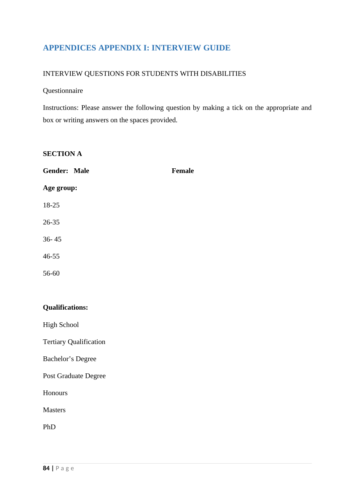# **APPENDICES APPENDIX I: INTERVIEW GUIDE**

# INTERVIEW QUESTIONS FOR STUDENTS WITH DISABILITIES

#### Questionnaire

Instructions: Please answer the following question by making a tick on the appropriate and box or writing answers on the spaces provided.

# **SECTION A**

| <b>Gender: Male</b> | <b>Female</b> |
|---------------------|---------------|
| Age group:          |               |
| 18-25               |               |
| 26-35               |               |
| $36 - 45$           |               |
| 46-55               |               |
| 56-60               |               |
|                     |               |
| $-0.02$             |               |

**Qualifications:**

High School

Tertiary Qualification

Bachelor's Degree

Post Graduate Degree

Honours

Masters

PhD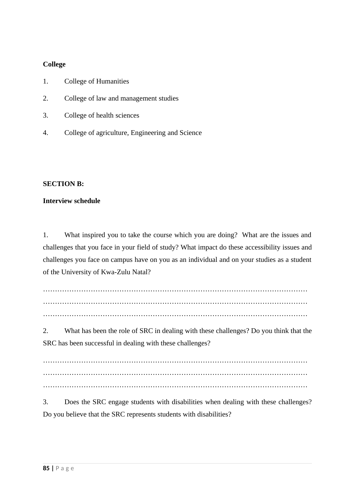# **College**

- 1. College of Humanities
- 2. College of law and management studies
- 3. College of health sciences
- 4. College of agriculture, Engineering and Science

## **SECTION B:**

## **Interview schedule**

1. What inspired you to take the course which you are doing? What are the issues and challenges that you face in your field of study? What impact do these accessibility issues and challenges you face on campus have on you as an individual and on your studies as a student of the University of Kwa-Zulu Natal?

………………………………………………………………………………………………… ………………………………………………………………………………………………… …………………………………………………………………………………………………

2. What has been the role of SRC in dealing with these challenges? Do you think that the SRC has been successful in dealing with these challenges?

………………………………………………………………………………………………… ………………………………………………………………………………………………… …………………………………………………………………………………………………

3. Does the SRC engage students with disabilities when dealing with these challenges? Do you believe that the SRC represents students with disabilities?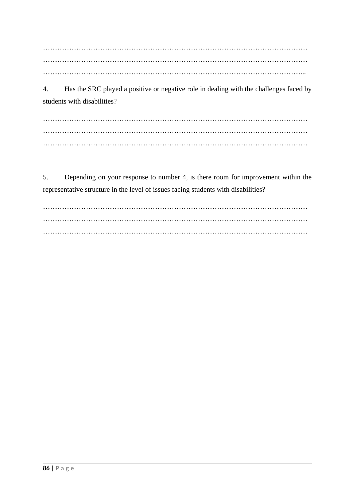………………………………………………………………………………………………… ………………………………………………………………………………………………… ………………………………………………………………………………………………...

4. Has the SRC played a positive or negative role in dealing with the challenges faced by students with disabilities?

………………………………………………………………………………………………… ………………………………………………………………………………………………… …………………………………………………………………………………………………

5. Depending on your response to number 4, is there room for improvement within the representative structure in the level of issues facing students with disabilities?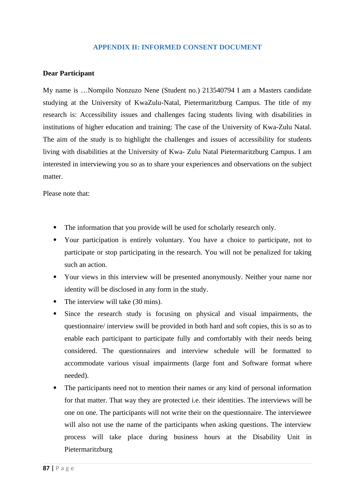## **APPENDIX II: INFORMED CONSENT DOCUMENT**

#### **Dear Participant**

My name is …Nompilo Nonzuzo Nene (Student no.) 213540794 I am a Masters candidate studying at the University of KwaZulu-Natal, Pietermaritzburg Campus. The title of my research is: Accessibility issues and challenges facing students living with disabilities in institutions of higher education and training: The case of the University of Kwa-Zulu Natal. The aim of the study is to highlight the challenges and issues of accessibility for students living with disabilities at the University of Kwa- Zulu Natal Pietermaritzburg Campus. I am interested in interviewing you so as to share your experiences and observations on the subject matter.

Please note that:

- The information that you provide will be used for scholarly research only.
- Your participation is entirely voluntary. You have a choice to participate, not to participate or stop participating in the research. You will not be penalized for taking such an action.
- Your views in this interview will be presented anonymously. Neither your name nor identity will be disclosed in any form in the study.
- The interview will take (30 mins).
- Since the research study is focusing on physical and visual impairments, the questionnaire/ interview swill be provided in both hard and soft copies, this is so as to enable each participant to participate fully and comfortably with their needs being considered. The questionnaires and interview schedule will be formatted to accommodate various visual impairments (large font and Software format where needed).
- The participants need not to mention their names or any kind of personal information for that matter. That way they are protected i.e. their identities. The interviews will be one on one. The participants will not write their on the questionnaire. The interviewee will also not use the name of the participants when asking questions. The interview process will take place during business hours at the Disability Unit in Pietermaritzburg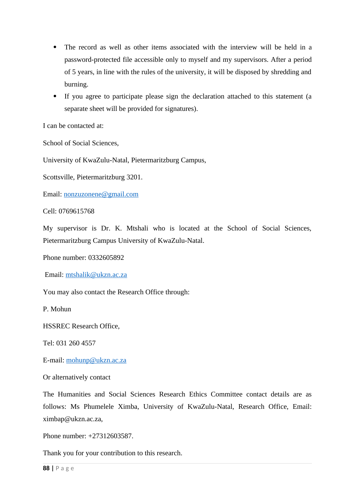- The record as well as other items associated with the interview will be held in a password-protected file accessible only to myself and my supervisors. After a period of 5 years, in line with the rules of the university, it will be disposed by shredding and burning.
- If you agree to participate please sign the declaration attached to this statement (a separate sheet will be provided for signatures).

I can be contacted at:

School of Social Sciences,

University of KwaZulu-Natal, Pietermaritzburg Campus,

Scottsville, Pietermaritzburg 3201.

Email: [nonzuzonene@gmail.com](mailto:nonzuzonene@gmail.com) 

Cell: 0769615768

My supervisor is Dr. K. Mtshali who is located at the School of Social Sciences, Pietermaritzburg Campus University of KwaZulu-Natal.

Phone number: 0332605892

Email: [mtshalik@ukzn.ac.za](mailto:mtshalik@ukzn.ac.za) 

You may also contact the Research Office through:

P. Mohun

HSSREC Research Office,

Tel: 031 260 4557

E-mail: [mohunp@ukzn.ac.za](mailto:mohunp@ukzn.ac.za) 

Or alternatively contact

The Humanities and Social Sciences Research Ethics Committee contact details are as follows: Ms Phumelele Ximba, University of KwaZulu-Natal, Research Office, Email: ximbap@ukzn.ac.za,

Phone number: +27312603587.

Thank you for your contribution to this research.